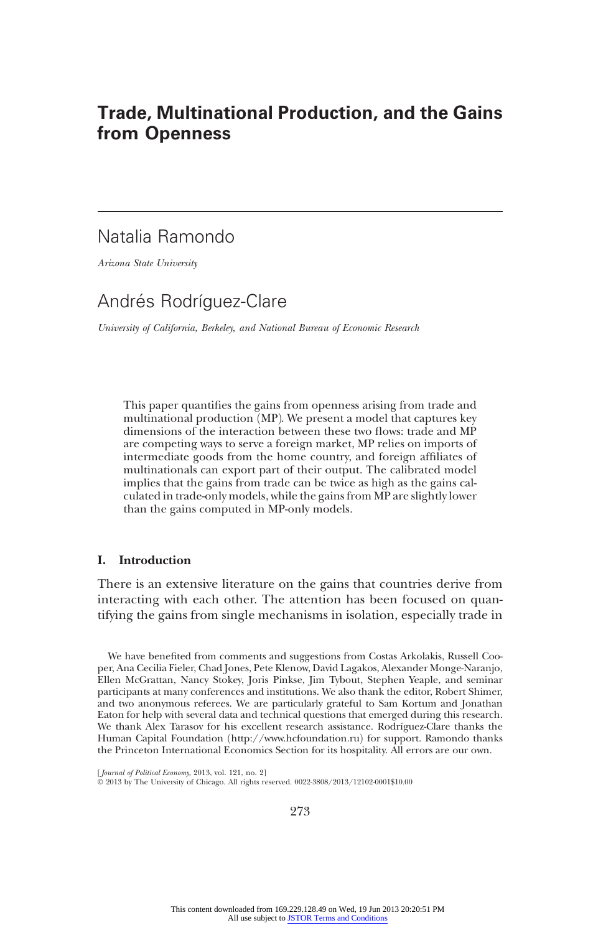# Trade, Multinational Production, and the Gains from Openness

# Natalia Ramondo

Arizona State University

# Andrés Rodríguez-Clare

University of California, Berkeley, and National Bureau of Economic Research

This paper quantifies the gains from openness arising from trade and multinational production (MP). We present a model that captures key dimensions of the interaction between these two flows: trade and MP are competing ways to serve a foreign market, MP relies on imports of intermediate goods from the home country, and foreign affiliates of multinationals can export part of their output. The calibrated model implies that the gains from trade can be twice as high as the gains calculated in trade-only models, while the gains from MP are slightly lower than the gains computed in MP-only models.

# I. Introduction

There is an extensive literature on the gains that countries derive from interacting with each other. The attention has been focused on quantifying the gains from single mechanisms in isolation, especially trade in

We have benefited from comments and suggestions from Costas Arkolakis, Russell Cooper, Ana Cecilia Fieler, Chad Jones, Pete Klenow, David Lagakos, Alexander Monge-Naranjo, Ellen McGrattan, Nancy Stokey, Joris Pinkse, Jim Tybout, Stephen Yeaple, and seminar participants at many conferences and institutions. We also thank the editor, Robert Shimer, and two anonymous referees. We are particularly grateful to Sam Kortum and Jonathan Eaton for help with several data and technical questions that emerged during this research. We thank Alex Tarasov for his excellent research assistance. Rodríguez-Clare thanks the Human Capital Foundation (http://www.hcfoundation.ru) for support. Ramondo thanks the Princeton International Economics Section for its hospitality. All errors are our own.

[ Journal of Political Economy, 2013, vol. 121, no. 2] © 2013 by The University of Chicago. All rights reserved. 0022-3808/2013/12102-0001\$10.00

273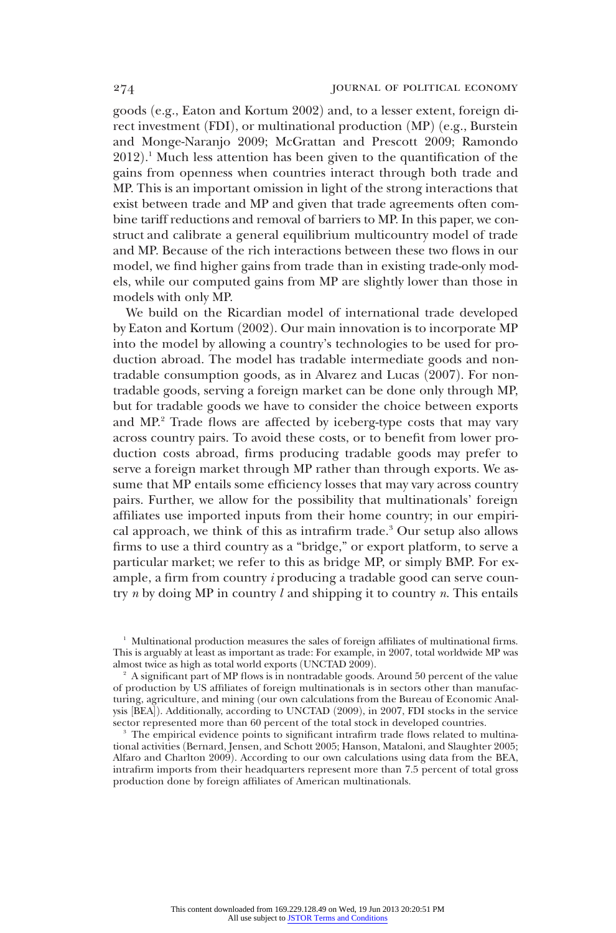goods (e.g., Eaton and Kortum 2002) and, to a lesser extent, foreign direct investment  $(FDI)$ , or multinational production  $(MP)$  (e.g., Burstein and Monge-Naranjo 2009; McGrattan and Prescott 2009; Ramondo 2012).<sup>1</sup> Much less attention has been given to the quantification of the gains from openness when countries interact through both trade and gains from openness when countries interact through both trade and MP. This is an important omission in light of the strong interactions that exist between trade and MP and given that trade agreements often combine tariff reductions and removal of barriers to MP. In this paper, we construct and calibrate a general equilibrium multicountry model of trade and MP. Because of the rich interactions between these two flows in our model, we find higher gains from trade than in existing trade-only models, while our computed gains from MP are slightly lower than those in models with only MP.

We build on the Ricardian model of international trade developed by Eaton and Kortum (2002). Our main innovation is to incorporate MP into the model by allowing a country's technologies to be used for production abroad. The model has tradable intermediate goods and nontradable consumption goods, as in Alvarez and Lucas  $(2007)$ . For nontradable goods, serving a foreign market can be done only through MP, but for tradable goods we have to consider the choice between exports and MP.<sup>2</sup> Trade flows are affected by iceberg-type costs that may vary across country pairs. To avoid these costs, or to benefit from lower production costs abroad, firms producing tradable goods may prefer to serve a foreign market through MP rather than through exports. We assume that MP entails some efficiency losses that may vary across country pairs. Further, we allow for the possibility that multinationals' foreign affiliates use imported inputs from their home country; in our empirical approach, we think of this as intrafirm trade.<sup>3</sup> Our setup also allows firms to use a third country as a "bridge," or export platform, to serve a particular market; we refer to this as bridge MP, or simply BMP. For example, a firm from country i producing a tradable good can serve country  $n$  by doing MP in country  $l$  and shipping it to country  $n$ . This entails

<sup>&</sup>lt;sup>1</sup> Multinational production measures the sales of foreign affiliates of multinational firms. This is arguably at least as important as trade: For example, in 2007, total worldwide MP was

 $^2$  A significant part of MP flows is in nontradable goods. Around 50 percent of the value of production by US affiliates of foreign multinationals is in sectors other than manufacturing, agriculture, and mining (our own calculations from the Bureau of Economic Analysis [BEA]). Additionally, according to UNCTAD (2009), in 2007, FDI stocks in the<br>sector represented more than 60 percent of the total stock in developed countries. ysis  $[\text{BEA}]$ . Additionally, according to UNCTAD  $(2009)$ , in 2007, FDI stocks in the service

 $3$  The empirical evidence points to significant intrafirm trade flows related to multina-<br>tional activities (Bernard, Jensen, and Schott 2005; Hanson, Mataloni, and Slaughter 2005; Alfaro and Charlton 2009). According to our own calculations using data from the BEA, Alfaro and Charlton 2009). According to our own calculations using data from the BEA,<br>intrafirm imports from their headquarters represent more than 7.5 percent of total gross production done by foreign affiliates of American multinationals.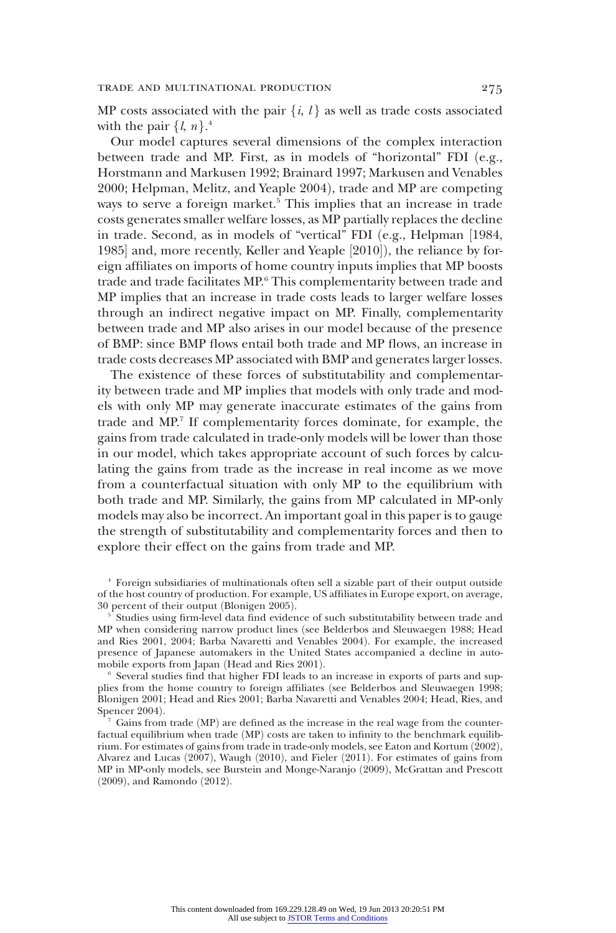MP costs associated with the pair  $\{i, l\}$  as well as trade costs associated with the pair  $\{l, n\}$ <sup>4</sup>

Our model captures several dimensions of the complex interaction between trade and MP. First, as in models of "horizontal" FDI (e.g., Horstmann and Markusen 1992; Brainard 1997; Markusen and Venables 2000; Helpman, Melitz, and Yeaple 2004), trade and MP are competing ways to serve a foreign market.<sup>5</sup> This implies that an increase in trade costs generates smaller welfare losses, as MP partially replaces the decline in trade. Second, as in models of "vertical" FDI (e.g., Helpman [1984, 1985] and, more recently, Keller and Yeaple [2010]), the reliance by for-<br>eign affiliates on imports of home country inputs implies that MP boosts eign affiliates on imports of home country inputs implies that MP boosts trade and trade facilitates MP.6 This complementarity between trade and MP implies that an increase in trade costs leads to larger welfare losses through an indirect negative impact on MP. Finally, complementarity between trade and MP also arises in our model because of the presence of BMP: since BMP flows entail both trade and MP flows, an increase in trade costs decreases MP associated with BMP and generates larger losses.

The existence of these forces of substitutability and complementarity between trade and MP implies that models with only trade and models with only MP may generate inaccurate estimates of the gains from trade and MP.7 If complementarity forces dominate, for example, the gains from trade calculated in trade-only models will be lower than those in our model, which takes appropriate account of such forces by calculating the gains from trade as the increase in real income as we move from a counterfactual situation with only MP to the equilibrium with both trade and MP. Similarly, the gains from MP calculated in MP-only models may also be incorrect. An important goal in this paper is to gauge the strength of substitutability and complementarity forces and then to explore their effect on the gains from trade and MP.

<sup>4</sup> Foreign subsidiaries of multinationals often sell a sizable part of their output outside of the host country of production. For example, US affiliates in Europe export, on average, 30 percent of their output (Blonigen 2005).

 $35$  Studies using firm-level data find evidence of such substitutability between trade and MP when considering narrow product lines (see Belderbos and Sleuwaegen 1988; Head MP when considering narrow product lines (see Belderbos and Sleuwaegen 1988; Head<br>and Ries 2001–2004: Barba Navaretti and Venables 2004). For example, the increased and Ries 2001, 2004; Barba Navaretti and Venables 2004). For example, the increased<br>presence of Japanese automakers in the United States accompanied a decline in autopresence of Japanese automakers in the United States accompanied a decline in auto-

 $\degree$  Several studies find that higher FDI leads to an increase in exports of parts and supplies from the home country to foreign affiliates (see Belderbos and Sleuwaegen 1998; plies from the home country to foreign affiliates (see Belderbos and Sleuwaegen 1998;<br>Blonigen 2001; Head and Ries 2001; Barba Navaretti and Venables 2004; Head, Ries, and

Spencer 2004).<br><sup>7</sup> Gains from trade (MP) are defined as the increase in the real wage from the counter-<br>factual equilibrium when trade (MP) costs are taken to infinity to the benchmark equilibrium. For estimates of gains from trade in trade-only models, see Eaton and Kortum  $(2002)$ , Alvarez and Lucas  $(2007)$ , Waugh  $(2010)$ , and Fieler  $(2011)$ . For estimates of gains from Alvarez and Lucas (2007), Waugh (2010), and Fieler (2011). For estimates of gains from<br>MP in MP-only models, see Burstein and Monge-Naranio (2009), McGrattan and Prescott MP in MP-only models, see Burstein and Monge-Naranjo (2009), McGrattan and Prescott<br>(2009) and Ramondo (2012)  $(2009)$ , and Ramondo  $(2012)$ .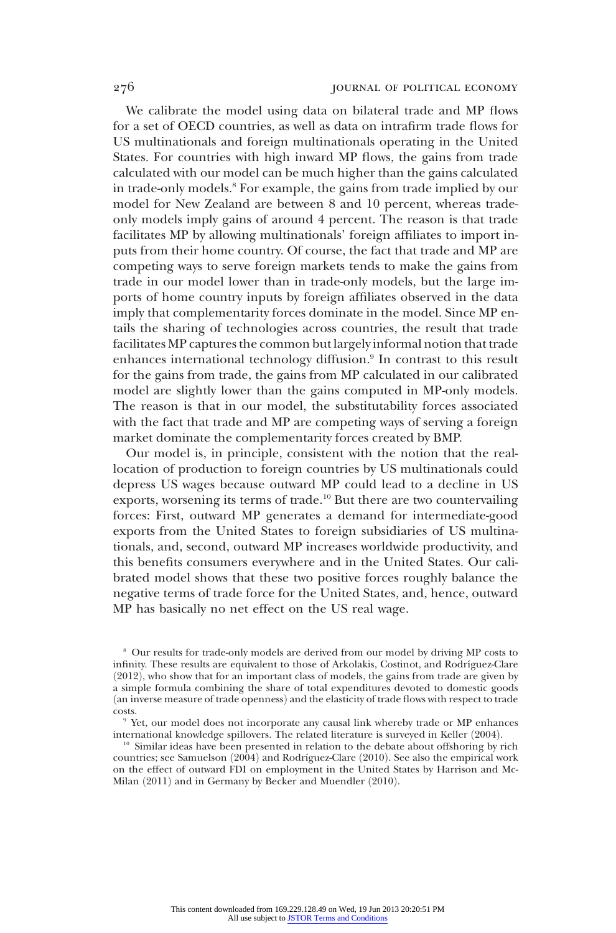We calibrate the model using data on bilateral trade and MP flows for a set of OECD countries, as well as data on intrafirm trade flows for US multinationals and foreign multinationals operating in the United States. For countries with high inward MP flows, the gains from trade calculated with our model can be much higher than the gains calculated in trade-only models.8 For example, the gains from trade implied by our model for New Zealand are between 8 and 10 percent, whereas tradeonly models imply gains of around 4 percent. The reason is that trade facilitates MP by allowing multinationals' foreign affiliates to import inputs from their home country. Of course, the fact that trade and MP are competing ways to serve foreign markets tends to make the gains from trade in our model lower than in trade-only models, but the large imports of home country inputs by foreign affiliates observed in the data imply that complementarity forces dominate in the model. Since MP entails the sharing of technologies across countries, the result that trade facilitates MP captures the common but largely informal notion that trade enhances international technology diffusion.<sup>9</sup> In contrast to this result for the gains from trade, the gains from MP calculated in our calibrated model are slightly lower than the gains computed in MP-only models. The reason is that in our model, the substitutability forces associated with the fact that trade and MP are competing ways of serving a foreign market dominate the complementarity forces created by BMP.

Our model is, in principle, consistent with the notion that the reallocation of production to foreign countries by US multinationals could depress US wages because outward MP could lead to a decline in US exports, worsening its terms of trade.10 But there are two countervailing forces: First, outward MP generates a demand for intermediate-good exports from the United States to foreign subsidiaries of US multinationals, and, second, outward MP increases worldwide productivity, and this benefits consumers everywhere and in the United States. Our calibrated model shows that these two positive forces roughly balance the negative terms of trade force for the United States, and, hence, outward MP has basically no net effect on the US real wage.

<sup>8</sup> Our results for trade-only models are derived from our model by driving MP costs to infinity. These results are equivalent to those of Arkolakis, Costinot, and Rodríguez-Clare (2012), who show that for an important class of models, the gains from trade are given by (2012), who show that for an important class of models, the gains from trade are given by<br>a simple formula combining the share of total expenditures devoted to domestic goods (an inverse measure of trade openness) and the elasticity of trade flows with respect to trade costs.

 $9$  Yet, our model does not incorporate any causal link whereby trade or MP enhances international knowledge spillovers. The related literature is surveyed in Keller (2004).

<sup>&</sup>lt;sup>10</sup> Similar ideas have been presented in relation to the debate about offshoring by rich countries; see Samuelson (2004) and Rodríguez-Clare (2010). See also the empirical work countries; see Samuelson (2004) and Rodríguez-Clare (2010). See also the empirical work<br>on the effect of outward FDI on employment in the United States by Harrison and Mc-Milan  $(2011)$  and in Germany by Becker and Muendler  $(2010)$ .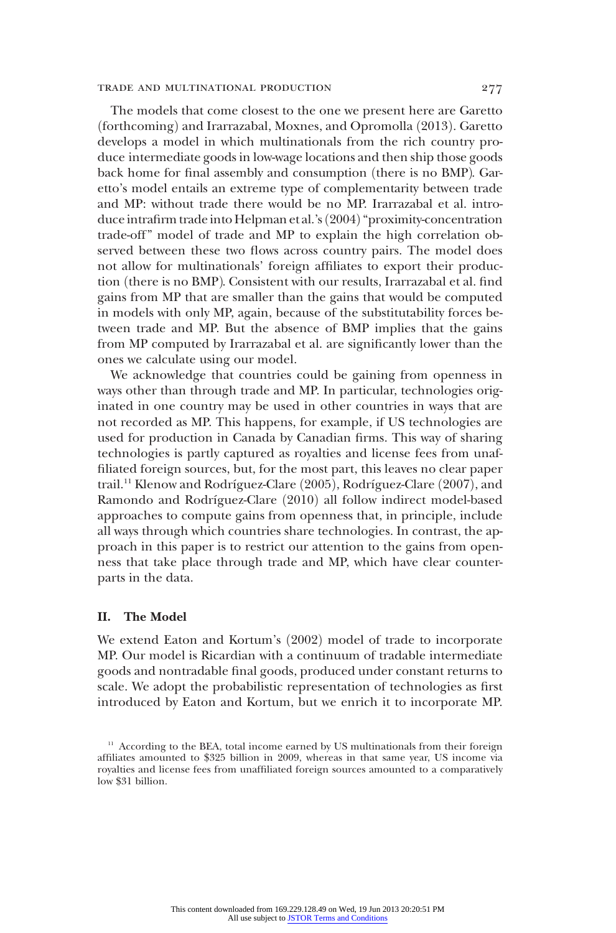The models that come closest to the one we present here are Garetto (forthcoming) and Irarrazabal, Moxnes, and Opromolla (2013). Garetto develops a model in which multinationals from the rich country produce intermediate goods in low-wage locations and then ship those goods back home for final assembly and consumption (there is no BMP). Garetto's model entails an extreme type of complementarity between trade and MP: without trade there would be no MP. Irarrazabal et al. introduce intrafirm trade into Helpman et al.'s (2004) "proximity-concentration trade-off" model of trade and MP to explain the high correlation observed between these two flows across country pairs. The model does not allow for multinationals' foreign affiliates to export their production (there is no BMP). Consistent with our results, Irarrazabal et al. find gains from MP that are smaller than the gains that would be computed in models with only MP, again, because of the substitutability forces between trade and MP. But the absence of BMP implies that the gains from MP computed by Irarrazabal et al. are significantly lower than the ones we calculate using our model.

We acknowledge that countries could be gaining from openness in ways other than through trade and MP. In particular, technologies originated in one country may be used in other countries in ways that are not recorded as MP. This happens, for example, if US technologies are used for production in Canada by Canadian firms. This way of sharing technologies is partly captured as royalties and license fees from unaffiliated foreign sources, but, for the most part, this leaves no clear paper trail.<sup>11</sup> Klenow and Rodríguez-Clare  $(2005)$ , Rodríguez-Clare  $(2007)$ , and Ramondo and Rodríguez-Clare (2010) all follow indirect model-based approaches to compute gains from openness that, in principle, include all ways through which countries share technologies. In contrast, the approach in this paper is to restrict our attention to the gains from openness that take place through trade and MP, which have clear counterparts in the data.

# II. The Model

We extend Eaton and Kortum's (2002) model of trade to incorporate MP. Our model is Ricardian with a continuum of tradable intermediate goods and nontradable final goods, produced under constant returns to scale. We adopt the probabilistic representation of technologies as first introduced by Eaton and Kortum, but we enrich it to incorporate MP.

 $11$  According to the BEA, total income earned by US multinationals from their foreign affiliates amounted to \$325 billion in 2009, whereas in that same year, US income via royalties and license fees from unaffiliated foreign sources amounted to a comparatively low \$31 billion.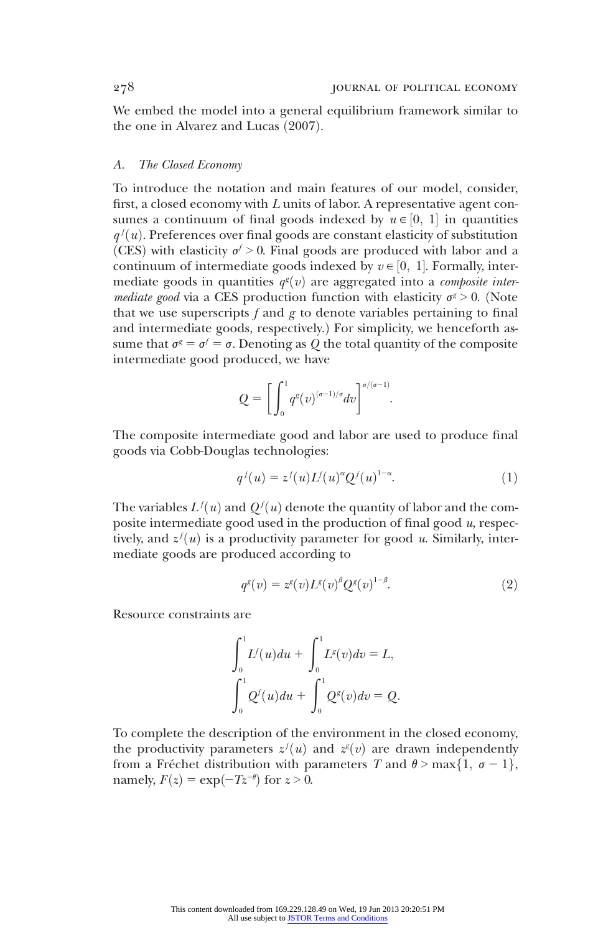We embed the model into a general equilibrium framework similar to the one in Alvarez and Lucas (2007).

# A. The Closed Economy

To introduce the notation and main features of our model, consider, first, a closed economy with L units of labor. A representative agent consumes a continuum of final goods indexed by  $u \in [0, 1]$  in quantities  $a^{f}(u)$ . Preferences over final goods are constant elasticity of substitution  $q^{f}(u)$ . Preferences over final goods are constant elasticity of substitution (CFS) with elasticity  $q > 0$ . Final goods are produced with labor and a (CES) with elasticity  $\sigma$  > 0. Final goods are produced with labor and a continuum of intermediate goods indexed by  $v \in [0, 1]$ . Formally, inter-<br>mediate goods in quantities  $g_s(v)$  are aggregated into a composite intermediate goods in quantities  $q^{g}(v)$  are aggregated into a *composite inter-*<br>mediate good via a CES production function with elasticity  $\sigma^{g} > 0$ . Note *mediate good* via a CES production function with elasticity  $\sigma$ <sup>g</sup> > 0. (Note that we use superscripts  $f$  and  $g$  to denote variables pertaining to final and intermediate goods, respectively.) For simplicity, we henceforth assume that  $\sigma^g = \sigma^f = \sigma$ . Denoting as Q the total quantity of the composite intermediate good produced, we have

$$
Q=\bigg[\int_0^1 q^g(v)^{(\sigma-1)/\sigma}dv\bigg]^{\sigma/(\sigma-1)}.
$$

The composite intermediate good and labor are used to produce final goods via Cobb-Douglas technologies:

$$
q^{f}(u) = z^{f}(u)L^{f}(u)^{\alpha}Q^{f}(u)^{1-\alpha}.
$$
 (1)

The variables  $L^{f}(u)$  and  $Q^{f}(u)$  denote the quantity of labor and the com-<br>posite intermediate good used in the production of final good  $u$ , respecposite intermediate good used in the production of final good u, respectively, and  $z^{f}(u)$  is a productivity parameter for good u. Similarly, inter-<br>mediate goods are produced according to mediate goods are produced according to

$$
q^g(v) = z^g(v)L^g(v)^{\beta}Q^g(v)^{1-\beta}.
$$
\n(2)

Resource constraints are

$$
\int_0^1 L'(u) du + \int_0^1 L''(v) dv = L,
$$
  

$$
\int_0^1 Q'(u) du + \int_0^1 Q''(v) dv = Q.
$$

To complete the description of the environment in the closed economy, the productivity parameters  $z^{f}(u)$  and  $z^{g}(v)$  are drawn independently<br>from a Exécute distribution with parameters T and  $\theta > \max\{1, \sigma - 1\}$ from a Fréchet distribution with parameters T and  $\theta$  > max $\{1, \sigma - 1\}$ , namely,  $F(z) = \exp(-Tz^{-\theta})$  for  $z > 0$ .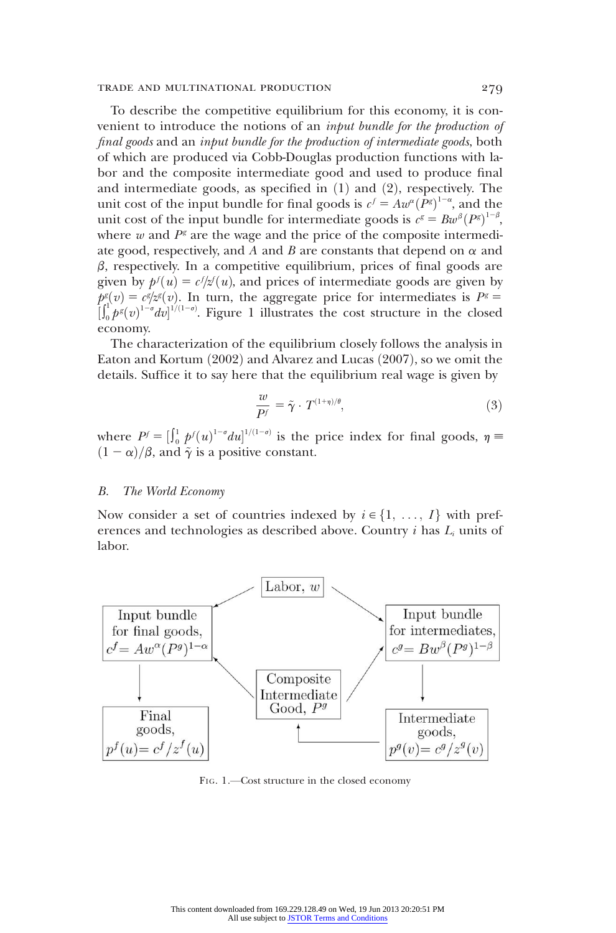To describe the competitive equilibrium for this economy, it is convenient to introduce the notions of an input bundle for the production of final goods and an input bundle for the production of intermediate goods, both of which are produced via Cobb-Douglas production functions with labor and the composite intermediate good and used to produce final and intermediate goods, as specified in  $(1)$  and  $(2)$ , respectively. The unit cost of the input bundle for final goods is  $c^f = Aw^\alpha (P^\varepsilon)^{1-\alpha}$ , and the unit cost of the input bundle for intermediate goods is  $c^g = Rw^\beta (P^\varepsilon)^{1-\beta}$ unit cost of the input bundle for intermediate goods is  $c^g = Bw^g(P^g)^{1-\beta}$ , where w and  $P^g$  are the wage and the price of the composite intermediate good, respectively, and A and B are constants that depend on  $\alpha$  and  $\beta$ , respectively. In a competitive equilibrium, prices of final goods are given by  $p'(u) = c'/z'(u)$ , and prices of intermediate goods are given by  $p(s) = c/\sqrt{s(u)}$ . In turn, the aggregate price for intermediates is  $P_s =$  $p^g(v) = c^g/z^g(v)$ . In turn, the aggregate price for intermediates is  $P^g = [1 \cdot bc(y)]^{1-g} dy^{1/(1-g)}$  Figure 1 illustrates the cost structure in the closed  $\int_0^1 \hat{p}^s(v)^{1-s} dv \, |^{1/(1-s)}$ . Figure 1 illustrates the cost structure in the closed economy.

The characterization of the equilibrium closely follows the analysis in Eaton and Kortum  $(2002)$  and Alvarez and Lucas  $(2007)$ , so we omit the details. Suffice it to say here that the equilibrium real wage is given by

$$
\frac{w}{P^f} = \tilde{\gamma} \cdot T^{(1+\eta)/\theta},\tag{3}
$$

where  $P^f = \left[\int_0^1 p^f(u)^{1-q} du\right]^{1/(1-q)}$  is the price index for final goods,  $\eta = (1-\alpha)/\beta$  and  $\tilde{\alpha}$  is a positive constant  $(1 - \alpha)/\beta$ , and  $\tilde{\gamma}$  is a positive constant.

# B. The World Economy

Now consider a set of countries indexed by  $i \in \{1, \ldots, I\}$  with preferences and technologies as described above. Country  $i$  has  $L_i$  units of labor.



FIG. 1.—Cost structure in the closed economy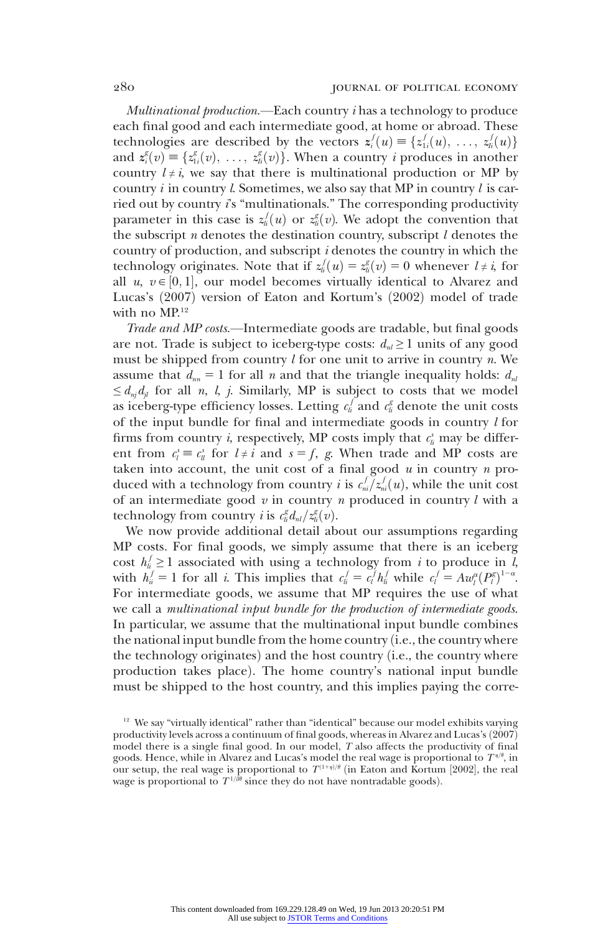Multinational production.—Each country i has a technology to produce each final good and each intermediate good, at home or abroad. These technologies are described by the vectors  $z_i^f(u) \equiv \{z_{1i}^f(u), \ldots, z_n^f(u)\}$ <br>and  $z^g(v) \equiv \{z^g(v) \mid z^g(v)\}$ . When a country i produces in another and  $z_i^g(v) \equiv \{z_{i}(v), \ldots, z_{i}(v)\}\$ . When a country *i* produces in another country  $l \neq i$  we say that there is multinational production or MP by country  $l \neq i$ , we say that there is multinational production or MP by country i in country  $l$ . Sometimes, we also say that MP in country  $l$  is carried out by country i's "multinationals." The corresponding productivity parameter in this case is  $z_n^f(u)$  or  $z_n^g(v)$ . We adopt the convention that the subscript *n* denotes the destination country subscript *l* denotes the the subscript  $n$  denotes the destination country, subscript  $l$  denotes the country of production, and subscript  $i$  denotes the country in which the technology originates. Note that if  $z_n^f(u) = z_n^g(v) = 0$  whenever  $l \neq i$ , for all  $u, v \in [0, 1]$  our model becomes virtually identical to Alvarez and all  $u, v \in [0, 1]$ , our model becomes virtually identical to Alvarez and<br>Lucas's (2007) version of Eaton and Kortum's (2002) model of trade Lucas's (2007) version of Eaton and Kortum's (2002) model of trade with no MP.<sup>12</sup>

Trade and MP costs.—Intermediate goods are tradable, but final goods are not. Trade is subject to iceberg-type costs:  $d_n \geq 1$  units of any good must be shipped from country  $l$  for one unit to arrive in country  $n$ . We assume that  $d_{nn} = 1$  for all n and that the triangle inequality holds:  $d_{nl}$  $\leq d_{nj}d_{jl}$  for all *n*, *l*, *j*. Similarly, MP is subject to costs that we model as iceberg-type efficiency losses. Letting  $c_i^f$  and  $c_i^g$  denote the unit costs of the input bundle for final and intermediate goods in country  $l$  for firms from country *i*, respectively, MP costs imply that  $c_i^s$  may be different from  $c_i^s \equiv c_i^s$  for  $l \neq i$  and  $s = f$ , g. When trade and MP costs are taken into account, the unit cost of a final good  $u$  in country  $n$  produced with a technology from country *i* is  $c_n^f/z_n^f(u)$ , while the unit cost of an intermediate good *z* in country *i* produced in country *l* with a of an intermediate good  $v$  in country  $n$  produced in country  $l$  with a technology from country *i* is  $c_n^g d_{nl}/z_n^g(v)$ .<br>We now provide additional detail ab

We now provide additional detail about our assumptions regarding MP costs. For final goods, we simply assume that there is an iceberg cost  $h'_i \geq 1$  associated with using a technology from i to produce in l, with  $h_n^j = 1$  for all i. This implies that  $c_n^j = c_n^f h_n^j$  while  $c_i^f = A w_i^{\alpha} (P_i^{\beta})^{1-\alpha}$ .<br>For intermediate goods, we assume that MP requires the use of what For intermediate goods, we assume that MP requires the use of what<br>For intermediate goods, we assume that MP requires the use of what we call a multinational input bundle for the production of intermediate goods. In particular, we assume that the multinational input bundle combines the national input bundle from the home country  $(i.e., the country where$ the technology originates) and the host country (i.e., the country where production takes place). The home country's national input bundle must be shipped to the host country, and this implies paying the corre-

 $12$  We say "virtually identical" rather than "identical" because our model exhibits varying productivity levels across a continuum of final goods, whereas in Alvarez and Lucas's (2007) model there is a single final good. In our model, T also affects the productivity of final goods. Hence, while in Alvarez and Lucas's model the real wage is proportional to  $T^{\pi/\theta},$  in our setup, the real wage is proportional to  $T^{(1+\eta)/\theta}$  (in Eaton and Kortum [2002], the real<br>wage is proportional to  $T^{1/\beta\theta}$  since they do not have pontradable goods) wage is proportional to  $T^{1/\hat{\beta}\theta}$  since they do not have nontradable goods).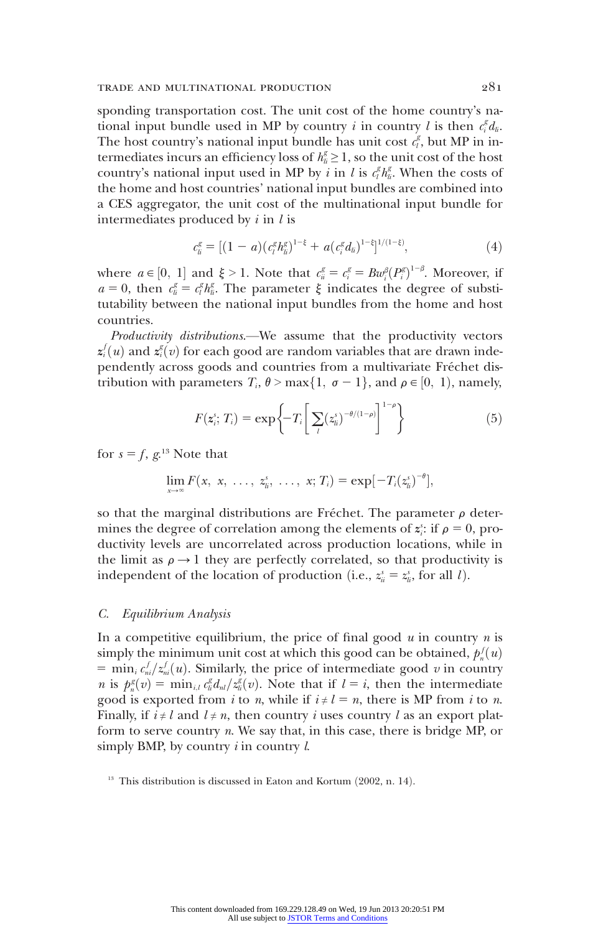sponding transportation cost. The unit cost of the home country's national input bundle used in MP by country *i* in country *l* is then  $c_i^{\mathcal{g}}d_{\mathcal{h}}$ . The host country's national input bundle has unit cost  $c_l^g$ , but MP in intermediates incurs an efficiency loss of  $h^g_u \geq 1$ , so the unit cost of the host country's national input used in MP by i in l is  $c_i^s h_i^g$ . When the costs of the home and host countries' national input bundles are combined into a CES aggregator, the unit cost of the multinational input bundle for intermediates produced by  $i$  in  $l$  is

$$
c_{\tilde{u}}^g = [(1-a)(c_{\tilde{t}}^g h_{\tilde{u}}^g)^{1-\xi} + a(c_{\tilde{t}}^g d_{\tilde{u}})^{1-\xi}]^{1/(1-\xi)},
$$
\n(4)

where  $a \in [0, 1]$  and  $\xi > 1$ . Note that  $c_n^g = c_i^g = B w_i^g (P_i^g)^{1-\beta}$ . Moreover, if  $a = 0$ , then  $c_1^g = c_1^g b_1^g$ . The parameter  $\xi$  indicates the degree of substitution where  $a \in [0, 1]$  and  $\zeta > 1$ . Note that  $v_{ii} = v_i - B w_i (1, i)$ . Moreover, in  $a = 0$ , then  $c_{ii}^g = c_i^g h_{ii}^g$ . The parameter  $\xi$  indicates the degree of substitutability between the national input bundles from the home and host countries.

Productivity distributions.—We assume that the productivity vectors  $z_i^f(u)$  and  $z_i^g(v)$  for each good are random variables that are drawn inde-<br>pendently across goods and countries from a multivariate Fréchet dispendently across goods and countries from a multivariate Fréchet distribution with parameters  $T_i$ ,  $\theta > \max\{1, \sigma - 1\}$ , and  $\rho \in [0, 1)$ , namely,

$$
F(z_i^s; T_i) = \exp\left\{-T_i \left[\sum_l (z_{li}^s)^{-\theta/(1-\rho)}\right]^{1-\rho}\right\} \tag{5}
$$

for  $s = f$ ,  $g$ <sup>13</sup> Note that

$$
\lim_{x\to\infty}F(x, x, \ldots, z_i, \ldots, x; T_i)=\exp[-T_i(z_i^s)^{-\theta}],
$$

so that the marginal distributions are Fréchet. The parameter  $\rho$  determines the degree of correlation among the elements of  $z_i^s$ : if  $\rho = 0$ , productivity levels are uncorrelated across production locations, while in the limit as  $\rho \rightarrow 1$  they are perfectly correlated, so that productivity is independent of the location of production (i.e.,  $z_{ii}^s = z_{ii}^s$ , for all  $l$ ).

# C. Equilibrium Analysis

In a competitive equilibrium, the price of final good  $u$  in country  $n$  is simply the minimum unit cost at which this good can be obtained,  $p_n^f(u)$ <br>= min.  $c^f / z^f(u)$ . Similarly, the price of intermediate good  $v$  in country = min<sub>i</sub>  $c_n^f/z_n^f(u)$ . Similarly, the price of intermediate good v in country<br>n is  $b^{g}(v)$  = min<sub>ii</sub>  $c^g/d$ ,  $(z^g(v))$ . Note that if  $l = i$ , then the intermediate *n* is  $p_n^g(v) = \min_{i,l} c_u^g d_{nl}/z_u^g(v)$ . Note that if  $l = i$ , then the intermediate good is exported from *i* to *n* while if  $i + l = n$  there is MP from *i* to *n* good is exported from i to n, while if  $i \neq l = n$ , there is MP from i to n. Finally, if  $i \neq l$  and  $l \neq n$ , then country i uses country l as an export platform to serve country n. We say that, in this case, there is bridge MP, or simply BMP, by country  $i$  in country  $l$ .

<sup>&</sup>lt;sup>13</sup> This distribution is discussed in Eaton and Kortum  $(2002, n. 14)$ .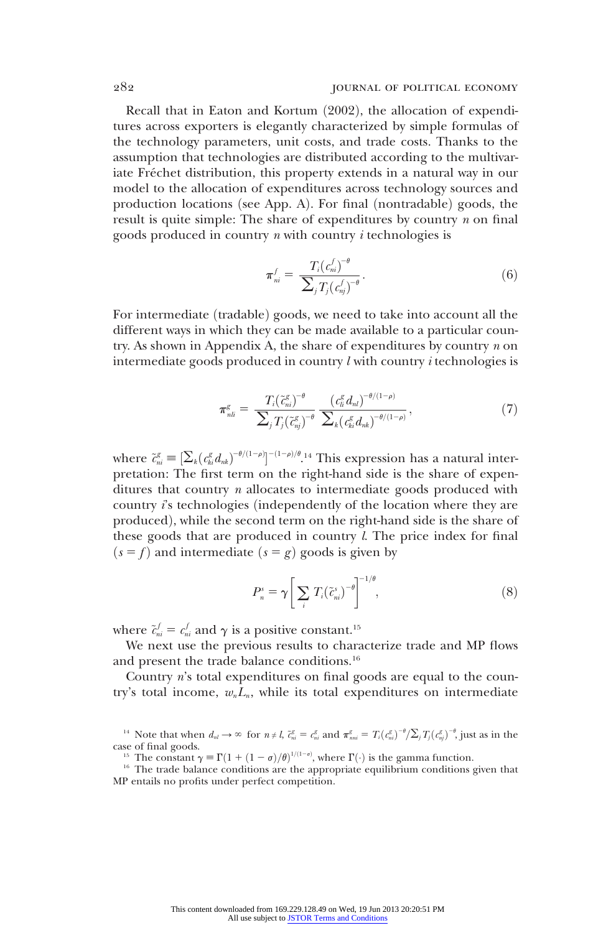Recall that in Eaton and Kortum (2002), the allocation of expenditures across exporters is elegantly characterized by simple formulas of the technology parameters, unit costs, and trade costs. Thanks to the assumption that technologies are distributed according to the multivariate Fréchet distribution, this property extends in a natural way in our model to the allocation of expenditures across technology sources and production locations (see App. A). For final (nontradable) goods, the result is quite simple: The share of expenditures by country  $n$  on final goods produced in country  $n$  with country  $i$  technologies is

$$
\pi_{ni}^f = \frac{T_i (c_{ni}^f)^{-\theta}}{\sum_j T_j (c_{nj}^f)^{-\theta}}.
$$
\n(6)

For intermediate (tradable) goods, we need to take into account all the different ways in which they can be made available to a particular country. As shown in Appendix A, the share of expenditures by country  $n$  on intermediate goods produced in country  $l$  with country  $i$  technologies is

$$
\pi_{nli}^g = \frac{T_i (\tilde{c}_{ni}^g)^{-\theta}}{\sum_j T_j (\tilde{c}_{nj}^g)^{-\theta}} \frac{(c_{li}^g d_{nl})^{-\theta/(1-\rho)}}{\sum_k (c_{ki}^g d_{nk})^{-\theta/(1-\rho)}},
$$
(7)

where  $\tilde{c}_{ni}^g \equiv \left[ \sum_k (c_{ki}^g d_{nk})^{-\theta/(1-\rho)} \right]^{-(1-\rho)/\theta}$ .<sup>14</sup> This expression has a natural inter-<br>pretation: The first term on the right-hand side is the share of expenpretation: The first term on the right-hand side is the share of expenditures that country n allocates to intermediate goods produced with country  $i$ 's technologies (independently of the location where they are produced), while the second term on the right-hand side is the share of these goods that are produced in country  $l$ . The price index for final  $(s = f)$  and intermediate  $(s = g)$  goods is given by

$$
P_n^s = \gamma \bigg[ \sum_i T_i (\tilde{c}_{ni}^s)^{-\theta} \bigg]^{-1/\theta}, \tag{8}
$$

where  $\tilde{c}_{ni}^f = c_{ni}^f$  and  $\gamma$  is a positive constant.<sup>15</sup>

We next use the previous results to characterize trade and MP flows and present the trade balance conditions.<sup>16</sup>

Country n's total expenditures on final goods are equal to the country's total income,  $w_n L_n$ , while its total expenditures on intermediate

<sup>&</sup>lt;sup>14</sup> Note that when  $d_{nl} \to \infty$  for  $n \neq l$ ,  $\tilde{c}_{ni}^g = c_{ni}^g$  and  $\pi_{nni}^g = T_i (c_{ni}^g)^{-\theta}/\sum_j T_j (c_{nj}^g)^{-\theta}$ , just as in the case of final goods.

<sup>&</sup>lt;sup>15</sup> The constant  $\gamma \equiv \Gamma(1 + (1 - \sigma)/\theta)^{1/(1 - \sigma)}$ , where  $\Gamma(\cdot)$  is the gamma function.

<sup>&</sup>lt;sup>15</sup> The constant  $\gamma = \Gamma(1 + (1 - \sigma)/\theta)^{1/(1 - \sigma)}$ , where  $\Gamma(\cdot)$  is the gamma function.<br><sup>16</sup> The trade balance conditions are the appropriate equilibrium conditions given that MP entails no profits under perfect competition.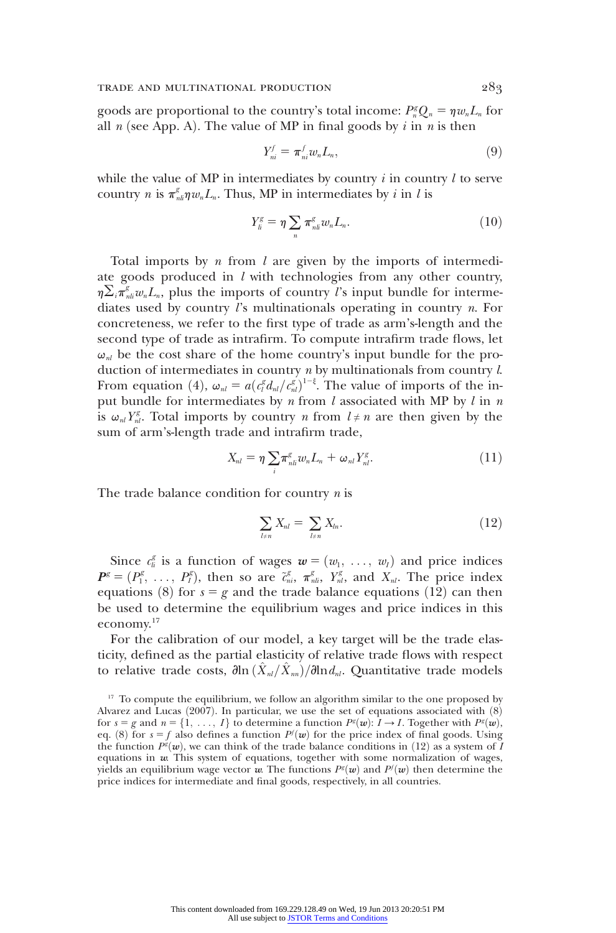goods are proportional to the country's total income:  $P^g_nQ_n = \eta w_nL_n$  for all *n* (see App. A). The value of MP in final goods by i in *n* is then

$$
Y'_{ni} = \pi'_{ni} w_n L_n, \tag{9}
$$

while the value of MP in intermediates by country  $i$  in country  $l$  to serve country *n* is  $\pi_{nk}^g \eta w_n L_n$ . Thus, MP in intermediates by *i* in *l* is

$$
Y_{\scriptscriptstyle \tilde{B}}^{\scriptscriptstyle g} = \eta \sum_{\scriptscriptstyle n} \pi_{\scriptscriptstyle n\tilde{B}}^{\scriptscriptstyle g} w_{\scriptscriptstyle n} L_{\scriptscriptstyle n}.\tag{10}
$$

Total imports by  $n$  from  $l$  are given by the imports of intermediate goods produced in  $l$  with technologies from any other country,  $\eta\Sigma_i\pi_{\scriptscriptstyle{nli}}^{\scriptscriptstyle{S}} w_{\scriptscriptstyle{n}}L_{\scriptscriptstyle{n}},$  plus the imports of country  $l$ 's input bundle for intermediates used by country  $\ell$ 's multinationals operating in country  $n$ . For concreteness, we refer to the first type of trade as arm's-length and the second type of trade as intrafirm. To compute intrafirm trade flows, let  $\omega_{nl}$  be the cost share of the home country's input bundle for the production of intermediates in country  $n$  by multinationals from country  $l$ . From equation (4),  $\omega_{nl} = a (c_l^g d_{nl}/c_{nl}^g)^{1-\xi}$ . The value of imports of the in-<br>put bundle for intermediates by *n* from *l* associated with MP by *l* in *n* put bundle for intermediates by *n* from *l* associated with MP by *l* in *n* put bundle for intermediates by *n* from *l* associated with MP by *l* in *n* is  $\omega_{nl} Y_{nl}^g$ . Total imports by country n from  $l \neq n$  are then given by the sum of arm's-length trade and intrafirm trade,

$$
X_{nl} = \eta \sum_{i} \pi_{nli}^{\epsilon} w_n L_n + \omega_{nl} Y_{nl}^{\epsilon}.
$$
 (11)

The trade balance condition for country  $n$  is

$$
\sum_{l \neq n} X_{nl} = \sum_{l \neq n} X_{ln}.
$$
\n(12)

Since  $c_n^g$  is a function of wages  $\mathbf{w} = (w_1, \ldots, w_l)$  and price indices  $= (P^g \t P^g)$  then so are  $\tilde{c}^g \t T^g \t N^g$  and  $\tilde{X}$ . The price index  $P^g = (P_1^g, \ldots, P_l^g)$ , then so are  $\tilde{c}_{ni}^g$ ,  $\pi_{ni}^g$ ,  $Y_{ni}^g$ , and  $X_{ni}$ . The price index equations (8) for  $s = g$  and the trade balance equations (19) can then equations (8) for  $s = g$  and the trade balance equations (12) can then be used to determine the equilibrium wages and price indices in this economy.17

For the calibration of our model, a key target will be the trade elasticity, defined as the partial elasticity of relative trade flows with respect to relative trade costs,  $\partial \ln (\hat{X}_{nl}/\hat{X}_{nn})/\partial \ln d_{nl}$ . Quantitative trade models

This content downloaded from 169.229.128.49 on Wed, 19 Jun 2013 20:20:51 PM All use subject to [JSTOR Terms and Conditions](http://www.jstor.org/page/info/about/policies/terms.jsp)

<sup>&</sup>lt;sup>17</sup> To compute the equilibrium, we follow an algorithm similar to the one proposed by Alvarez and Lucas  $(2007)$ . In particular, we use the set of equations associated with  $(8)$ for  $s = g$  and  $n = \{1, ..., I\}$  to determine a function  $P^g(w): I \to I$ . Together with  $P^g(w)$ ,<br>eq. (8) for  $s = f$  also defines a function  $P^f(w)$  for the price index of final goods. Using eq. (8) for  $s = f$  also defines a function  $P'(w)$  for the price index of final goods. Using the function  $P^g(w)$  we can think of the trade balance conditions in (19) as a system of l the function  $P^g(w)$ , we can think of the trade balance conditions in (12) as a system of  $I$ <br>equations in  $w$ . This system of equations, together with some normalization of wages equations in w. This system of equations, together with some normalization of wages, yields an equilibrium wage vector  $w$ . The functions  $P^g(w)$  and  $P^f(w)$  then determine the price indices for intermediate and final goods, respectively in all countries price indices for intermediate and final goods, respectively, in all countries.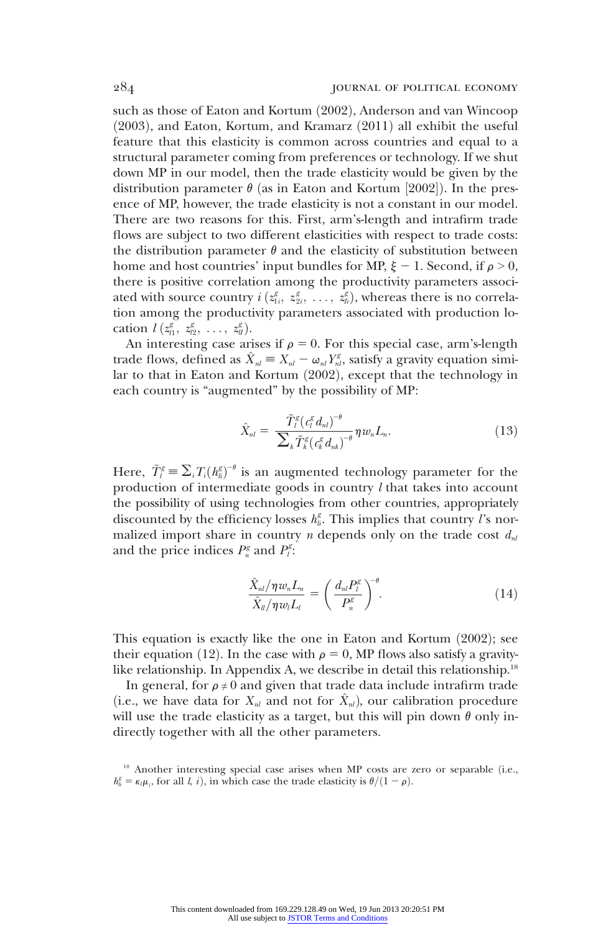such as those of Eaton and Kortum (2002), Anderson and van Wincoop  $(2003)$ , and Eaton, Kortum, and Kramarz  $(2011)$  all exhibit the useful feature that this elasticity is common across countries and equal to a structural parameter coming from preferences or technology. If we shut down MP in our model, then the trade elasticity would be given by the distribution parameter  $\theta$  (as in Eaton and Kortum [2002]). In the pres-<br>ence of MP however, the trade elasticity is not a constant in our model ence of MP, however, the trade elasticity is not a constant in our model. There are two reasons for this. First, arm's-length and intrafirm trade flows are subject to two different elasticities with respect to trade costs: the distribution parameter  $\theta$  and the elasticity of substitution between home and host countries' input bundles for MP,  $\xi - 1$ . Second, if  $\rho > 0$ , there is positive correlation among the productivity parameters associated with source country  $i(z_{1i}^g, z_{2i}^g, \ldots, z_{li}^g)$ , whereas there is no correla-<br>tion among the productivity parameters associated with production lotion among the productivity parameters associated with production location  $l(z_0^g, z_0^g, \ldots, z_u^g)$ .<br>An interesting case are

An interesting case arises if  $\rho = 0$ . For this special case, arm's-length trade flows, defined as  $\hat{X}_{nl} \equiv X_{nl} - \omega_{nl} Y_{nl}^g$ , satisfy a gravity equation similar to that in Eaton and Kortum (2002), except that the technology in each country is "augmented" by the possibility of MP:

$$
\hat{X}_{nl} = \frac{\tilde{T}_l^g (c_l^g d_{nl})^{-\theta}}{\sum_k \tilde{T}_k^g (c_k^g d_{nk})^{-\theta}} \eta w_n L_n.
$$
\n(13)

Here,  $\tilde{T}_{i}^{g} \equiv \sum_{i} T_{i} (h_{ij}^{g})^{-\theta}$  is an augmented technology parameter for the production of intermediate goods in country *l* that takes into account First,  $I_l = \sum_i I_i(n_{ij})$  is an augmented definition of intermediate goods in country l that takes into account the possibility of using technologies from other countries, appropriately discounted by the efficiency losses  $h^g_{li}$ . This implies that country l's normalized import share in country *n* depends only on the trade cost  $d_{nl}$ and the price indices  $P_n^g$  and  $P_i^g$ :

$$
\frac{\hat{X}_{nl}/\eta w_n L_n}{\hat{X}_{ll}/\eta w_l L_l} = \left(\frac{d_{nl} P_l^g}{P_n^g}\right)^{-\theta}.\tag{14}
$$

This equation is exactly like the one in Eaton and Kortum  $(2002)$ ; see their equation (12). In the case with  $\rho = 0$ , MP flows also satisfy a gravitylike relationship. In Appendix A, we describe in detail this relationship.<sup>18</sup>

In general, for  $\rho \neq 0$  and given that trade data include intrafirm trade (i.e., we have data for  $X_{nl}$  and not for  $\hat{X}_{nl}$ ), our calibration procedure will use the trade elasticity as a target, but this will pin down  $\theta$  only indirectly together with all the other parameters.

 $18$  Another interesting special case arises when MP costs are zero or separable (i.e.,  $h_{\tilde{u}}^g = \kappa_i \mu_i$ , for all *l*, *i*), in which case the trade elasticity is  $\theta/(1 - \rho)$ .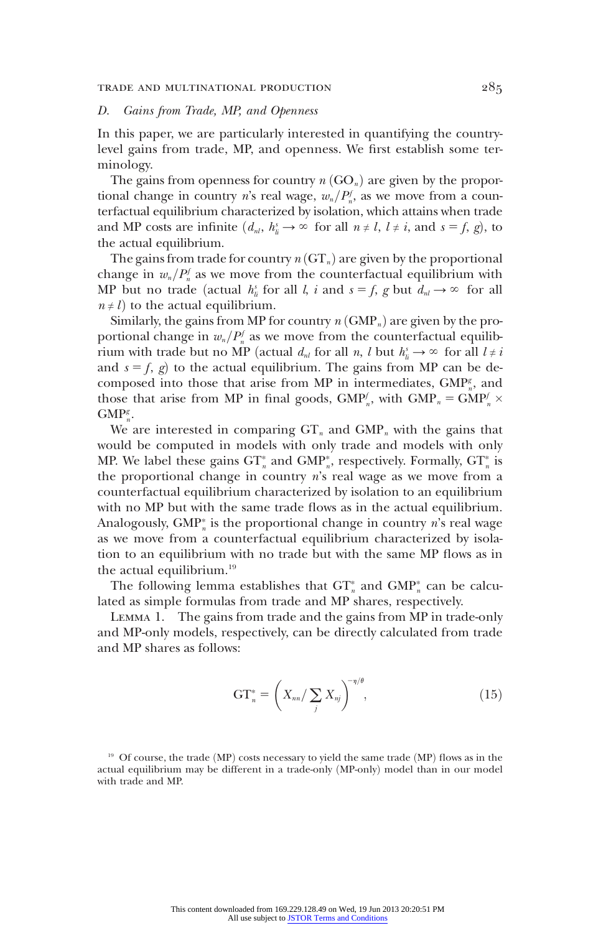#### D. Gains from Trade, MP, and Openness

In this paper, we are particularly interested in quantifying the countrylevel gains from trade, MP, and openness. We first establish some terminology.

The gains from openness for country  $n(GO_n)$  are given by the proportional change in country *n*'s real wage,  $w_n/P_n^f$ , as we move from a counterfactual equilibrium characterized by isolation, which attains when trade and MP costs are infinite  $(d_{nl}, h_{li}^s \to \infty$  for all  $n \neq l, l \neq i$ , and  $s = f, g$ , to the actual equilibrium the actual equilibrium.

The gains from trade for country  $n(GT_n)$  are given by the proportional change in  $w_n/P_n^f$  as we move from the counterfactual equilibrium with MP but no trade (actual  $h_k^s$  for all *l*, *i* and  $s = f$ , *g* but  $d_{nl} \rightarrow \infty$  for all  $n \neq l$ ) to the actual equilibrium  $n \neq l$  to the actual equilibrium.

Similarly, the gains from MP for country  $n(GMP_n)$  are given by the proportional change in  $w_n/P_n^f$  as we move from the counterfactual equilibrium with trade but no MP (actual  $d_{nl}$  for all  $n$ , l but  $h_n^s \to \infty$  for all  $l \neq i$ <br>and  $s = f_n^s$  to the actual equilibrium. The gains from MP can be deand  $s = f, g$  to the actual equilibrium. The gains from MP can be decomposed into those that arise from MP in intermediates,  $\text{GMP}_{n}^{g}$ , and those that arise from MP in final goods,  $\text{GMP}_n^f$ , with  $\text{GMP}_n = \text{GMP}_n^f \times \text{GMP}_n^g$  $\text{GMP}_{n}^{g}$ .

We are interested in comparing  $GT_n$  and  $GMP_n$  with the gains that would be computed in models with only trade and models with only MP. We label these gains  $GT_n^*$  and  $GMP_n^*$ , respectively. Formally,  $GT_n^*$  is the proportional change in country n's real wage as we move from a counterfactual equilibrium characterized by isolation to an equilibrium with no MP but with the same trade flows as in the actual equilibrium. Analogously,  $\mathrm{GMP}^*_n$  is the proportional change in country  $n$ 's real wage as we move from a counterfactual equilibrium characterized by isolation to an equilibrium with no trade but with the same MP flows as in the actual equilibrium. $19$ 

The following lemma establishes that  $GT_n^*$  and  $GMP_n^*$  can be calculated as simple formulas from trade and MP shares, respectively.

Lemma 1. The gains from trade and the gains from MP in trade-only and MP-only models, respectively, can be directly calculated from trade and MP shares as follows:

$$
GT_n^* = \left(X_{nn}/\sum_j X_{nj}\right)^{-\eta/\theta},\tag{15}
$$

<sup>19</sup> Of course, the trade  $(MP)$  costs necessary to yield the same trade  $(MP)$  flows as in the trade-only  $(MP)$  conly  $(MP)$  model than in our model actual equilibrium may be different in a trade-only (MP-only) model than in our model<br>with trade and MP with trade and MP.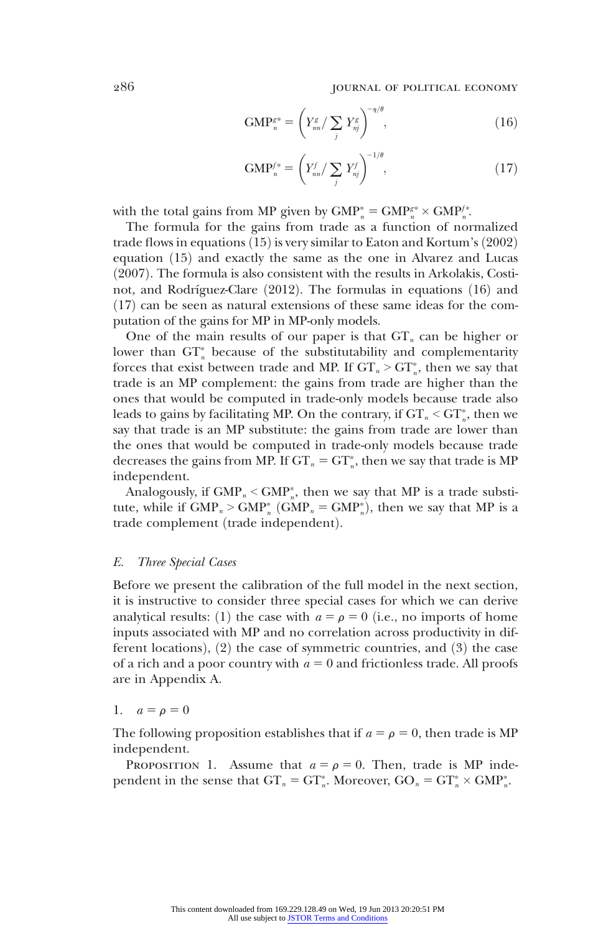$$
\text{GMP}_{n}^{g*} = \left(Y_{nn}^{g}/\sum_{j} Y_{nj}^{g}\right)^{-\eta/\theta},\tag{16}
$$

$$
\text{GMP}_{n}^{\prime*} = \left(Y_{nn}^f / \sum_{j} Y_{nj}^f\right)^{-1/\theta},\tag{17}
$$

with the total gains from MP given by  $GMP_i^* = GMP_i^{s*} \times GMP_i^{s*}$ .<br>The formula for the gains from trade as a function of not

The formula for the gains from trade as a function of normalized trade flows in equations  $(15)$  is very similar to Eaton and Kortum's  $(2002)$ equation  $(15)$  and exactly the same as the one in Alvarez and Lucas  $(2007)$ . The formula is also consistent with the results in Arkolakis, Costinot, and Rodríguez-Clare (2012). The formulas in equations (16) and  $(17)$  can be seen as natural extensions of these same ideas for the computation of the gains for MP in MP-only models.

One of the main results of our paper is that  $GT_n$  can be higher or lower than  $GT^*_n$  because of the substitutability and complementarity forces that exist between trade and MP. If  $GT_n > GT_n^*$ , then we say that trade is an MP complement: the gains from trade are higher than the ones that would be computed in trade-only models because trade also leads to gains by facilitating MP. On the contrary, if  $\mathrm{GT}_n$  <  $\mathrm{GT}_n^*$ , then we say that trade is an MP substitute: the gains from trade are lower than the ones that would be computed in trade-only models because trade decreases the gains from MP. If  $GT_n = GT_n^*$ , then we say that trade is MP independent.

Analogously, if  $\mathrm{GMP}_{n} < \mathrm{GMP}_{n}^{*}$ , then we say that MP is a trade substitute, while if  $GMP_n > GMP_n^*$   $(GMP_n = GMP_n^*)$ , then we say that MP is a trade complement (trade independent) trade complement (trade independent).

# E. Three Special Cases

Before we present the calibration of the full model in the next section, it is instructive to consider three special cases for which we can derive analytical results: (1) the case with  $a = \rho = 0$  (i.e., no imports of home inputs associated with MP and no correlation across productivity in different locations),  $(2)$  the case of symmetric countries, and  $(3)$  the case of a rich and a poor country with  $a = 0$  and frictionless trade. All proofs are in Appendix A.

# 1.  $a = \rho = 0$

The following proposition establishes that if  $a = \rho = 0$ , then trade is MP independent.

PROPOSITION 1. Assume that  $a = \rho = 0$ . Then, trade is MP independent in the sense that  $GT_n = GT_n^*$ . Moreover,  $GO_n = GT_n^* \times GMP_n^*$ .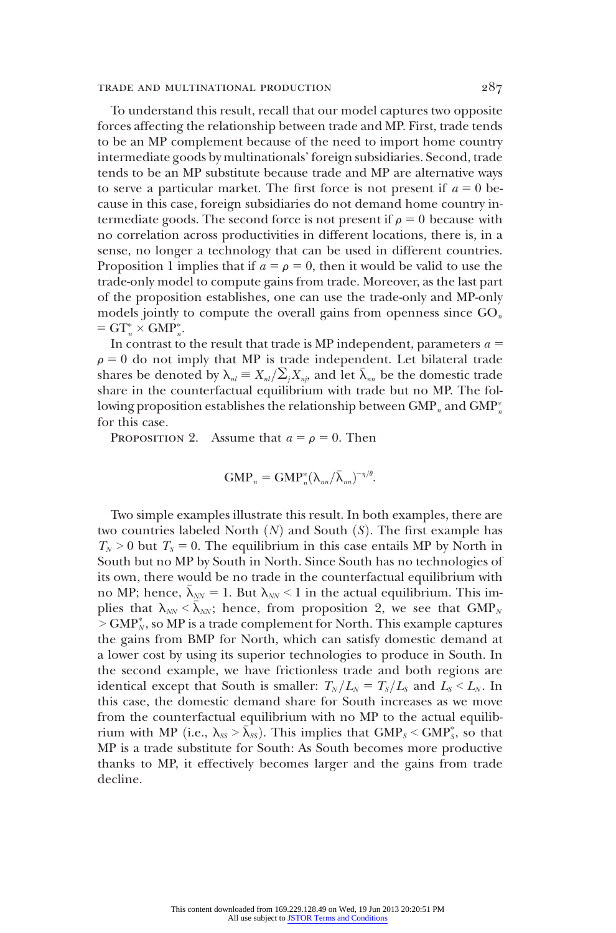To understand this result, recall that our model captures two opposite forces affecting the relationship between trade and MP. First, trade tends to be an MP complement because of the need to import home country intermediate goods by multinationals' foreign subsidiaries. Second, trade tends to be an MP substitute because trade and MP are alternative ways to serve a particular market. The first force is not present if  $a = 0$  because in this case, foreign subsidiaries do not demand home country intermediate goods. The second force is not present if  $\rho = 0$  because with no correlation across productivities in different locations, there is, in a sense, no longer a technology that can be used in different countries. Proposition 1 implies that if  $a = \rho = 0$ , then it would be valid to use the trade-only model to compute gains from trade. Moreover, as the last part of the proposition establishes, one can use the trade-only and MP-only models jointly to compute the overall gains from openness since  $GO_n$  $=\frac{G}{n}X^* \times \frac{GMP_n^*}{n}.$ 

In contrast to the result that trade is MP independent, parameters  $a =$  $\rho = 0$  do not imply that MP is trade independent. Let bilateral trade shares be denoted by  $\lambda_{nl} \equiv X_{nl}/\sum_j X_{nj}$ , and let  $\bar{\lambda}_{nn}$  be the domestic trade share in the counterfactual equilibrium with trade but no MP. The following proposition establishes the relationship between  $\mathrm{GMP}_n$  and  $\mathrm{GMP}_n^*$ for this case.

PROPOSITION 2. Assume that  $a = \rho = 0$ . Then

$$
\text{GMP}_n = \text{GMP}_n^*(\lambda_{nn}/\bar{\lambda}_{nn})^{-\eta/\theta}.
$$

Two simple examples illustrate this result. In both examples, there are two countries labeled North  $(N)$  and South  $(S)$ . The first example has  $T_N > 0$  but  $T_s = 0$ . The equilibrium in this case entails MP by North in South but no MP by South in North. Since South has no technologies of its own, there would be no trade in the counterfactual equilibrium with no MP; hence,  $\bar{\lambda}_{NN} = 1$ . But  $\lambda_{NN} < 1$  in the actual equilibrium. This implies that  $\lambda_{NN} < \bar{\lambda}_{NN}$ ; hence, from proposition 2, we see that  $\text{GMP}_N$  $>$  GMP $_{N}^{*}$ , so MP is a trade complement for North. This example captures the gains from BMP for North, which can satisfy domestic demand at a lower cost by using its superior technologies to produce in South. In the second example, we have frictionless trade and both regions are identical except that South is smaller:  $T_N/L_N = T_S/L_S$  and  $L_S < L_N$ . In this case, the domestic demand share for South increases as we move from the counterfactual equilibrium with no MP to the actual equilibrium with MP (i.e.,  $\lambda_{SS} > \bar{\lambda}_{SS}$ ). This implies that  $GMP_S < GMP_S^*$ , so that MP is a trade substitute for South: As South becomes more productive MP is a trade substitute for South: As South becomes more productive thanks to MP, it effectively becomes larger and the gains from trade decline.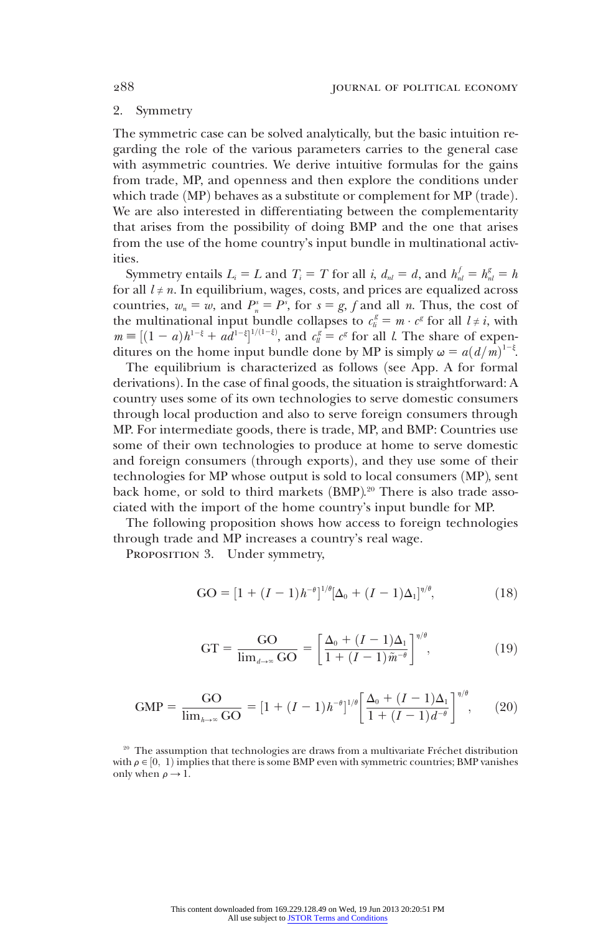# 2. Symmetry

The symmetric case can be solved analytically, but the basic intuition regarding the role of the various parameters carries to the general case with asymmetric countries. We derive intuitive formulas for the gains from trade, MP, and openness and then explore the conditions under which trade  $(MP)$  behaves as a substitute or complement for  $MP$  (trade). We are also interested in differentiating between the complementarity that arises from the possibility of doing BMP and the one that arises from the use of the home country's input bundle in multinational activities.

Symmetry entails  $L_i = L$  and  $T_i = T$  for all i,  $d_{nl} = d$ , and  $h_{nl}^f = h_{nl}^g = h$ for all  $l \neq n$ . In equilibrium, wages, costs, and prices are equalized across countries,  $w_n = w$ , and  $P_n^s = P^s$ , for  $s = g$ , f and all n. Thus, the cost of the multinational input bundle collapses to  $c_6^g = m \cdot c^g$  for all  $l \neq i$ , with  $m \equiv [(1 - a)h^{1 - \xi} + ad^{1 - \xi}]^{1/(1 - \xi)}$  and  $c^g = c^g$  for all *l*. The share of expen $m \equiv [(1-a)h^{1-\xi} + ad^{1-\xi}]$ <br>ditures on the home in ditures on the home input bundle done by MP is simply  $\omega = a(d/m)^{1-\xi}$ .<br>The equilibrium is characterized as follows (see App. A for formal  $\int_0^{1/(1-\xi)}$ , and  $c_u^g = c^g$  for all *l*. The share of expen-

The equilibrium is characterized as follows (see App. A for formal derivations). In the case of final goods, the situation is straightforward: A country uses some of its own technologies to serve domestic consumers through local production and also to serve foreign consumers through MP. For intermediate goods, there is trade, MP, and BMP: Countries use some of their own technologies to produce at home to serve domestic and foreign consumers (through exports), and they use some of their technologies for MP whose output is sold to local consumers (MP), sent back home, or sold to third markets  $(BMP)^{20}$ . There is also trade associated with the import of the home country's input bundle for MP ciated with the import of the home country's input bundle for MP.

The following proposition shows how access to foreign technologies through trade and MP increases a country's real wage.

PROPOSITION 3. Under symmetry,

$$
GO = [1 + (I - 1)h^{-\theta}]^{1/\theta} [\Delta_0 + (I - 1)\Delta_1]^{\eta/\theta}, \tag{18}
$$

$$
GT = \frac{GO}{\lim_{d \to \infty} GO} = \left[ \frac{\Delta_0 + (I - 1)\Delta_1}{1 + (I - 1)\tilde{m}^{-\theta}} \right]^{\eta/\theta},\tag{19}
$$

$$
GMP = \frac{GO}{\lim_{h \to \infty} GO} = [1 + (I - 1)h^{-\theta}]^{1/\theta} \left[ \frac{\Delta_0 + (I - 1)\Delta_1}{1 + (I - 1)d^{-\theta}} \right]^{1/\theta}, \quad (20)
$$

 $20$  The assumption that technologies are draws from a multivariate Fréchet distribution with  $\rho \in [0, 1)$  implies that there is some BMP even with symmetric countries; BMP vanishes only when  $\rho \rightarrow 1$ .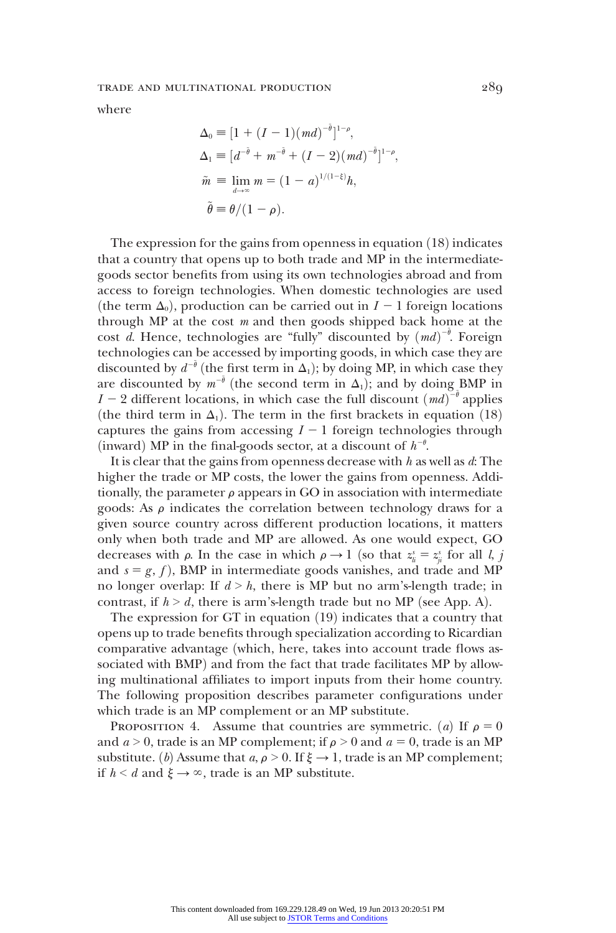$$
\Delta_0 \equiv [1 + (I - 1)(md)^{-\tilde{\theta}}]^{1-\rho},
$$
  
\n
$$
\Delta_1 \equiv [d^{-\tilde{\theta}} + m^{-\tilde{\theta}} + (I - 2)(md)^{-\tilde{\theta}}]^{1-\rho},
$$
  
\n
$$
\tilde{m} \equiv \lim_{d \to \infty} m = (1 - a)^{1/(1-\xi)}h,
$$
  
\n
$$
\tilde{\theta} \equiv \theta/(1 - \rho).
$$

The expression for the gains from openness in equation  $(18)$  indicates that a country that opens up to both trade and MP in the intermediategoods sector benefits from using its own technologies abroad and from access to foreign technologies. When domestic technologies are used (the term  $\Delta_0$ ), production can be carried out in  $I - 1$  foreign locations through MP at the cost  $m$  and then goods shipped back home at the cost d. Hence, technologies are "fully" discounted by  $(md)^{-\theta}$ . Foreign technologies can be accessed by importing goods in which case they are technologies can be accessed by importing goods, in which case they are discounted by  $d^{-\tilde{\theta}}$  (the first term in  $\Delta_1$ ); by doing MP, in which case they are discounted by  $m^{-\theta}$  (the second term in  $\Delta_1$ ); and by doing BMP in  $I - 2$  different locations, in which case the full discount  $(md)^{-\tilde{\theta}}$  applies (the third term in A.). The term in the first brackets in equation (18) (the third term in  $\Delta_1$ ). The term in the first brackets in equation (18) captures the gains from accessing  $I - 1$  foreign technologies through (inward) MP in the final-goods sector, at a discount of  $h^{-\theta}$ .<br>It is clear that the gains from openness decrease with h as

It is clear that the gains from openness decrease with  $h$  as well as  $d$ : The higher the trade or MP costs, the lower the gains from openness. Additionally, the parameter  $\rho$  appears in GO in association with intermediate goods: As  $\rho$  indicates the correlation between technology draws for a given source country across different production locations, it matters only when both trade and MP are allowed. As one would expect, GO decreases with  $\rho$ . In the case in which  $\rho \to 1$  (so that  $z_n^s = z_j^s$  for all *l*, *j* and s =  $\sigma$  f). BMP in intermediate goods vanishes, and trade and MP and  $s = g, f$ , BMP in intermediate goods vanishes, and trade and MP no longer overlap: If  $d > h$ , there is MP but no arm's-length trade; in contrast, if  $h > d$ , there is arm's-length trade but no MP (see App. A).

The expression for  $GT$  in equation  $(19)$  indicates that a country that opens up to trade benefits through specialization according to Ricardian comparative advantage (which, here, takes into account trade flows associated with BMP) and from the fact that trade facilitates MP by allowing multinational affiliates to import inputs from their home country. The following proposition describes parameter configurations under which trade is an MP complement or an MP substitute.

PROPOSITION 4. Assume that countries are symmetric. (a) If  $\rho = 0$ and  $a > 0$ , trade is an MP complement; if  $\rho > 0$  and  $a = 0$ , trade is an MP substitute. (b) Assume that  $a, \rho > 0$ . If  $\xi \rightarrow 1$ , trade is an MP complement; if  $h \leq d$  and  $\xi \to \infty$ , trade is an MP substitute.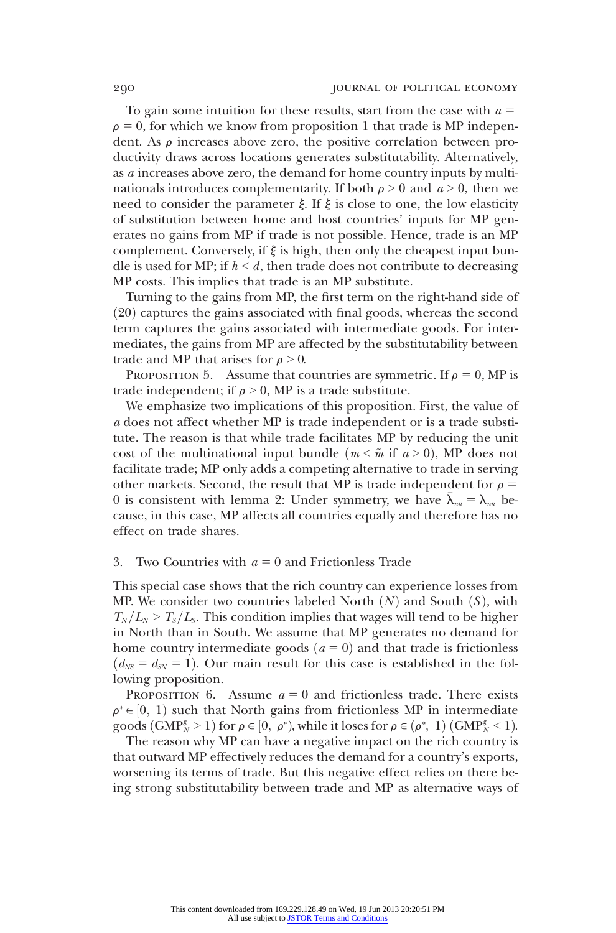To gain some intuition for these results, start from the case with  $a =$  $\rho = 0$ , for which we know from proposition 1 that trade is MP independent. As  $\rho$  increases above zero, the positive correlation between productivity draws across locations generates substitutability. Alternatively, as a increases above zero, the demand for home country inputs by multinationals introduces complementarity. If both  $\rho > 0$  and  $a > 0$ , then we need to consider the parameter  $\xi$ . If  $\xi$  is close to one, the low elasticity of substitution between home and host countries' inputs for MP generates no gains from MP if trade is not possible. Hence, trade is an MP complement. Conversely, if  $\xi$  is high, then only the cheapest input bundle is used for MP; if  $h < d$ , then trade does not contribute to decreasing MP costs. This implies that trade is an MP substitute.

Turning to the gains from MP, the first term on the right-hand side of  $(20)$  captures the gains associated with final goods, whereas the second term captures the gains associated with intermediate goods. For intermediates, the gains from MP are affected by the substitutability between trade and MP that arises for  $\rho > 0$ .

PROPOSITION 5. Assume that countries are symmetric. If  $\rho = 0$ , MP is trade independent; if  $\rho > 0$ , MP is a trade substitute.

We emphasize two implications of this proposition. First, the value of a does not affect whether MP is trade independent or is a trade substitute. The reason is that while trade facilitates MP by reducing the unit cost of the multinational input bundle  $(m < \tilde{m}$  if  $a > 0)$ , MP does not facilitate trade; MP only adds a competing alternative to trade in serving other markets. Second, the result that MP is trade independent for  $\rho =$ 0 is consistent with lemma 2: Under symmetry, we have  $\bar{\lambda}_{nn} = \lambda_{nn}$  because, in this case, MP affects all countries equally and therefore has no effect on trade shares.

# 3. Two Countries with  $a = 0$  and Frictionless Trade

This special case shows that the rich country can experience losses from MP. We consider two countries labeled North  $(N)$  and South  $(S)$ , with  $T_N/L_N > T_S/L_S$ . This condition implies that wages will tend to be higher in North than in South. We assume that MP generates no demand for home country intermediate goods  $(a = 0)$  and that trade is frictionless  $(d_{NS} = d_{SN} = 1)$ . Our main result for this case is established in the following proposition.

PROPOSITION 6. Assume  $a = 0$  and frictionless trade. There exists  $\rho^* \in [0, 1)$  such that North gains from frictionless MP in intermediate goods  $(GMP_N^g > 1)$  for  $\rho \in [0, \rho^*)$ , while it loses for  $\rho \in (\rho^*, 1)$   $(GMP_N^g < 1)$ .<br>The reason why MP can have a negative impact on the rich country is

The reason why MP can have a negative impact on the rich country is that outward MP effectively reduces the demand for a country's exports, worsening its terms of trade. But this negative effect relies on there being strong substitutability between trade and MP as alternative ways of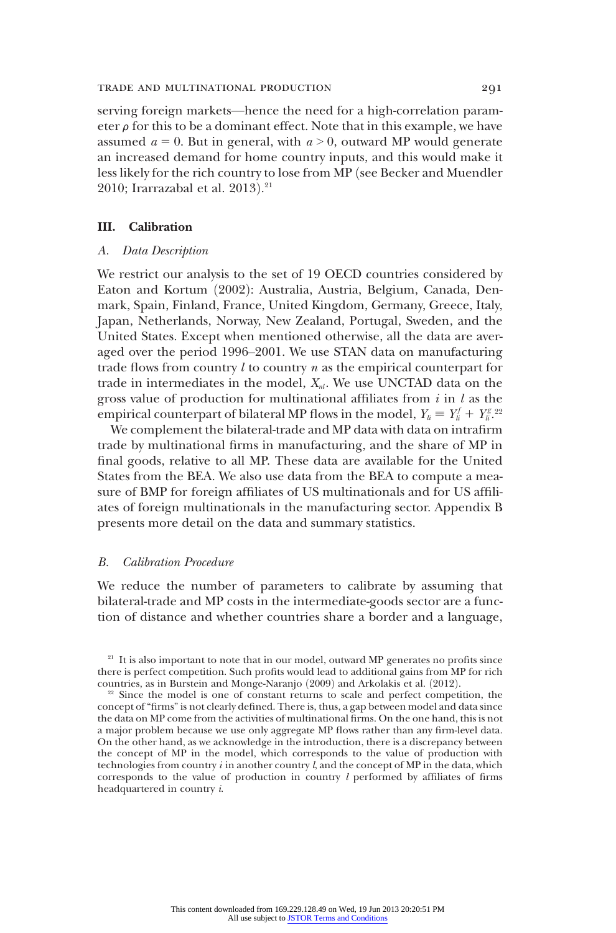serving foreign markets—hence the need for a high-correlation parameter  $\rho$  for this to be a dominant effect. Note that in this example, we have assumed  $a = 0$ . But in general, with  $a > 0$ , outward MP would generate an increased demand for home country inputs, and this would make it less likely for the rich country to lose from MP (see Becker and Muendler  $2010$ ; Irarrazabal et al.  $2013$ <sup>21</sup>

# III. Calibration

# A. Data Description

We restrict our analysis to the set of 19 OECD countries considered by Eaton and Kortum (2002): Australia, Austria, Belgium, Canada, Denmark, Spain, Finland, France, United Kingdom, Germany, Greece, Italy, Japan, Netherlands, Norway, New Zealand, Portugal, Sweden, and the United States. Except when mentioned otherwise, all the data are averaged over the period 1996–2001. We use STAN data on manufacturing trade flows from country  $l$  to country  $n$  as the empirical counterpart for trade in intermediates in the model,  $X_{nl}$ . We use UNCTAD data on the gross value of production for multinational affiliates from  $i$  in  $l$  as the empirical counterpart of bilateral MP flows in the model,  $Y_{li} \equiv Y_{li}^f + Y_{li}^{g}$ .<sup>22</sup>

We complement the bilateral-trade and MP data with data on intrafirm trade by multinational firms in manufacturing, and the share of MP in final goods, relative to all MP. These data are available for the United States from the BEA. We also use data from the BEA to compute a measure of BMP for foreign affiliates of US multinationals and for US affiliates of foreign multinationals in the manufacturing sector. Appendix B presents more detail on the data and summary statistics.

# B. Calibration Procedure

We reduce the number of parameters to calibrate by assuming that bilateral-trade and MP costs in the intermediate-goods sector are a function of distance and whether countries share a border and a language,

<sup>&</sup>lt;sup>21</sup> It is also important to note that in our model, outward MP generates no profits since there is perfect competition. Such profits would lead to additional gains from MP for rich countries, as in Burstein and Monge-Naranjo (2009) and Arkolakis et al. (2012).

<sup>&</sup>lt;sup>22</sup> Since the model is one of constant returns to scale and perfect competition, the concept of "firms" is not clearly defined. There is, thus, a gap between model and data since the data on MP come from the activities of multinational firms. On the one hand, this is not a major problem because we use only aggregate MP flows rather than any firm-level data. On the other hand, as we acknowledge in the introduction, there is a discrepancy between the concept of MP in the model, which corresponds to the value of production with technologies from country i in another country  $l_i$  and the concept of MP in the data, which corresponds to the value of production in country  $l$  performed by affiliates of firms headquartered in country i.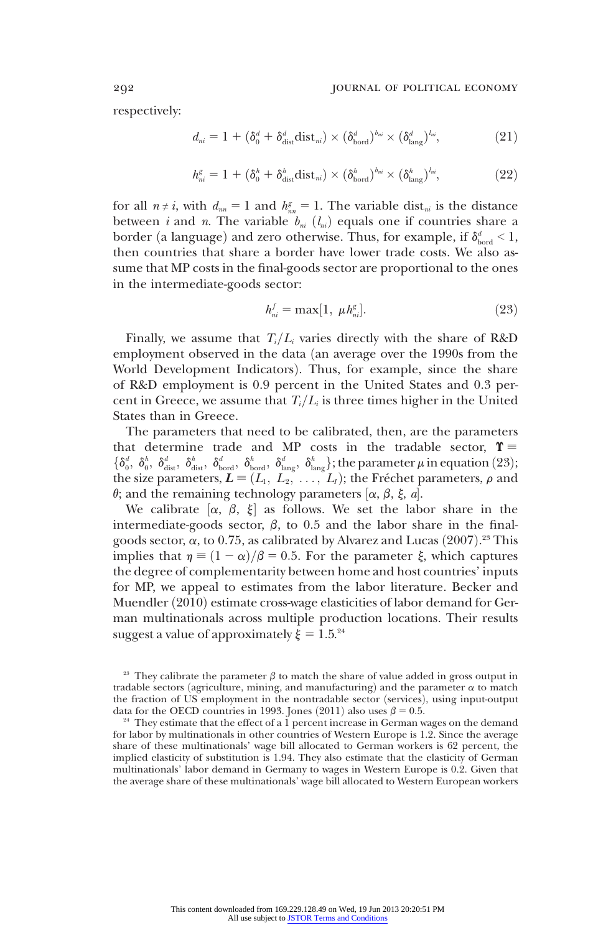respectively:

$$
d_{ni} = 1 + (\delta_0^d + \delta_{\text{dist}}^d \text{dist}_{ni}) \times (\delta_{\text{bord}}^d)^{b_{ni}} \times (\delta_{\text{lang}}^d)^{l_{ni}}, \tag{21}
$$

$$
h_{ni}^g = 1 + (\delta_0^h + \delta_{\text{dist}}^h \text{dist}_{ni}) \times (\delta_{\text{bord}}^h)^{b_{ni}} \times (\delta_{\text{lang}}^h)^{l_{ni}}, \tag{22}
$$

for all  $n \neq i$ , with  $d_{nn} = 1$  and  $h_{nn}^g = 1$ . The variable dist<sub>ni</sub> is the distance between *i* and *n*. The variable  $b_{ni}$   $(l_{ni})$  equals one if countries share a border (a language) and zero otherwise. Thus, for example, if  $\delta_{\text{bord}}^{d} < 1$ , then countries that share a border have lower trade costs. We also asthen countries that share a border have lower trade costs. We also assume that MP costs in the final-goods sector are proportional to the ones in the intermediate-goods sector:

$$
h_{ni}^f = \max[1, \ \mu h_{ni}^g]. \tag{23}
$$

Finally, we assume that  $T_i/L_i$  varies directly with the share of R&D employment observed in the data (an average over the 1990s from the World Development Indicators). Thus, for example, since the share of R&D employment is 0.9 percent in the United States and 0.3 percent in Greece, we assume that  $T_i/L_i$  is three times higher in the United States than in Greece.

The parameters that need to be calibrated, then, are the parameters that determine trade and MP costs in the tradable sector,  $\Upsilon$  =  $\{\delta^d_0, \delta^h_0, \delta^d_{\text{dist}}, \delta^d_{\text{best}}, \delta^d_{\text{bord}}, \delta^h_{\text{bord}}, \delta^d_{\text{lang}}\}$ ; the parameter  $\mu$  in equation (23);<br>the size parameters  $I = (I, I, I)$ ; the Fréchet parameters a and the size parameters,  $\mathbf{L} \equiv (L_1, L_2, \ldots, L_l)$ ; the Fréchet parameters,  $\rho$  and  $\theta$ ; and the remaining technology parameters  $[\alpha, \beta, \xi, d]$  $\theta$ ; and the remaining technology parameters  $[\alpha, \beta, \xi, a]$ .<br>We calibrate  $[\alpha, \beta, \xi]$  as follows. We set the lab

We calibrate  $[\alpha, \beta, \xi]$  as follows. We set the labor share in the final-<br>termediate-goods sector  $\beta$  to 0.5 and the labor share in the finalintermediate-goods sector,  $\beta$ , to 0.5 and the labor share in the finalgoods sector,  $\alpha$ , to 0.75, as calibrated by Alvarez and Lucas (2007).<sup>23</sup> This<br>implies that  $n \equiv (1 - \alpha)/\beta = 0.5$  For the parameter  $\xi$  which cantures implies that  $\eta \equiv (1 - \alpha)/\beta = 0.5$ . For the parameter  $\xi$ , which captures the degree of complementarity between home and host countries' inputs for MP, we appeal to estimates from the labor literature. Becker and Muendler (2010) estimate cross-wage elasticities of labor demand for German multinationals across multiple production locations. Their results suggest a value of approximately  $\xi = 1.5.^{24}$ 

<sup>&</sup>lt;sup>23</sup> They calibrate the parameter  $\beta$  to match the share of value added in gross output in tradable sectors (agriculture, mining, and manufacturing) and the parameter  $\alpha$  to match the fraction of US employment in the nontradable sector (services), using input-output data for the OECD countries in 1993. Jones (2011) also uses  $\beta = 0.5$ .

 $24$  They estimate that the effect of a 1 percent increase in German wages on the demand for labor by multinationals in other countries of Western Europe is 1.2. Since the average share of these multinationals' wage bill allocated to German workers is 62 percent, the implied elasticity of substitution is 1.94. They also estimate that the elasticity of German multinationals' labor demand in Germany to wages in Western Europe is 0.2. Given that the average share of these multinationals' wage bill allocated to Western European workers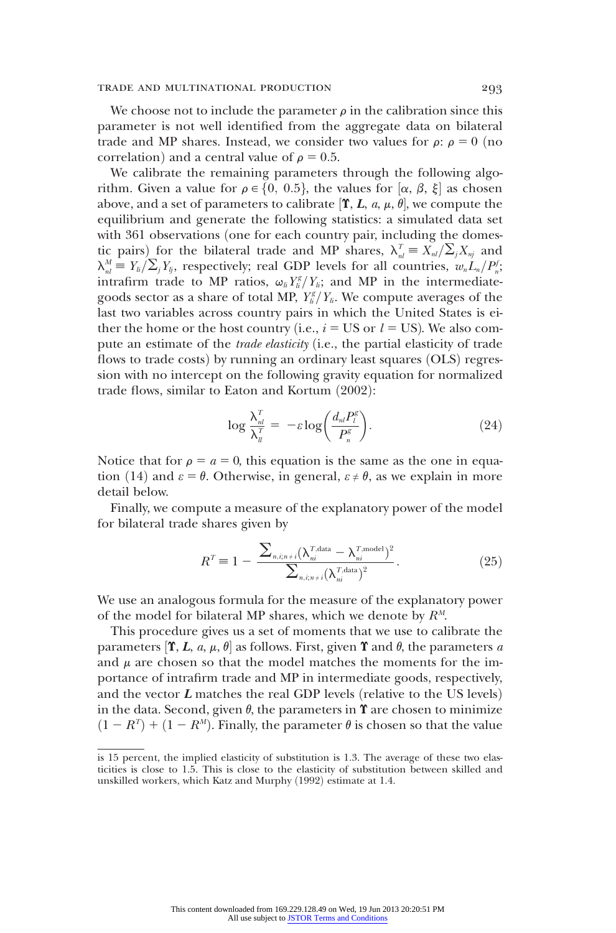We choose not to include the parameter  $\rho$  in the calibration since this parameter is not well identified from the aggregate data on bilateral trade and MP shares. Instead, we consider two values for  $\rho: \rho = 0$  (no correlation) and a central value of  $\rho = 0.5$ .

We calibrate the remaining parameters through the following algorithm. Given a value for  $\rho \in \{0, 0.5\}$ , the values for  $[\alpha, \beta, \xi]$  as chosen<br>above and a set of parameters to calibrate  $[\mathbf{T}, I, a, \mu, \theta]$  we compute the above, and a set of parameters to calibrate  $[\mathbf{\hat{T}}, L, a, \mu, \theta]$ , we compute the equilibrium and generate the following statistics: a simulated data set equilibrium and generate the following statistics: a simulated data set with 361 observations (one for each country pair, including the domestic pairs) for the bilateral trade and MP shares,  $\lambda_n^T \equiv X_{nl}/\Sigma_j X_{nj}$  and  $\lambda^M \equiv Y_{n}/\Sigma_k Y_{n}$  respectively real GDP levels for all countries  $m I / P$ .  $\lambda_{nl}^M \equiv Y_{li}/\sum_j Y_{lj}$ , respectively; real GDP levels for all countries,  $w_n L_n/P_i^f$ ; intrafirm trade to MP ratios,  $\omega_{ii} Y_{ii}^g / Y_{ii}$ ; and MP in the intermediategoods sector as a share of total MP,  $Y_{li}^g/Y_{li}$ . We compute averages of the last two variables across country pairs in which the United States is either the home or the host country (i.e.,  $i = US$  or  $l = US$ ). We also compute an estimate of the *trade elasticity* (i.e., the partial elasticity of trade flows to trade costs) by running an ordinary least squares (OLS) regression with no intercept on the following gravity equation for normalized trade flows, similar to Eaton and Kortum  $(2002)$ :

$$
\log \frac{\lambda_{nl}^T}{\lambda_{ll}^T} = -\varepsilon \log \left( \frac{d_{nl} P_l^g}{P_n^g} \right). \tag{24}
$$

Notice that for  $\rho = a = 0$ , this equation is the same as the one in equation (14) and  $\varepsilon = \theta$ . Otherwise, in general,  $\varepsilon \neq \theta$ , as we explain in more detail below.

Finally, we compute a measure of the explanatory power of the model for bilateral trade shares given by

$$
R^T \equiv 1 - \frac{\sum_{n,i;n \neq i} (\lambda_{ni}^{T,\text{data}} - \lambda_{ni}^{T,\text{model}})^2}{\sum_{n,i;n \neq i} (\lambda_{ni}^{T,\text{data}})^2}.
$$
 (25)

We use an analogous formula for the measure of the explanatory power of the model for bilateral MP shares, which we denote by  $R^M$ .

This procedure gives us a set of moments that we use to calibrate the parameters  $[\Upsilon, L, a, \mu, \theta]$  as follows. First, given  $\Upsilon$  and  $\theta$ , the parameters and v, are chosen so that the model matches the moments for the imand  $\mu$  are chosen so that the model matches the moments for the importance of intrafirm trade and MP in intermediate goods, respectively, and the vector  $L$  matches the real GDP levels (relative to the US levels) in the data. Second, given  $\theta$ , the parameters in  $\Upsilon$  are chosen to minimize  $(1 - R<sup>T</sup>) + (1 - R<sup>M</sup>)$ . Finally, the parameter  $\theta$  is chosen so that the value

is 15 percent, the implied elasticity of substitution is 1.3. The average of these two elasticities is close to 1.5. This is close to the elasticity of substitution between skilled and unskilled workers, which Katz and Murphy  $(1992)$  estimate at 1.4.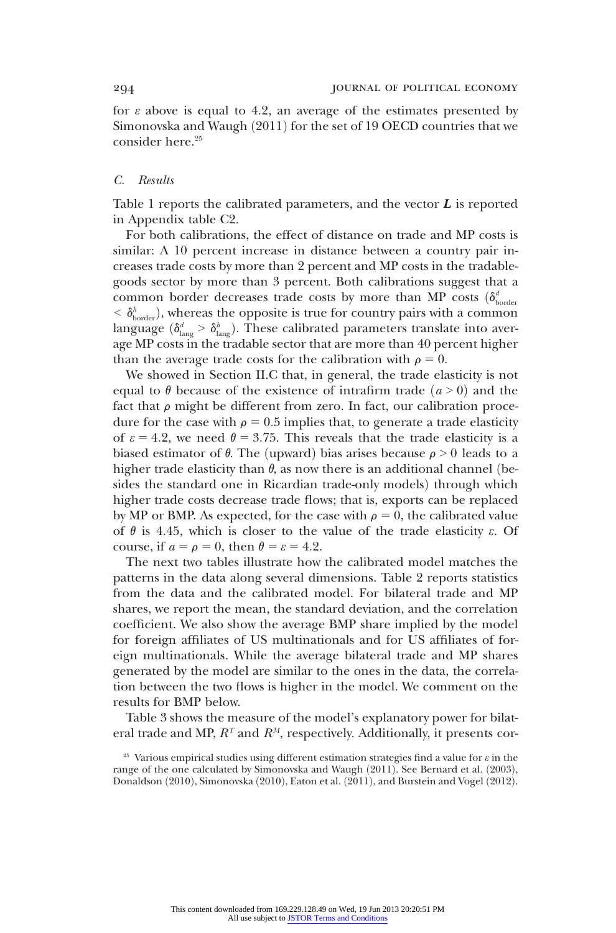for  $\varepsilon$  above is equal to 4.2, an average of the estimates presented by Simonovska and Waugh  $(2011)$  for the set of 19 OECD countries that we consider here.<sup>25</sup>

# C. Results

Table 1 reports the calibrated parameters, and the vector  $L$  is reported in Appendix table C2.

For both calibrations, the effect of distance on trade and MP costs is similar: A 10 percent increase in distance between a country pair increases trade costs by more than 2 percent and MP costs in the tradablegoods sector by more than 3 percent. Both calibrations suggest that a common border decreases trade costs by more than MP costs  $(\delta_{\text{border}}^d \leq \delta^h)$  whereas the opposite is true for country pairs with a common  $<\delta_{\text{border}}^{h}$ ), whereas the opposite is true for country pairs with a common language  $(\delta_{\text{order}}^{d} > \delta_{\text{order}}^{h})$ . These calibrated parameters translate into averlanguage  $(\delta_{\rm lang}^d > \delta_{\rm lang}^h)$ . These calibrated parameters translate into aver-<br>age MP costs in the tradable sector that are more than 40 percent higher age MP costs in the tradable sector that are more than 40 percent higher than the average trade costs for the calibration with  $\rho = 0$ .

We showed in Section II.C that, in general, the trade elasticity is not equal to  $\theta$  because of the existence of intrafirm trade  $(a > 0)$  and the fact that  $\rho$  might be different from zero. In fact, our calibration procedure for the case with  $\rho = 0.5$  implies that, to generate a trade elasticity of  $\varepsilon = 4.2$ , we need  $\theta = 3.75$ . This reveals that the trade elasticity is a biased estimator of  $\theta$ . The (upward) bias arises because  $\rho > 0$  leads to a higher trade elasticity than  $\theta$ , as now there is an additional channel (besides the standard one in Ricardian trade-only models) through which higher trade costs decrease trade flows; that is, exports can be replaced by MP or BMP. As expected, for the case with  $\rho = 0$ , the calibrated value of  $\theta$  is 4.45, which is closer to the value of the trade elasticity  $\varepsilon$ . Of course, if  $a = \rho = 0$ , then  $\theta = \varepsilon = 4.2$ .

The next two tables illustrate how the calibrated model matches the patterns in the data along several dimensions. Table 2 reports statistics from the data and the calibrated model. For bilateral trade and MP shares, we report the mean, the standard deviation, and the correlation coefficient. We also show the average BMP share implied by the model for foreign affiliates of US multinationals and for US affiliates of foreign multinationals. While the average bilateral trade and MP shares generated by the model are similar to the ones in the data, the correlation between the two flows is higher in the model. We comment on the results for BMP below.

Table 3 shows the measure of the model's explanatory power for bilateral trade and MP,  $R^T$  and  $R^M$ , respectively. Additionally, it presents cor-

<sup>&</sup>lt;sup>25</sup> Various empirical studies using different estimation strategies find a value for  $\varepsilon$  in the range of the one calculated by Simonovska and Waugh  $(2011)$ . See Bernard et al.  $(2003)$ , Donaldson (2010), Simonovska (2010), Eaton et al. (2011), and Burstein and Vogel (2012).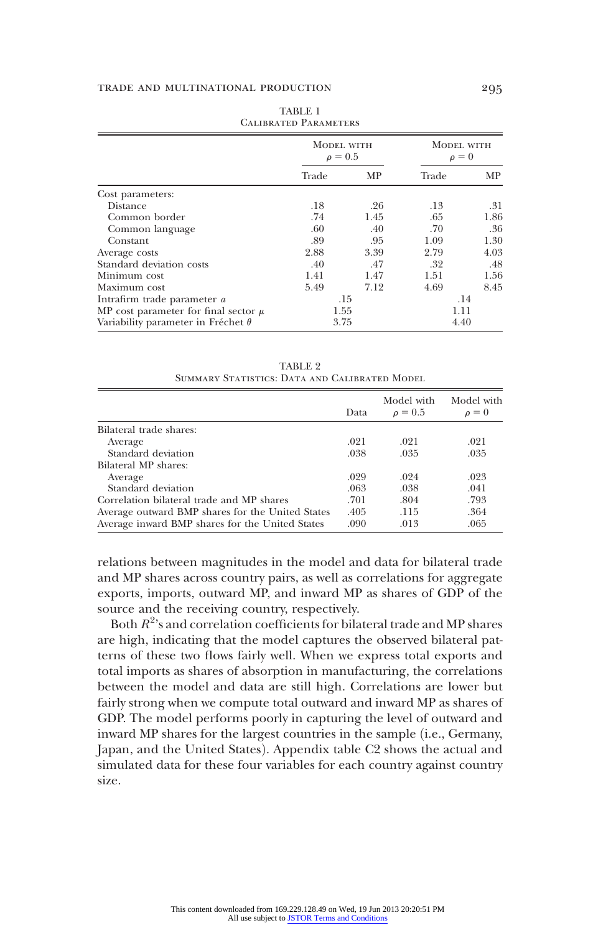| 1/11/1/1/1<br><b>CALIBRATED PARAMETERS</b> |                            |      |                          |      |  |  |
|--------------------------------------------|----------------------------|------|--------------------------|------|--|--|
|                                            | MODEL WITH<br>$\rho = 0.5$ |      | MODEL WITH<br>$\rho = 0$ |      |  |  |
|                                            | Trade                      | МP   | Trade                    | МP   |  |  |
| Cost parameters:                           |                            |      |                          |      |  |  |
| Distance                                   | .18                        | .26  | .13                      | .31  |  |  |
| Common border                              | .74                        | 1.45 | .65                      | 1.86 |  |  |
| Common language                            | .60                        | .40  | .70                      | .36  |  |  |
| Constant                                   | .89                        | .95  | 1.09                     | 1.30 |  |  |
| Average costs                              | 2.88                       | 3.39 | 2.79                     | 4.03 |  |  |
| Standard deviation costs                   | .40                        | .47  | .32                      | .48  |  |  |
| Minimum cost                               | 1.41                       | 1.47 | 1.51                     | 1.56 |  |  |
| Maximum cost                               | 5.49                       | 7.12 | 4.69                     | 8.45 |  |  |
| Intrafirm trade parameter a                | .15                        |      |                          | .14  |  |  |
| MP cost parameter for final sector $\mu$   | 1.55                       |      | 1.11                     |      |  |  |
| Variability parameter in Fréchet $\theta$  | 3.75                       |      | 4.40                     |      |  |  |

TABLE 1

|  | TABLE 2 |                                               |  |
|--|---------|-----------------------------------------------|--|
|  |         | SUMMARY STATISTICS: DATA AND CALIBRATED MODEL |  |

|                                                  | Data | Model with<br>$\rho = 0.5$ | Model with<br>$\rho = 0$ |
|--------------------------------------------------|------|----------------------------|--------------------------|
| Bilateral trade shares:                          |      |                            |                          |
| Average                                          | .021 | .021                       | .021                     |
| Standard deviation                               | .038 | .035                       | .035                     |
| Bilateral MP shares:                             |      |                            |                          |
| Average                                          | .029 | .024                       | .023                     |
| Standard deviation                               | .063 | .038                       | .041                     |
| Correlation bilateral trade and MP shares        | .701 | .804                       | .793                     |
| Average outward BMP shares for the United States | .405 | .115                       | .364                     |
| Average inward BMP shares for the United States  | .090 | .013                       | .065                     |

relations between magnitudes in the model and data for bilateral trade and MP shares across country pairs, as well as correlations for aggregate exports, imports, outward MP, and inward MP as shares of GDP of the source and the receiving country, respectively.

Both  $R^2$ 's and correlation coefficients for bilateral trade and MP shares are high, indicating that the model captures the observed bilateral patterns of these two flows fairly well. When we express total exports and total imports as shares of absorption in manufacturing, the correlations between the model and data are still high. Correlations are lower but fairly strong when we compute total outward and inward MP as shares of GDP. The model performs poorly in capturing the level of outward and inward MP shares for the largest countries in the sample (i.e., Germany, Japan, and the United States). Appendix table C2 shows the actual and simulated data for these four variables for each country against country size.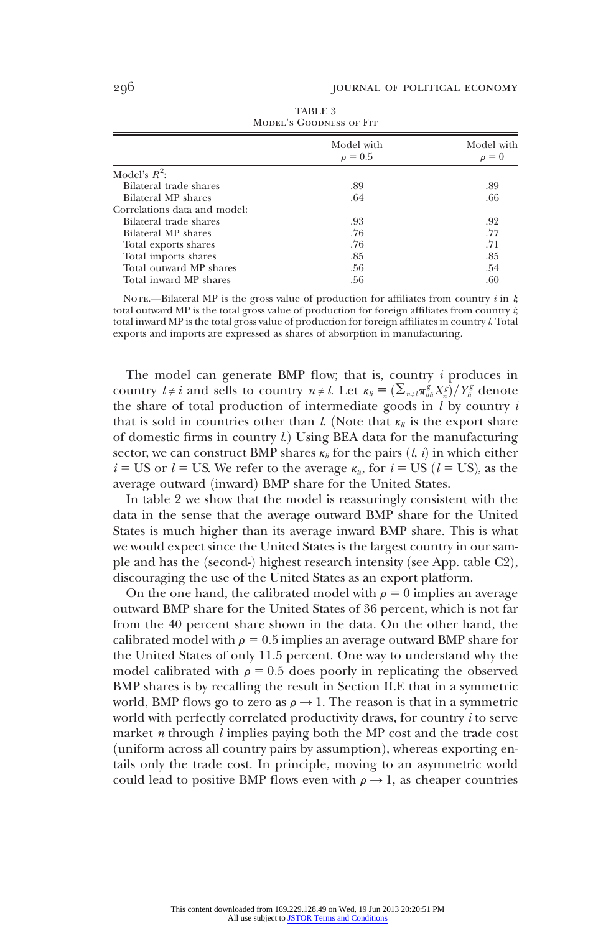| <b>MODEL'S GOODNESS OF FIT</b> |                            |                          |  |
|--------------------------------|----------------------------|--------------------------|--|
|                                | Model with<br>$\rho = 0.5$ | Model with<br>$\rho = 0$ |  |
| Model's $R^2$ :                |                            |                          |  |
| Bilateral trade shares         | .89                        | .89                      |  |
| Bilateral MP shares            | .64                        | .66                      |  |
| Correlations data and model:   |                            |                          |  |
| Bilateral trade shares         | .93                        | .92                      |  |
| Bilateral MP shares            | .76                        | .77                      |  |
| Total exports shares           | .76                        | .71                      |  |
| Total imports shares           | .85                        | .85                      |  |
| Total outward MP shares        | .56                        | .54                      |  |
| Total inward MP shares         | .56                        | .60                      |  |

TABLE 3 Model's Goodness of Fit

NOTE.—Bilateral MP is the gross value of production for affiliates from country i in  $l$ ; total outward MP is the total gross value of production for foreign affiliates from country  $i$ ; total inward MP is the total gross value of production for foreign affiliates in country l. Total exports and imports are expressed as shares of absorption in manufacturing.

The model can generate BMP flow; that is, country  $i$  produces in country  $l \neq i$  and sells to country  $n \neq l$ . Let  $\kappa_{li} \equiv \left( \sum_{n \neq l} \frac{\kappa_{li}}{\kappa_{li}} X_{ij}^{\kappa} \right) / Y_{li}^{\kappa}$  denote the share of total production of intermediate goods in  $l$  by country  $i$ that is sold in countries other than  $l$ . (Note that  $\kappa_{ll}$  is the export share of domestic firms in country  $l$ . Using BEA data for the manufacturing sector, we can construct BMP shares  $\kappa_{li}$  for the pairs  $(l, i)$  in which either  $i = US$  or  $l = US$ . We refer to the average  $\kappa_{li}$ , for  $i = US$   $(l = US)$ , as the average outward (inward) BMP share for the United States.

In table 2 we show that the model is reassuringly consistent with the data in the sense that the average outward BMP share for the United States is much higher than its average inward BMP share. This is what we would expect since the United States is the largest country in our sample and has the (second-) highest research intensity (see App. table C2), discouraging the use of the United States as an export platform.

On the one hand, the calibrated model with  $\rho = 0$  implies an average outward BMP share for the United States of 36 percent, which is not far from the 40 percent share shown in the data. On the other hand, the calibrated model with  $\rho = 0.5$  implies an average outward BMP share for the United States of only 11.5 percent. One way to understand why the model calibrated with  $\rho = 0.5$  does poorly in replicating the observed BMP shares is by recalling the result in Section II.E that in a symmetric world, BMP flows go to zero as  $\rho \rightarrow 1$ . The reason is that in a symmetric world with perfectly correlated productivity draws, for country  $i$  to serve market  $n$  through  $l$  implies paying both the MP cost and the trade cost (uniform across all country pairs by assumption), whereas exporting entails only the trade cost. In principle, moving to an asymmetric world could lead to positive BMP flows even with  $\rho \rightarrow 1$ , as cheaper countries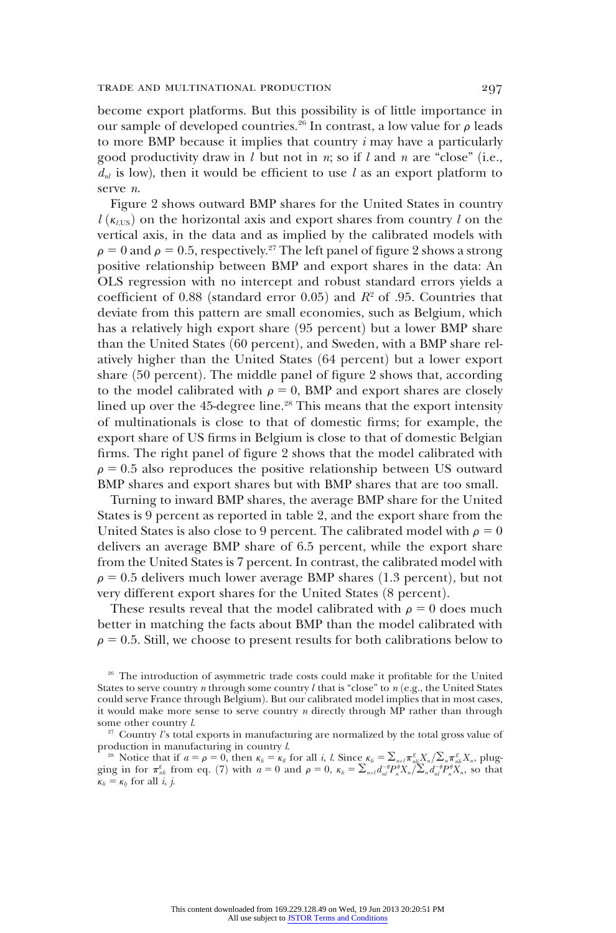become export platforms. But this possibility is of little importance in our sample of developed countries.<sup>26</sup> In contrast, a low value for  $\rho$  leads to more BMP because it implies that country  $i$  may have a particularly good productivity draw in  $l$  but not in  $n$ ; so if  $l$  and  $n$  are "close" (i.e.,  $d_{nl}$  is low), then it would be efficient to use l as an export platform to serve n.

Figure 2 shows outward BMP shares for the United States in country  $l$  ( $k_{\text{LIS}}$ ) on the horizontal axis and export shares from country l on the vertical axis, in the data and as implied by the calibrated models with  $\rho = 0$  and  $\rho = 0.5$ , respectively.<sup>27</sup> The left panel of figure 2 shows a strong positive relationship between BMP and export shares in the data: An OLS regression with no intercept and robust standard errors yields a coefficient of 0.88 (standard error 0.05) and  $R^2$  of .95. Countries that deviate from this pattern are small economies, such as Belgium, which has a relatively high export share (95 percent) but a lower BMP share than the United States (60 percent), and Sweden, with a BMP share relatively higher than the United States (64 percent) but a lower export share (50 percent). The middle panel of figure 2 shows that, according to the model calibrated with  $\rho = 0$ , BMP and export shares are closely lined up over the 45-degree line.<sup>28</sup> This means that the export intensity of multinationals is close to that of domestic firms; for example, the export share of US firms in Belgium is close to that of domestic Belgian firms. The right panel of figure 2 shows that the model calibrated with  $\rho = 0.5$  also reproduces the positive relationship between US outward BMP shares and export shares but with BMP shares that are too small.

Turning to inward BMP shares, the average BMP share for the United States is 9 percent as reported in table 2, and the export share from the United States is also close to 9 percent. The calibrated model with  $\rho = 0$ delivers an average BMP share of 6.5 percent, while the export share from the United States is 7 percent. In contrast, the calibrated model with  $\rho = 0.5$  delivers much lower average BMP shares (1.3 percent), but not very different export shares for the United States (8 percent).

These results reveal that the model calibrated with  $\rho = 0$  does much better in matching the facts about BMP than the model calibrated with  $\rho = 0.5$ . Still, we choose to present results for both calibrations below to

<sup>26</sup> The introduction of asymmetric trade costs could make it profitable for the United States to serve country *n* through some country *l* that is "close" to *n* (e.g., the United States could serve France through Belgium). But our calibrated model implies that in most cases, it would make more sense to serve country  $n$  directly through MP rather than through some other country l.

 $27$  Country l's total exports in manufacturing are normalized by the total gross value of production in manufacturing in country l.

<sup>28</sup> Notice that if  $a = \rho = 0$ , then  $\kappa_{li} = \kappa_{li}$  for all i, l. Since  $\kappa_{li} = \sum_{n \neq l} \pi_{nl}^g X_n / \sum_{n} \pi_{nl}^g X_n$ , plugging in for  $\pi_{nk}^{\mathcal{S}}$  from eq. (7) with  $a = 0$  and  $\rho = 0$ ,  $\kappa_{li} = \sum_{n \neq l} d_{nl}^{-\theta} P_n^{\theta} X_n / \sum_{n} d_{nl}^{-\theta} P_n^{\theta} X_n$ , so that  $k_{ii} = k_{ii}$  for all i, j.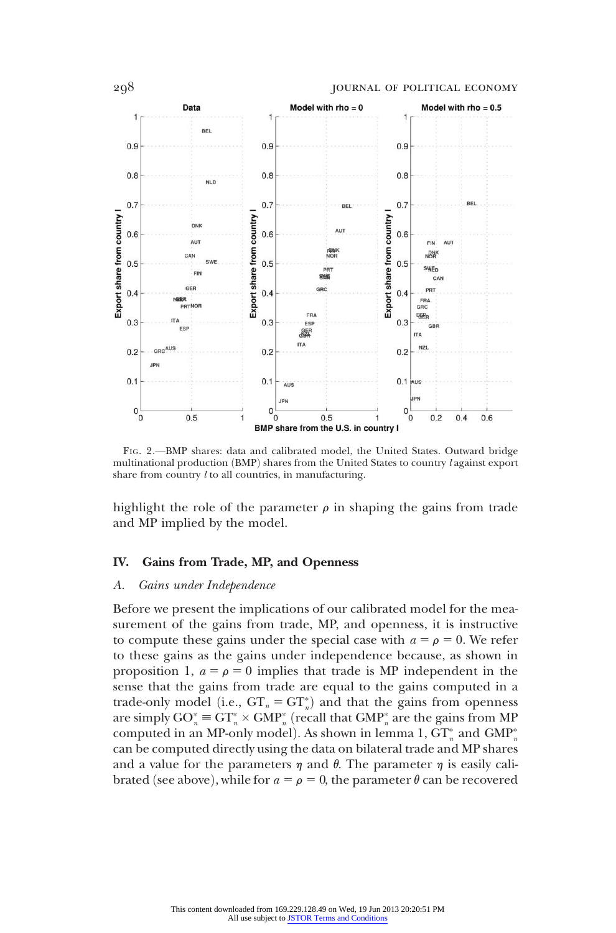

FIG. 2.—BMP shares: data and calibrated model, the United States. Outward bridge multinational production  $(BMP)$  shares from the United States to country *l* against export share from country  $l$  to all countries, in manufacturing.

highlight the role of the parameter  $\rho$  in shaping the gains from trade and MP implied by the model.

# IV. Gains from Trade, MP, and Openness

# A. Gains under Independence

Before we present the implications of our calibrated model for the measurement of the gains from trade, MP, and openness, it is instructive to compute these gains under the special case with  $a = \rho = 0$ . We refer to these gains as the gains under independence because, as shown in proposition 1,  $a = \rho = 0$  implies that trade is MP independent in the sense that the gains from trade are equal to the gains computed in a trade-only model (i.e.,  $GT_n = GT_n^*$ ) and that the gains from openness<br>are simply  $CO^* \equiv GT^* \times GMP^*$  (recall that  $GMP^*$  are the gains from MP are simply  $GO^*_n \equiv GT^*_n \times GMP^*_n$  (recall that  $GMP^*_n$  are the gains from MP<br>computed in an MP-only model). As shown in lemma 1,  $GT^*$  and  $GMP^*$ computed in an MP-only model). As shown in lemma  $1, GT^{*}_{n}$  and  $GMP^{*}_{n}$ <br>can be computed directly using the data on bilateral trade and MP shares can be computed directly using the data on bilateral trade and MP shares and a value for the parameters  $\eta$  and  $\theta$ . The parameter  $\eta$  is easily calibrated (see above), while for  $a = \rho = 0$ , the parameter  $\theta$  can be recovered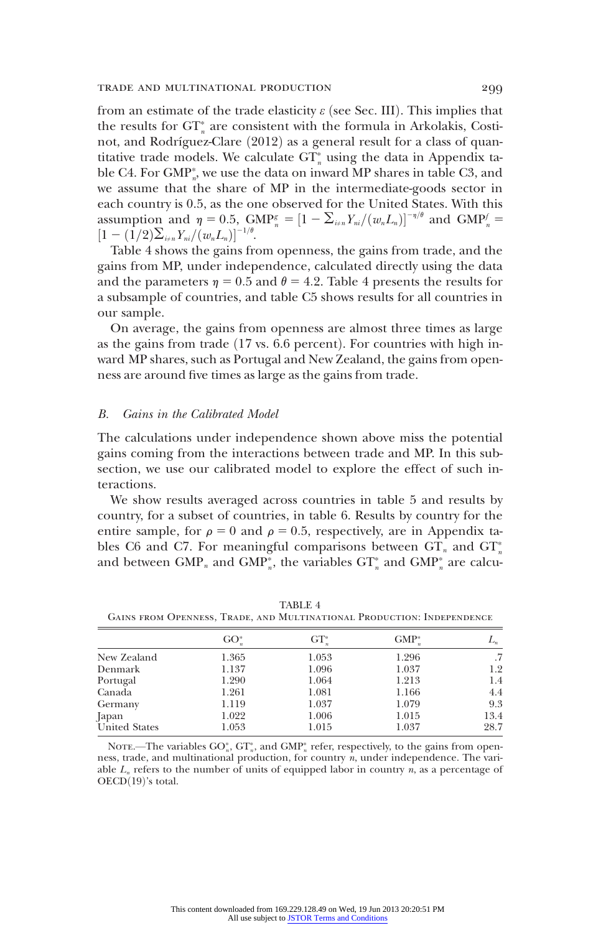from an estimate of the trade elasticity  $\varepsilon$  (see Sec. III). This implies that the results for  $GT_n^*$  are consistent with the formula in Arkolakis, Costinot, and Rodríguez-Clare (2012) as a general result for a class of quantitative trade models. We calculate  $\mathrm{GT}_n^*$  using the data in Appendix table C4. For  $\mathsf{GMP}^*_n$ , we use the data on inward MP shares in table C3, and we assume that the share of MP in the intermediate-goods sector in each country is 0.5, as the one observed for the United States. With this assumption and  $\eta = 0.5$ ,  $\text{GMP}_{n}^{g} = [1 - \sum_{i \neq n} Y_{ni}/(w_{n}L_{n})]^{-\eta/\theta}$  and  $\text{GMP}_{n}^{f} = [1 - (1/\theta)\sum_{i} Y_{i}/(w_{i}L_{n})]^{-1/\theta}$  $\frac{[1-(1/2)\sum_{i\neq n}Y_{ni}/(w_nL_n)]^{-1/6}}{\text{Table 4 shows the gains fr.}}$ 

Table 4 shows the gains from openness, the gains from trade, and the gains from MP, under independence, calculated directly using the data and the parameters  $\eta = 0.5$  and  $\theta = 4.2$ . Table 4 presents the results for a subsample of countries, and table C5 shows results for all countries in our sample.

On average, the gains from openness are almost three times as large as the gains from trade  $(17 \text{ vs. } 6.6 \text{ percent})$ . For countries with high inward MP shares, such as Portugal and New Zealand, the gains from openness are around five times as large as the gains from trade.

# B. Gains in the Calibrated Model

 $OECD(19)$ 's total.

The calculations under independence shown above miss the potential gains coming from the interactions between trade and MP. In this subsection, we use our calibrated model to explore the effect of such interactions.

We show results averaged across countries in table 5 and results by country, for a subset of countries, in table 6. Results by country for the entire sample, for  $\rho = 0$  and  $\rho = 0.5$ , respectively, are in Appendix tables C6 and C7. For meaningful comparisons between  $\mathrm{GT}_n$  and  $\mathrm{GT}_n^*$ and between  $\text{GMP}_{n}$  and  $\text{GMP}_{n}^{*}$ , the variables  $\text{GT}_{n}^{*}$  and  $\text{GMP}_{n}^{*}$  are calcu-

|                      | $GO^*$ | $GT_n^*$ | $GMP^*$ | $L_n$ |
|----------------------|--------|----------|---------|-------|
| New Zealand          | 1.365  | 1.053    | 1.296   | .7    |
| Denmark              | 1.137  | 1.096    | 1.037   | 1.2   |
| Portugal             | 1.290  | 1.064    | 1.213   | 1.4   |
| Canada               | 1.261  | 1.081    | 1.166   | 4.4   |
| Germany              | 1.119  | 1.037    | 1.079   | 9.3   |
| Japan                | 1.022  | 1.006    | 1.015   | 13.4  |
| <b>United States</b> | 1.053  | 1.015    | 1.037   | 28.7  |

TABLE 4 Gains from Openness, Trade, and Multinational Production: Independence

NOTE.—The variables  $\mathrm{GO}_{n}^{*}$ ,  $\mathrm{GT}_{n}^{*}$ , and  $\mathrm{GMP}_{n}^{*}$  refer, respectively, to the gains from openness, trade, and multinational production, for country n, under independence. The variable  $L_n$  refers to the number of units of equipped labor in country n, as a percentage of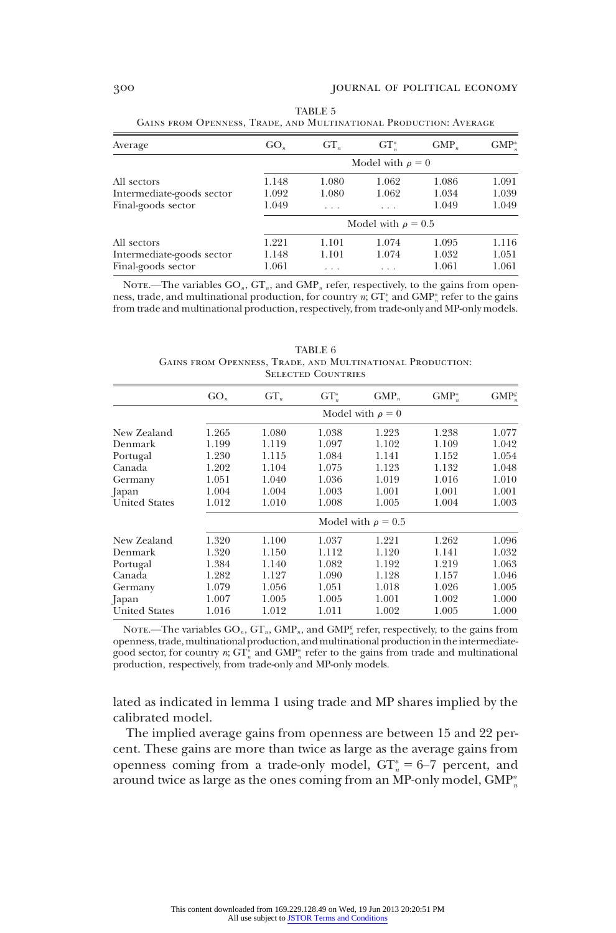| Average                   | GO <sub>n</sub> | $GT_n$                  | $GT^*$                  | GMP <sub>n</sub> | GMP <sub>n</sub> |
|---------------------------|-----------------|-------------------------|-------------------------|------------------|------------------|
|                           |                 |                         | Model with $\rho = 0$   |                  |                  |
| All sectors               | 1.148           | 1.080                   | 1.062                   | 1.086            | 1.091            |
| Intermediate-goods sector | 1.092           | 1.080                   | 1.062                   | 1.034            | 1.039            |
| Final-goods sector        | 1.049           | $\cdot$ $\cdot$ $\cdot$ | .                       | 1.049            | 1.049            |
|                           |                 |                         | Model with $\rho = 0.5$ |                  |                  |
| All sectors               | 1.221           | 1.101                   | 1.074                   | 1.095            | 1.116            |
| Intermediate-goods sector | 1.148           | 1.101                   | 1.074                   | 1.032            | 1.051            |
| Final-goods sector        | 1.061           | .                       | .                       | 1.061            | 1.061            |

TABLE 5 Gains from Openness, Trade, and Multinational Production: Average

NOTE.—The variables  $GO_n$ ,  $GT_n$ , and  $GMP_n$  refer, respectively, to the gains from openness, trade, and multinational production, for country  $n$ ,  $GT^*_n$  and  $GMP^*_n$  refer to the gains from trade and multinational production, respectively, from trade-only and MP-only models.

TABLE 6 Gains from Openness, Trade, and Multinational Production: SELECTED COUNTRIES

|                      | $GO_n$ | $GT_n$ | $GT_n^*$ | $GMP_n$                 | $GMP_n^*$ | $\text{GMP}_n^g$ |
|----------------------|--------|--------|----------|-------------------------|-----------|------------------|
|                      |        |        |          | Model with $\rho = 0$   |           |                  |
| New Zealand          | 1.265  | 1.080  | 1.038    | 1.223                   | 1.238     | 1.077            |
| Denmark              | 1.199  | 1.119  | 1.097    | 1.102                   | 1.109     | 1.042            |
| Portugal             | 1.230  | 1.115  | 1.084    | 1.141                   | 1.152     | 1.054            |
| Canada               | 1.202  | 1.104  | 1.075    | 1.123                   | 1.132     | 1.048            |
| Germany              | 1.051  | 1.040  | 1.036    | 1.019                   | 1.016     | 1.010            |
| Japan                | 1.004  | 1.004  | 1.003    | 1.001                   | 1.001     | 1.001            |
| <b>United States</b> | 1.012  | 1.010  | 1.008    | 1.005                   | 1.004     | 1.003            |
|                      |        |        |          | Model with $\rho = 0.5$ |           |                  |
| New Zealand          | 1.320  | 1.100  | 1.037    | 1.221                   | 1.262     | 1.096            |
| Denmark              | 1.320  | 1.150  | 1.112    | 1.120                   | 1.141     | 1.032            |
| Portugal             | 1.384  | 1.140  | 1.082    | 1.192                   | 1.219     | 1.063            |
| Canada               | 1.282  | 1.127  | 1.090    | 1.128                   | 1.157     | 1.046            |
| Germany              | 1.079  | 1.056  | 1.051    | 1.018                   | 1.026     | 1.005            |
| Japan                | 1.007  | 1.005  | 1.005    | 1.001                   | 1.002     | 1.000            |
| United States        | 1.016  | 1.012  | 1.011    | 1.002                   | 1.005     | 1.000            |

NOTE.—The variables  $GO_n$ ,  $GT_n$ ,  $GMP_n$ , and  $GMP_n^g$  refer, respectively, to the gains from openness, trade, multinational production, and multinational production in the intermediategood sector, for country  $n$ ,  $GT_n^*$  and  $GMP_n^*$  refer to the gains from trade and multinational production, respectively, from trade-only and MP-only models.

lated as indicated in lemma 1 using trade and MP shares implied by the calibrated model.

The implied average gains from openness are between 15 and 22 percent. These gains are more than twice as large as the average gains from openness coming from a trade-only model,  $GT_n^* = 6-7$  percent, and around twice as large as the ones coming from an MP-only model,  $\mathrm{GMP}^\ast_n$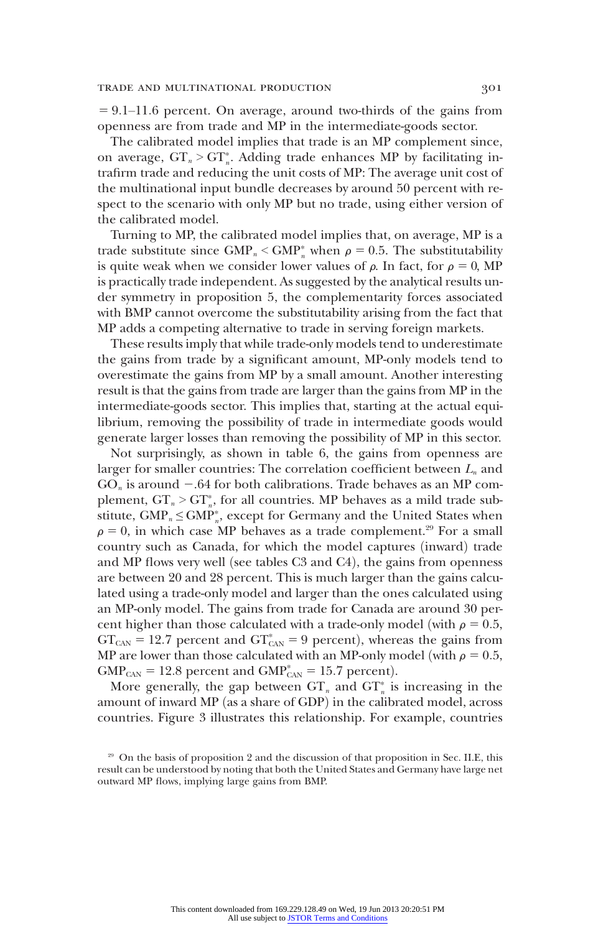$= 9.1 - 11.6$  percent. On average, around two-thirds of the gains from openness are from trade and MP in the intermediate-goods sector.

The calibrated model implies that trade is an MP complement since, on average,  $GT_n > GT_n^*$ . Adding trade enhances MP by facilitating intrafirm trade and reducing the unit costs of MP: The average unit cost of the multinational input bundle decreases by around 50 percent with respect to the scenario with only MP but no trade, using either version of the calibrated model.

Turning to MP, the calibrated model implies that, on average, MP is a trade substitute since  $\text{GMP}_{n} < \text{GMP}_{n}^{*}$  when  $\rho = 0.5$ . The substitutability is quite weak when we consider lower values of  $\rho$ . In fact, for  $\rho = 0$ , MP is practically trade independent. As suggested by the analytical results under symmetry in proposition 5, the complementarity forces associated with BMP cannot overcome the substitutability arising from the fact that MP adds a competing alternative to trade in serving foreign markets.

These results imply that while trade-only models tend to underestimate the gains from trade by a significant amount, MP-only models tend to overestimate the gains from MP by a small amount. Another interesting result is that the gains from trade are larger than the gains from MP in the intermediate-goods sector. This implies that, starting at the actual equilibrium, removing the possibility of trade in intermediate goods would generate larger losses than removing the possibility of MP in this sector.

Not surprisingly, as shown in table 6, the gains from openness are larger for smaller countries: The correlation coefficient between  $L_n$  and  $GO_n$  is around  $-.64$  for both calibrations. Trade behaves as an MP complement,  $GT_n > GT_n^*$ , for all countries. MP behaves as a mild trade substitute,  $\text{GMP}_{n} \leq \text{GMP}_{n}^{*}$ , except for Germany and the United States when  $\rho = 0$ , in which case MP behaves as a trade complement.<sup>29</sup> For a small country such as Canada, for which the model captures (inward) trade and MP flows very well (see tables C3 and C4), the gains from openness are between 20 and 28 percent. This is much larger than the gains calculated using a trade-only model and larger than the ones calculated using an MP-only model. The gains from trade for Canada are around 30 percent higher than those calculated with a trade-only model (with  $\rho = 0.5$ ,  $GT<sub>GAN</sub> = 12.7$  percent and  $GT<sub>CAN</sub><sup>*</sup> = 9$  percent), whereas the gains from<br>MP are lower than those calculated with an MP-only model (with  $\rho = 0.5$ ) MP are lower than those calculated with an MP-only model (with  $\rho = 0.5$ ,  $GMP_{CAN} = 12.8$  percent and  $GMP_{CAN}^* = 15.7$  percent).<br>More generally the gap between  $GT$  and  $GT^*$  is

More generally, the gap between  $GT_n$  and  $GT_n^*$  is increasing in the amount of inward MP (as a share of GDP) in the calibrated model, across countries. Figure 3 illustrates this relationship. For example, countries

<sup>&</sup>lt;sup>29</sup> On the basis of proposition 2 and the discussion of that proposition in Sec. II.E, this result can be understood by noting that both the United States and Germany have large net outward MP flows, implying large gains from BMP.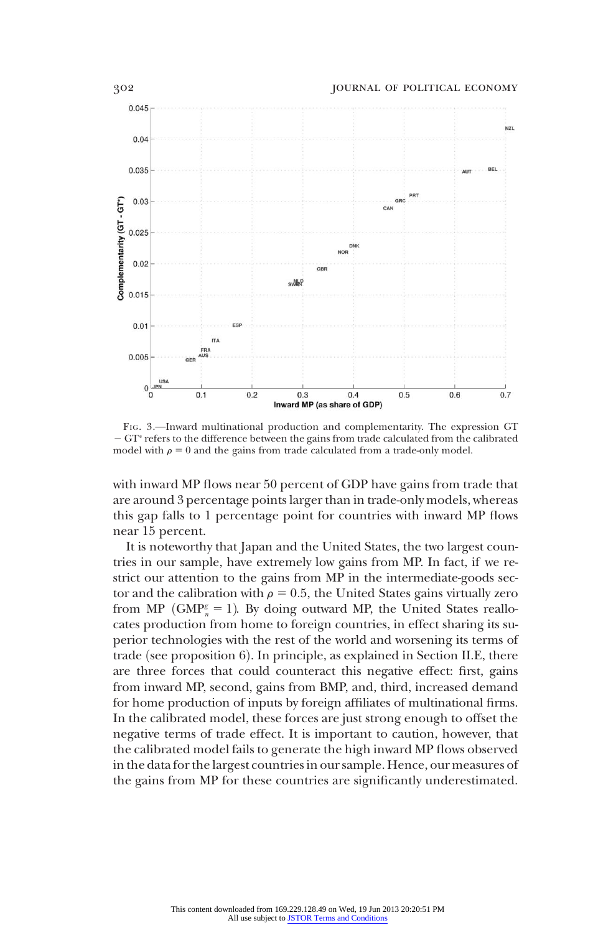

FIG. 3.—Inward multinational production and complementarity. The expression GT  $-$  GT $^*$  refers to the difference between the gains from trade calculated from the calibrated model with  $\rho = 0$  and the gains from trade calculated from a trade-only model.

with inward MP flows near 50 percent of GDP have gains from trade that are around 3 percentage points larger than in trade-only models, whereas this gap falls to 1 percentage point for countries with inward MP flows near 15 percent.

It is noteworthy that Japan and the United States, the two largest countries in our sample, have extremely low gains from MP. In fact, if we restrict our attention to the gains from MP in the intermediate-goods sector and the calibration with  $\rho = 0.5$ , the United States gains virtually zero from MP ( $GMP_n^g = 1$ ). By doing outward MP, the United States reallo-<br>cates production from home to foreign countries in effect sharing its sucates production from home to foreign countries, in effect sharing its superior technologies with the rest of the world and worsening its terms of trade (see proposition  $6$ ). In principle, as explained in Section II.E, there are three forces that could counteract this negative effect: first, gains from inward MP, second, gains from BMP, and, third, increased demand for home production of inputs by foreign affiliates of multinational firms. In the calibrated model, these forces are just strong enough to offset the negative terms of trade effect. It is important to caution, however, that the calibrated model fails to generate the high inward MP flows observed in the data for the largest countries in our sample. Hence, our measures of the gains from MP for these countries are significantly underestimated.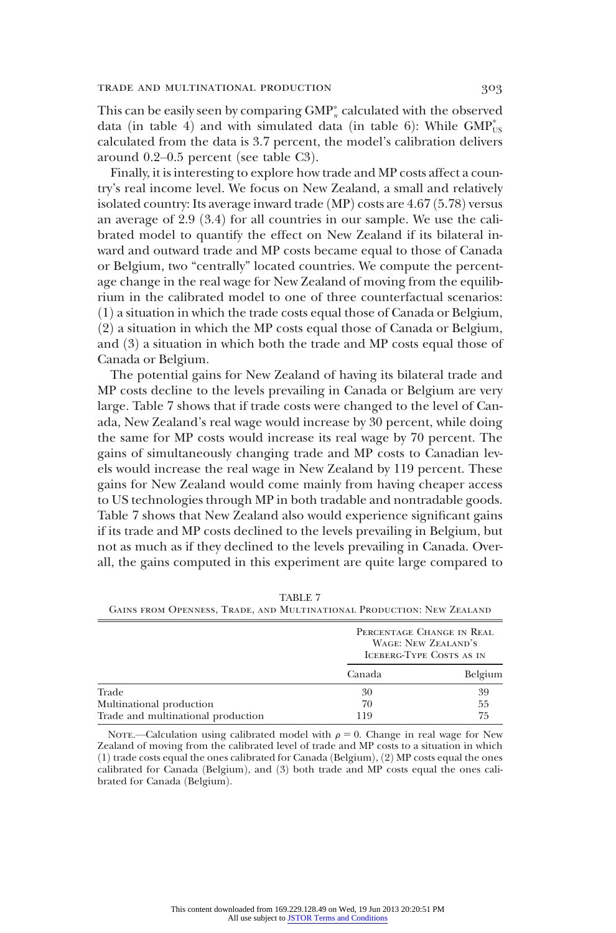This can be easily seen by comparing  $\mathrm{GMP}^\ast_n$  calculated with the observed data (in table 4) and with simulated data (in table 6): While  $GMP_{\text{US}}^*$ <br>calculated from the data is 3.7 percent, the model's calibration delivers calculated from the data is 3.7 percent, the model's calibration delivers around  $0.2-0.5$  percent (see table C3).

Finally, it is interesting to explore how trade and MP costs affect a country's real income level. We focus on New Zealand, a small and relatively isolated country: Its average inward trade  $(MP)$  costs are  $4.67$   $(5.78)$  versus an average of  $2.9$   $(3.4)$  for all countries in our sample. We use the calibrated model to quantify the effect on New Zealand if its bilateral inward and outward trade and MP costs became equal to those of Canada or Belgium, two "centrally" located countries. We compute the percentage change in the real wage for New Zealand of moving from the equilibrium in the calibrated model to one of three counterfactual scenarios:  $(1)$  a situation in which the trade costs equal those of Canada or Belgium,  $(2)$  a situation in which the MP costs equal those of Canada or Belgium, and  $(3)$  a situation in which both the trade and MP costs equal those of Canada or Belgium.

The potential gains for New Zealand of having its bilateral trade and MP costs decline to the levels prevailing in Canada or Belgium are very large. Table 7 shows that if trade costs were changed to the level of Canada, New Zealand's real wage would increase by 30 percent, while doing the same for MP costs would increase its real wage by 70 percent. The gains of simultaneously changing trade and MP costs to Canadian levels would increase the real wage in New Zealand by 119 percent. These gains for New Zealand would come mainly from having cheaper access to US technologies through MP in both tradable and nontradable goods. Table 7 shows that New Zealand also would experience significant gains if its trade and MP costs declined to the levels prevailing in Belgium, but not as much as if they declined to the levels prevailing in Canada. Overall, the gains computed in this experiment are quite large compared to

|                                    |        | PERCENTAGE CHANGE IN REAL<br>WAGE: NEW ZEALAND'S<br><b>ICEBERG-TYPE COSTS AS IN</b> |
|------------------------------------|--------|-------------------------------------------------------------------------------------|
|                                    | Canada | Belgium                                                                             |
| Trade                              | 30     | 39                                                                                  |
| Multinational production           | 70     | 55                                                                                  |
| Trade and multinational production | 119    | 75                                                                                  |

TABLE 7 Gains from Openness, Trade, and Multinational Production: New Zealand

NOTE.—Calculation using calibrated model with  $\rho = 0$ . Change in real wage for New Zealand of moving from the calibrated level of trade and MP costs to a situation in which  $(1)$  trade costs equal the ones calibrated for Canada (Belgium),  $(2)$  MP costs equal the ones calibrated for Canada (Belgium), and  $(3)$  both trade and MP costs equal the ones calibrated for Canada (Belgium).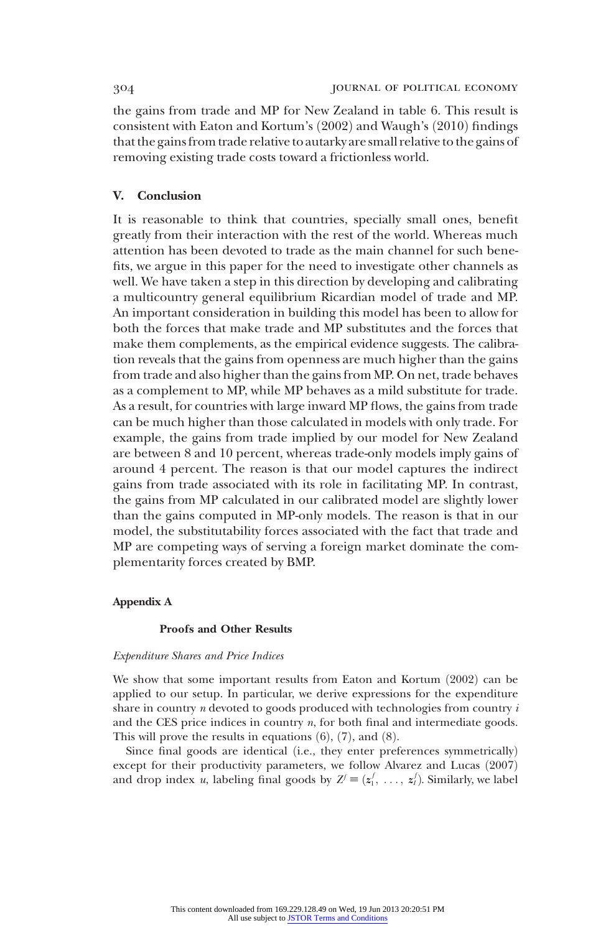the gains from trade and MP for New Zealand in table 6. This result is consistent with Eaton and Kortum's  $(2002)$  and Waugh's  $(2010)$  findings that the gains from trade relative to autarky are small relative to the gains of removing existing trade costs toward a frictionless world.

# V. Conclusion

It is reasonable to think that countries, specially small ones, benefit greatly from their interaction with the rest of the world. Whereas much attention has been devoted to trade as the main channel for such benefits, we argue in this paper for the need to investigate other channels as well. We have taken a step in this direction by developing and calibrating a multicountry general equilibrium Ricardian model of trade and MP. An important consideration in building this model has been to allow for both the forces that make trade and MP substitutes and the forces that make them complements, as the empirical evidence suggests. The calibration reveals that the gains from openness are much higher than the gains from trade and also higher than the gains from MP. On net, trade behaves as a complement to MP, while MP behaves as a mild substitute for trade. As a result, for countries with large inward MP flows, the gains from trade can be much higher than those calculated in models with only trade. For example, the gains from trade implied by our model for New Zealand are between 8 and 10 percent, whereas trade-only models imply gains of around 4 percent. The reason is that our model captures the indirect gains from trade associated with its role in facilitating MP. In contrast, the gains from MP calculated in our calibrated model are slightly lower than the gains computed in MP-only models. The reason is that in our model, the substitutability forces associated with the fact that trade and MP are competing ways of serving a foreign market dominate the complementarity forces created by BMP.

# Appendix A

# Proofs and Other Results

# Expenditure Shares and Price Indices

We show that some important results from Eaton and Kortum  $(2002)$  can be applied to our setup. In particular, we derive expressions for the expenditure share in country  $n$  devoted to goods produced with technologies from country  $i$ and the CES price indices in country  $n$ , for both final and intermediate goods. This will prove the results in equations  $(6)$ ,  $(7)$ , and  $(8)$ .

Since final goods are identical (i.e., they enter preferences symmetrically) except for their productivity parameters, we follow Alvarez and Lucas  $(2007)$ and drop index *u*, labeling final goods by  $Z^f \equiv (z_1^f, \ldots, z_t^f)$ . Similarly, we label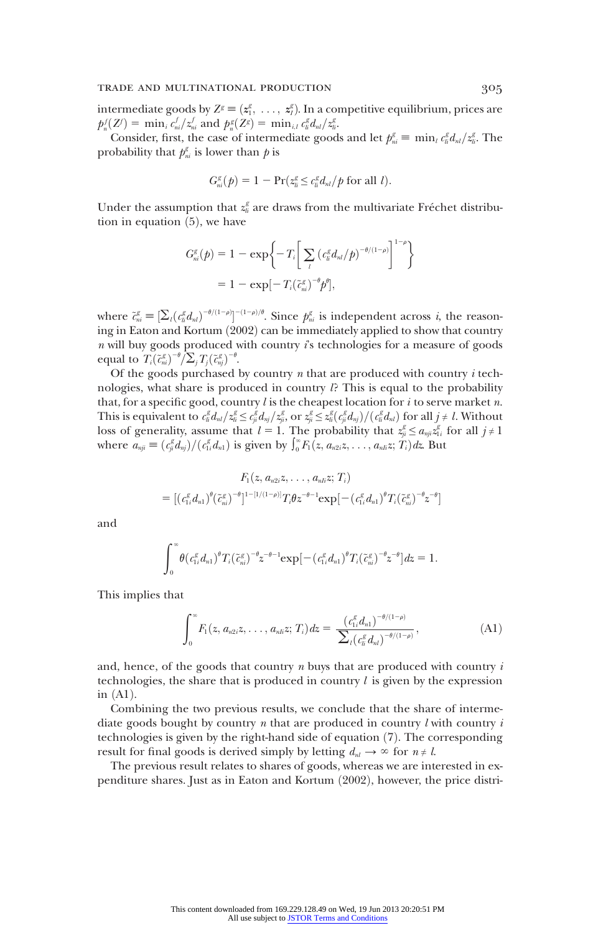intermediate goods by  $Z^g \equiv (z_1^g, \ldots, z_l^g)$ . In a competitive equilibrium, prices are  $\frac{f(z)}{g(z)} = \min_{z \in \mathcal{S}} \frac{f(z)}{g(z)} = \min_{z \in \mathcal{S}} \frac{f(z)}{g(z)}$  $p_n^f(Z) = \min_i c_{ni}^{f_i}/z_{ni}^f$  and  $p_n^g(Z^g) = \min_{i,l} c_{ni}^g d_{ni}/z_{ni}^g$ .<br>Consider first the case of intermediate good

Consider, first, the case of intermediate goods and let  $p_{ni}^g \equiv \min_l c_n^g d_{nl}/z_{li}^g$ . The probability that  $p_{ni}^g$  is lower than  $p$  is

$$
G_{ni}^g(p) = 1 - \Pr(z_{li}^g \leq c_{li}^g d_{nl}/p \text{ for all } l).
$$

Under the assumption that  $z_i^g$  are draws from the multivariate Fréchet distribution in equation  $(5)$ , we have

$$
G_{ni}^g(p) = 1 - \exp\left\{-T_i \left[\sum_l \left(c_{li}^g d_{nl}/p\right)^{-\theta/(1-\rho)}\right]^{1-\rho}\right\}
$$

$$
= 1 - \exp[-T_i(\tilde{c}_{ni}^g)^{-\theta}p^{\theta}],
$$

where  $\tilde{c}_{ni}^g \equiv \left[ \sum_l (c_{ii}^g d_{nl})^{-\theta/(1-\rho)} \right]^{-(1-\rho)/\theta}$ . Since  $p_{ni}^g$  is independent across *i*, the reason-<br>ing in Eaton and Kortum (2002) can be immediately applied to show that country ing in Eaton and Kortum (2002) can be immediately applied to show that country<br>n will buy goods produced with country is technologies for a measure of goods  $n$  will buy goods produced with country  $i$ 's technologies for a measure of goods equal to  $T_i(\tilde{c}_{ni}^g)^{-\theta}/\sum_j T_j(\tilde{c}_{nj}^g)^{-\theta}$ .<br>Of the goods purchased

Of the goods purchased by country *n* that are produced with country *i* tech-<br>Of the goods purchased by country *n* that are produced with country *i* technologies, what share is produced in country  $l$ ? This is equal to the probability that, for a specific good, country  $l$  is the cheapest location for  $i$  to serve market  $n$ . This is equivalent to  $c_6^{\frac{p}{2}}d_{nl}/z_6^{\frac{p}{2}} \leq c_6^{\frac{p}{2}}d_{nj}/z_6^{\frac{p}{2}}$ , or  $z_6^{\frac{p}{2}} \leq z_6^{\frac{p}{2}}(\epsilon_6^{\frac{p}{2}}d_{nj})/(\epsilon_6^{\frac{p}{2}}d_{nl})$  for all  $j \neq l$ . Without loss of generality assume that  $l = 1$ . The probabil loss of generality, assume that  $l = 1$ . The probability that  $z_j^g \le a_{nji} z_{1i}^g$  for all  $j \neq 1$ where  $a_{nji} \equiv (c_{ji}^g d_{nj})/(c_{1i}^g d_{n1})$  is given by  $\int_0^\infty F_1(z, a_{n2i}z, \ldots, a_{n1i}z; T_i) dz$ . But

$$
F_1(z, a_{n2i}z, \ldots, a_{n1i}z; T_i)
$$
  
= 
$$
[(c_{1i}^{\scriptscriptstyle B} d_{n1})^{\theta} (\tilde{c}_{ni}^{\scriptscriptstyle B})^{-\theta}]^{1-[1/(1-\rho)]} T_i \theta z^{-\theta-1} \exp[-(c_{1i}^{\scriptscriptstyle B} d_{n1})^{\theta} T_i (\tilde{c}_{ni}^{\scriptscriptstyle B})^{-\theta} z^{-\theta}]
$$

and

$$
\int_0^\infty \theta\big(c_{1i}^gd_{n1}\big)^{\theta}T_i\big(\tilde{c}_{ni}^g\big)^{-\theta}z^{-\theta-1}\exp\big[-\big(c_{1i}^gd_{n1}\big)^{\theta}T_i\big(\tilde{c}_{ni}^g\big)^{-\theta}z^{-\theta}\big]dz=1.
$$

This implies that

$$
\int_0^\infty F_1(z, a_{n2i}z, \dots, a_{n\bar{n}}z; T_i) dz = \frac{(c_{1i}^g d_{n1})^{-\theta/(1-\rho)}}{\sum_i (c_{i\bar{n}}^g d_{n1})^{-\theta/(1-\rho)}},
$$
(A1)

and, hence, of the goods that country  $n$  buys that are produced with country  $i$ technologies, the share that is produced in country  $l$  is given by the expression in  $(A1)$ .

Combining the two previous results, we conclude that the share of intermediate goods bought by country  $n$  that are produced in country  $l$  with country  $i$ technologies is given by the right-hand side of equation  $(7)$ . The corresponding result for final goods is derived simply by letting  $d_{nl} \rightarrow \infty$  for  $n \neq l$ .

The previous result relates to shares of goods, whereas we are interested in expenditure shares. Just as in Eaton and Kortum  $(2002)$ , however, the price distri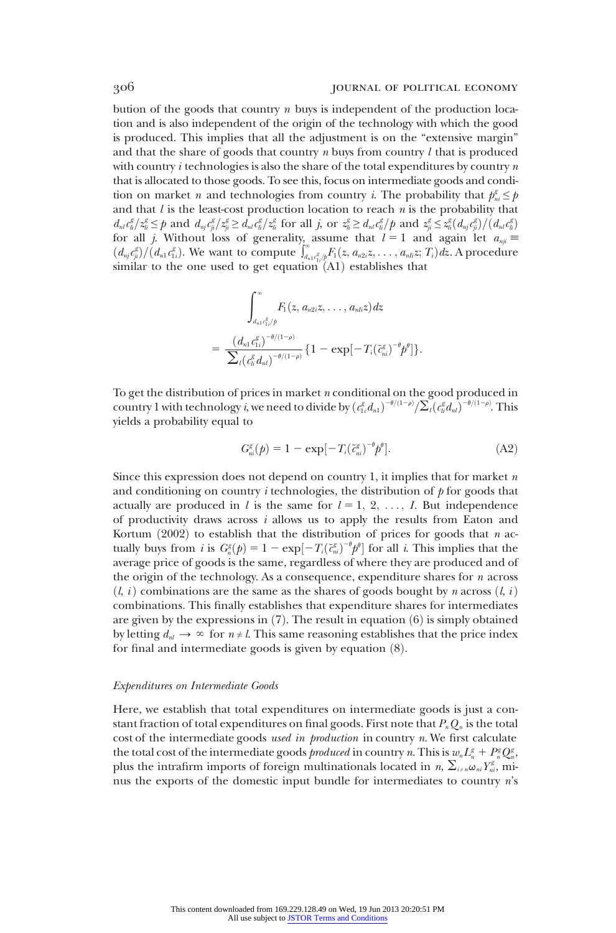bution of the goods that country  $n$  buys is independent of the production location and is also independent of the origin of the technology with which the good is produced. This implies that all the adjustment is on the "extensive margin" and that the share of goods that country  $n$  buys from country  $l$  that is produced with country  $i$  technologies is also the share of the total expenditures by country  $n$ that is allocated to those goods. To see this, focus on intermediate goods and condition on market *n* and technologies from country *i*. The probability that  $p_m^g \leq p_m^g$ and that  $l$  is the least-cost production location to reach  $n$  is the probability that  $d_{nl}c_n^g/z_n^g \le p$  and  $d_{nj}c_n^g/z_n^g \ge d_{nl}c_n^g/z_n^g$  for all j, or  $z_n^g \ge d_{nl}c_n^g/p$  and  $z_n^g \le z_n^g(d_{nj}c_n^g)/(d_{nl}c_n^g/c_n^g)$ liÞ for all j. Without loss of generality, assume that l 5 1 and again let anji ;  $(d_{nj}c_{ji}^g)/\dot(d_{n1}c_{1i}^g)$ . We want to compute  $\int_{d_{n}}^{\infty}$  $\frac{d_{n_1}S_{n_1}}{d_1}F_1(z, a_{n_2}; z, \ldots, a_{n_1}; z; T_i) dz$ . A procedure similar to the one used to get equation  $(A1)$  establishes that

$$
\int_{d_{n1}c_{1}^{g}/\rho}^{\infty} F_1(z, a_{n2}; z, \ldots, a_{n1}; z) dz
$$
  
= 
$$
\frac{(d_{n1}c_{1}^{g}/\rho^{-\theta/(1-\rho)}}{\sum_{l} (c_{li}^{g} d_{nl})^{-\theta/(1-\rho)}} \{1 - \exp[-T_i(\tilde{c}_{ni}^{g})^{-\theta} \rho^{\theta}]\}.
$$

To get the distribution of prices in market  $n$  conditional on the good produced in country 1 with technology *i*, we need to divide by  $(c_{1i}^{\mathcal{E}}d_{n1})^{-\theta/(1-\rho)}/\sum_{l}(c_{li}^{\mathcal{E}}d_{nl})^{-\theta/(1-\rho)}$ . This yields a probability equal to

$$
G_{ni}^g(p) = 1 - \exp[-T_i(\tilde{c}_{ni}^g)^{-\theta}p^{\theta}].
$$
 (A2)

Since this expression does not depend on country 1, it implies that for market  $n$ and conditioning on country  $i$  technologies, the distribution of  $p$  for goods that actually are produced in l is the same for  $l = 1, 2, \ldots, I$ . But independence of productivity draws across  $i$  allows us to apply the results from Eaton and Kortum  $(2002)$  to establish that the distribution of prices for goods that n actually buys from *i* is  $G_n^g(p) = 1 - \exp[-T_i(\tilde{c}_n^g)^{-\theta}p^{\theta}]$  for all *i*. This implies that the  $\alpha$  and  $\beta$  bays from  $\ell$  is  $\sigma_n(\gamma)$  in  $\exp[-i\pi(\sigma_n)]$  by an  $\ell$ . This implies that the average price of goods is the same, regardless of where they are produced and of the origin of the technology. As a consequence, expenditure shares for  $n$  across  $(l, i)$  combinations are the same as the shares of goods bought by n across  $(l, i)$ combinations. This finally establishes that expenditure shares for intermediates are given by the expressions in  $(7)$ . The result in equation  $(6)$  is simply obtained by letting  $d_{nl} \rightarrow \infty$  for  $n \neq l$ . This same reasoning establishes that the price index for final and intermediate goods is given by equation  $(8)$ .

# Expenditures on Intermediate Goods

Here, we establish that total expenditures on intermediate goods is just a constant fraction of total expenditures on final goods. First note that  $P_nQ_n$  is the total cost of the intermediate goods used in production in country  $n$ . We first calculate the total cost of the intermediate goods *produced* in country *n*. This is  $w_n L_n^g + P_n^g Q_n^g$ , plus the intrafirm imports of foreign multinationals located in  $n$ ,  $\sum_{i \neq n} \omega_{ni} Y_{ni}^g$ , minus the exports of the domestic input bundle for intermediates to country n's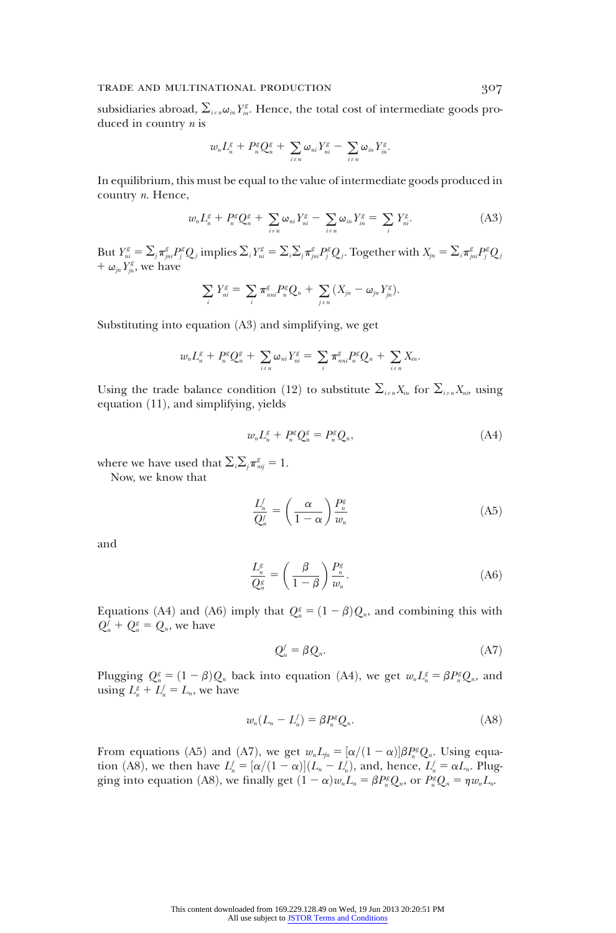subsidiaries abroad,  $\Sigma_{i\neq n}\omega_{in}Y_{in}^g.$  Hence, the total cost of intermediate goods produced in country  $n$  is

$$
w_n L_n^g + P_n^g Q_n^g + \sum_{i \neq n} \omega_{ni} Y_{ni}^g - \sum_{i \neq n} \omega_{in} Y_{in}^g.
$$

In equilibrium, this must be equal to the value of intermediate goods produced in country n. Hence,

$$
w_n L_n^g + P_n^g Q_n^g + \sum_{i \neq n} \omega_{ni} Y_n^g - \sum_{i \neq n} \omega_{in} Y_m^g = \sum_i Y_{ni}^g.
$$
 (A3)

 $\text{But } Y_{ni}^g = \sum_j \pi_{jn}^g P_j^g Q_j \text{ implies } \sum_i Y_{ni}^g = \sum_i \sum_j \pi_{jn}^g P_j^g Q_j. \text{ Together with } X_{jn} = \sum_i \pi_{jn}^g P_j^g Q_j$ +  $\omega_{jn} Y_{jn}^g$ , we have

$$
\sum_i Y_{ni}^g = \sum_i \pi_{nni}^g P_n^g Q_n + \sum_{j \neq n} (X_{jn} - \omega_{jn} Y_{jn}^g).
$$

Substituting into equation  $(A3)$  and simplifying, we get

$$
w_nL_n^g+P_n^gQ_n^g+\sum_{i\neq n}\omega_{ni}Y_{ni}^g=\sum_i\pi_{mi}^gP_n^gQ_n+\sum_{i\neq n}X_{in}.
$$

Using the trade balance condition (12) to substitute  $\sum_{i \neq n} X_{in}$  for  $\sum_{i \neq n} X_{ni}$ , using equation  $(11)$ , and simplifying, yields

$$
w_n L_n^g + P_n^g Q_n^g = P_n^g Q_n, \tag{A4}
$$

where we have used that  $\sum_i \sum_j \pi_{nij}^g = 1$ .

Now, we know that

$$
\frac{L_n'}{Q_n'} = \left(\frac{\alpha}{1-\alpha}\right) \frac{P_n^g}{w_n} \tag{A5}
$$

and

$$
\frac{L_n^g}{Q_n^g} = \left(\frac{\beta}{1-\beta}\right) \frac{P_n^g}{w_n}.
$$
\n(A6)

Equations (A4) and (A6) imply that  $Q_n^g = (1 - \beta)Q_n$ , and combining this with  $Q_n^f + Q_n^g = Q_n$  we have  $Q_n^f + Q_n^g = Q_n$ , we have

$$
Q_n^f = \beta Q_n. \tag{A7}
$$

Plugging  $Q_n^g = (1 - \beta)Q_n$  back into equation (A4), we get  $w_n L_n^g = \beta P_n^g Q_n$ , and using  $I^g = I$ , we have using  $L_n^g + L_n^f = L_n$ , we have

$$
w_n(L_n - L'_n) = \beta P_n^g Q_n.
$$
 (A8)

From equations (A5) and (A7), we get  $w_n L_{fn} = [\alpha/(1-\alpha)]\beta P_n^g Q_n$ . Using equation (A8), we then have  $L = [\alpha/(1-\alpha)](L-L)$  and hence  $L = \alpha L$ . Plum tion (A8), we then have  $L_n = [\alpha/(1-\alpha)](L_n - L_n)$ , and, hence,  $L_n = \alpha L_n$ . Plug-<br>ging into equation (A8), we finally get  $(1-\alpha)xL_n = \beta B_0^sQ$  or  $B_0^sQ = \eta xL_n^s$ . ging into equation (A8), we finally get  $(1 - \alpha)w_nL_n = \beta P_n^s Q_n$ , or  $P_n^s Q_n = \eta w_nL_n$ .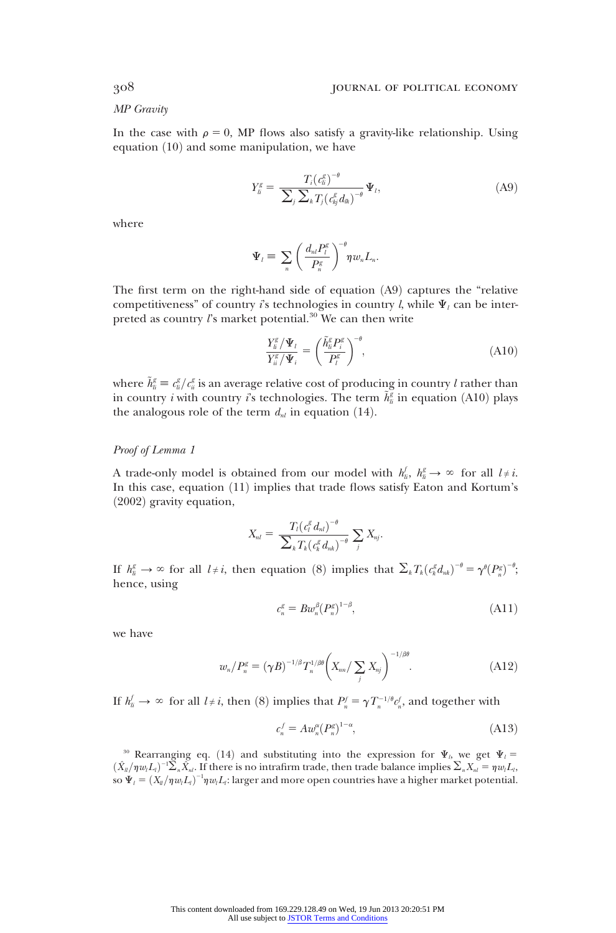#### MP Gravity

In the case with  $\rho = 0$ , MP flows also satisfy a gravity-like relationship. Using equation  $(10)$  and some manipulation, we have

$$
Y_{li}^g = \frac{T_i (c_{li}^g)^{-\theta}}{\sum_j \sum_k T_j (c_{kj}^g d_{lk})^{-\theta}} \Psi_l,
$$
\n(A9)

where

$$
\Psi_l \equiv \sum_n \left( \frac{d_{nl} P_l^g}{P_n^g} \right)^{-\theta} \eta w_n L_n.
$$

The first term on the right-hand side of equation  $(A9)$  captures the "relative" competitiveness" of country is technologies in country l, while  $\Psi_l$  can be interpreted as country  $l$ 's market potential.<sup>30</sup> We can then write

$$
\frac{Y_i^g / \Psi_l}{Y_{ii}^g / \Psi_i} = \left(\frac{\tilde{h}_{ii}^g P_i^g}{P_l^g}\right)^{-\theta},\tag{A10}
$$

where  $\tilde{h}^g_{\scriptscriptstyle \rm li}\equiv c^g_{\scriptscriptstyle \rm li}/c^g_{\scriptscriptstyle \rm ii}$  is an average relative cost of producing in country  $l$  rather than in country *i* with country *i*'s technologies. The term  $\tilde{h}_h^{\tilde{g}}$  in equation (A10) plays the analogous role of the term *d*, in equation (14) the analogous role of the term  $d_{nl}$  in equation (14).

# Proof of Lemma 1

A trade-only model is obtained from our model with  $h_{li}^f$ ,  $h_{li}^g \rightarrow \infty$  for all  $l \neq i$ . In this case, equation (11) implies that trade flows satisfy Eaton and Kortum's  $(2002)$  gravity equation,

$$
X_{nl} = \frac{T_l (c_l^g d_{nl})^{-\theta}}{\sum_k T_k (c_k^g d_{nk})^{-\theta}} \sum_j X_{nj}.
$$

If  $h_n^g \to \infty$  for all  $l \neq i$ , then equation (8) implies that  $\sum_k T_k (c_k^g d_{nk})^{-\theta} = \gamma^{\theta} (P_n^g)^{-\theta}$ ; hence, using

$$
c_n^g = B w_n^{\beta} (P_n^g)^{1-\beta}, \tag{A11}
$$

we have

$$
w_n/P_n^g = (\gamma B)^{-1/\beta} T_n^{1/\beta\theta} \bigg(X_{nn}/\sum_j X_{nj}\bigg)^{-1/\beta\theta}.
$$
 (A12)

If  $h'_n \to \infty$  for all  $l \neq i$ , then (8) implies that  $P'_n = \gamma T_n^{-1/\theta} c'_n$ , and together with

$$
c_n^f = A w_n^{\alpha} (P_n^g)^{1-\alpha},\tag{A13}
$$

<sup>30</sup> Rearranging eq. (14) and substituting into the expression for  $\Psi_b$ , we get  $\Psi_l =$  $(\hat{X}_n/\eta w_lL_l)^{-1}\sum_{n}\hat{X}_n$ . If there is no intrafirm trade, then trade balance implies  $\sum_{n}X_{ni}=\eta w_lL_l$ so  $\Psi_l = (X_l/\eta w_l L_l)^{-1} \eta w_l L_l$ : larger and more open countries have a higher market potential.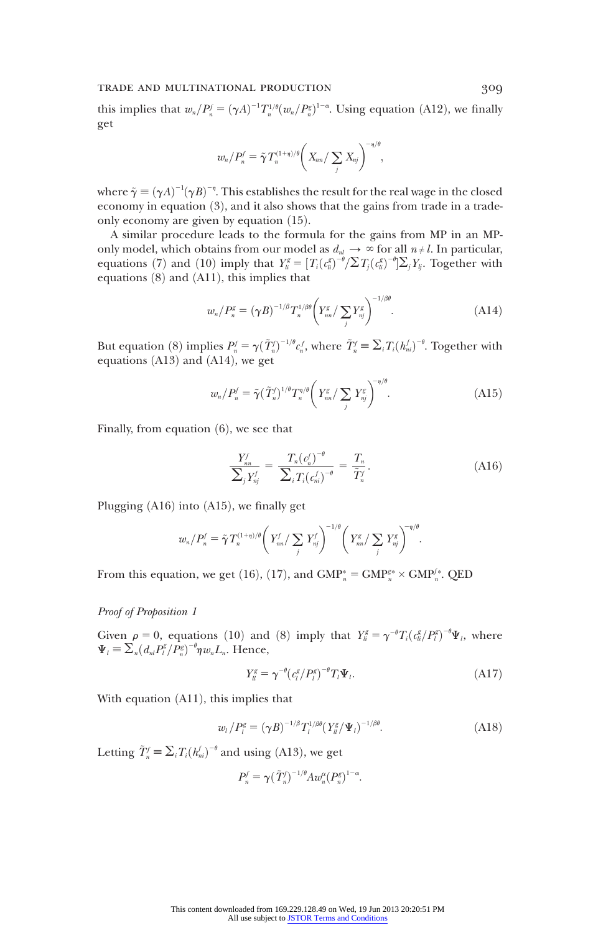this implies that  $w_n/P_n^f = (\gamma A)^{-1} T_n^{1/\theta} (w_n/P_n^g)^{1-\alpha}$ . Using equation (A12), we finally get

$$
w_n/P_n^f = \tilde{\gamma} T_n^{(1+\eta)/\theta} \bigg(X_{nn}/\sum_j X_{nj}\bigg)^{-\eta/\theta},
$$

where  $\tilde{\gamma} \equiv (\gamma A)^{-1} (\gamma B)^{-\eta}$ . This establishes the result for the real wage in the closed<br>economy in equation (3) and it also shows that the gains from trade in a tradeeconomy in equation  $(3)$ , and it also shows that the gains from trade in a tradeonly economy are given by equation  $(15)$ .

A similar procedure leads to the formula for the gains from MP in an MPonly model, which obtains from our model as  $d_{nl} \rightarrow \infty$  for all  $n \neq l$ . In particular, equations (7) and (10) imply that  $Y_a^g = [T_i(c_a^g)^{-\theta}/\sum T_j(c_a^g)^{-\theta}$  $\sum_j Y_{ij}$ . Together with equations  $(8)$  and  $(A11)$ , this implies that

$$
w_n/P_n^g = (\gamma B)^{-1/\beta} T_n^{1/\beta\theta} \left(Y_{nn}^g / \sum_j Y_{nj}^g\right)^{-1/\beta\theta}.
$$
 (A14)

But equation (8) implies  $P_n^f = \gamma(\tilde{T}_n^f)^{-1/\theta} c_n^f$ , where  $\tilde{T}_n^f \equiv \sum_i T_i (h_{ni}^f)^{-\theta}$ . Together with equations (A13) and (A14), we get But equation (b) implies  $\sum_{n=1}^{\infty} \binom{n}{n}$ <br>equations (A13) and (A14), we get

$$
w_n/P_n^f = \tilde{\gamma}(\tilde{T}_n^f)^{1/\theta} T_n^{\eta/\theta} \bigg(Y_{nn}^g / \sum_j Y_{nj}^g\bigg)^{-\eta/\theta}.
$$
 (A15)

Finally, from equation  $(6)$ , we see that

$$
\frac{Y_{nn}^f}{\sum_j Y_{nj}^f} = \frac{T_n (c_n^f)^{-\theta}}{\sum_i T_i (c_{ni}^f)^{-\theta}} = \frac{T_n}{\tilde{T}_n^f}.
$$
\n(A16)

Plugging  $(A16)$  into  $(A15)$ , we finally get

$$
w_n/P_n^f = \tilde{\gamma} T_n^{(1+\eta)/\theta} \bigg(Y_{nn}/\sum_j Y_{nj}^f\bigg)^{-1/\theta} \bigg(Y_{nn}^g/\sum_j Y_{nj}^g\bigg)^{-\eta/\theta}.
$$

From this equation, we get (16), (17), and  $\text{GMP}_{n}^{*} = \text{GMP}_{n}^{s*} \times \text{GMP}_{n}^{f*}$ . QED

# Proof of Proposition 1

Given  $\rho = 0$ , equations (10) and (8) imply that  $Y_{\scriptscriptstyle R}^{\scriptscriptstyle g} = \gamma^{-\theta} T_i (c_{\scriptscriptstyle R}^{\scriptscriptstyle g}/P_i^{\scriptscriptstyle g})^{-\theta} \Psi_i$ , where  $\Psi = \sum_{\alpha} (d_{\alpha} P_{\alpha}^{\scriptscriptstyle g}/P_{\alpha}^{\scriptscriptstyle g})^{-\theta} \Psi_{\alpha}$  and  $\Psi$  $\Psi_l \equiv \sum_n (d_{nl} P_l^g / P_n^g)^{-\theta} \eta w_n L_n$ . Hence,

$$
Y_{ll}^{g} = \gamma^{-\theta} \left( c_{l}^{g} / P_{l}^{g} \right)^{-\theta} T_{l} \Psi_{l}.
$$
\n(A17)

With equation  $(A11)$ , this implies that

$$
w_l/P_l^g = (\gamma B)^{-1/\beta} T_l^{1/\beta\theta} (Y_{ll}^g/\Psi_l)^{-1/\beta\theta}.
$$
 (A18)

Letting  $\tilde{T}_n^f \equiv \sum_i T_i (h_{ni}^f)^{-\theta}$  and using (A13), we get

$$
P_n^f = \gamma (\tilde{T}_n^f)^{-1/\theta} A w_n^{\alpha} (P_n^g)^{1-\alpha}.
$$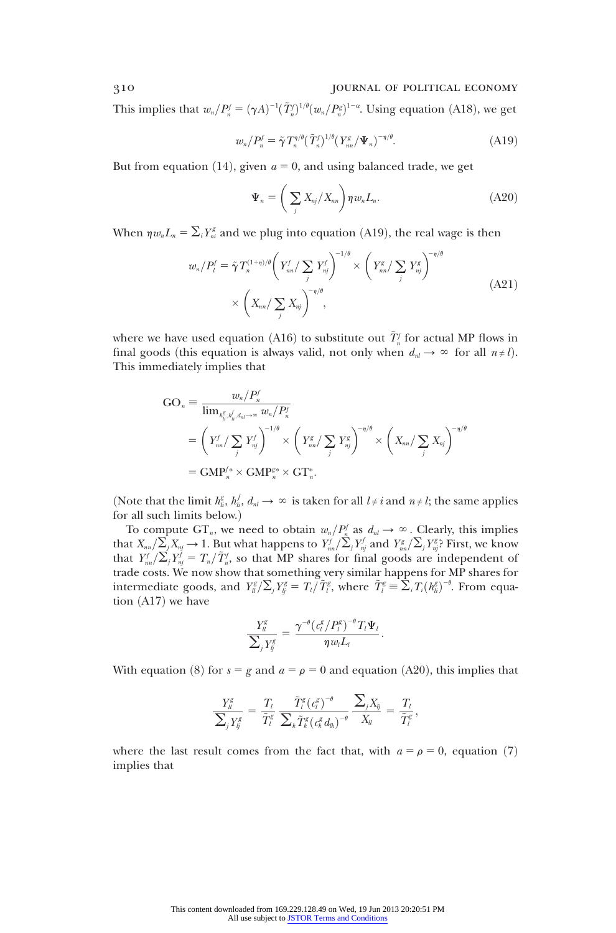# 310 journal of political economy

This implies that  $w_n/P_n^f = (\gamma A)^{-1} (\tilde{T}_n^f)^{1/\theta} (w_n/P_n^g)^{1-\alpha}$ . Using equation (A18), we get

$$
w_n/P_n^f = \tilde{\gamma} T_n^{\eta/\theta} (\tilde{T}_n^f)^{1/\theta} (Y_{nn}^g / \Psi_n)^{-\eta/\theta}.
$$
 (A19)

But from equation (14), given  $a = 0$ , and using balanced trade, we get

$$
\Psi_n = \left(\sum_j X_{nj}/X_{nn}\right) \eta w_n L_n. \tag{A20}
$$

When  $\eta w_n L_n = \sum_i Y_{ni}^g$  and we plug into equation (A19), the real wage is then

$$
w_n/P_i^f = \tilde{\gamma} T_n^{(1+\eta)/\theta} \left( Y_{nn}^f / \sum_j Y_{nj}^f \right)^{-1/\theta} \times \left( Y_{nn}^g / \sum_j Y_{nj}^g \right)^{-\eta/\theta}
$$
  
 
$$
\times \left( X_{nn} / \sum_j X_{nj} \right)^{-\eta/\theta}, \tag{A21}
$$

where we have used equation (A16) to substitute out  $\tilde{T}_n^f$  for actual MP flows in final goods (this equation is always valid not only when  $d_{\alpha} \to \infty$  for all  $n + l$ ) final goods (this equation is always valid, not only when  $d_{nl} \rightarrow \infty$  for all  $n \neq l$ ). This immediately implies that

$$
GO_n = \frac{w_n/P_n'}{\lim_{h_n^{\mathcal{E}}, h_n', d_{n l} \to \infty} w_n/P_n'}
$$
  
=  $\left(Y_{nn}^f / \sum_j Y_{nj}^f\right)^{-1/\theta} \times \left(Y_{nn}^{\mathcal{E}} / \sum_j Y_{nj}^{\mathcal{E}}\right)^{-\eta/\theta} \times \left(X_{nn} / \sum_j X_{nj}\right)^{-\eta/\theta}$   
=  $\text{GMP}_n^{f*} \times \text{GMP}_n^{\mathcal{E}*} \times \text{GT}_n^*.$ 

(Note that the limit  $h_{li}^g, h_{li}^f, d_{nl} \to \infty$  is taken for all  $l \neq i$  and  $n \neq l$ ; the same applies for all such limits below.) for all such limits below.)

To compute  $GT_n$ , we need to obtain  $w_n/P_n^f$  as  $d_{nl} \to \infty$ . Clearly, this implies that  $X_{nn}/\sum_j X_{nj} \to 1$ . But what happens to  $Y_{nn}^f/\sum_j Y_{nj}^f$  and  $Y_{nn}^g/\sum_j Y_{nj}^g$ ? First, we know that  $Y_{nn}^f / \sum_j Y_{nj}^f = T_n / T_n^f$ , so that MP shares for final goods are independent of trade costs. We now show that something very similar happens for MP shares for intermediate goods, and  $Y_{ll}^g/\sum_j Y_{lj}^g = T_l/\tilde{T}_l^g$ , where  $\tilde{T}_l^g \equiv \sum_i T_i (h_{li}^g)^{-\theta}$ . From equation (4.17) we have tion  $(A17)$  we have

$$
\frac{Y^g_u}{\sum_j Y^g_{\mathfrak{h}}} = \frac{\gamma^{-\theta}(\mathit{c}_l^g/P^g_l)^{-\theta}T_l\Psi_l}{\eta w_lL_l}.
$$

With equation (8) for  $s = g$  and  $a = \rho = 0$  and equation (A20), this implies that

$$
\frac{Y_{u}^{g}}{\sum_{j}Y_{ij}^{g}} = \frac{T_{l}}{\tilde{T}_{l}^{g}} \frac{\tilde{T}_{l}^{g}(c_{l}^{g})^{-\theta}}{\sum_{k} \tilde{T}_{k}^{g}(c_{k}^{g}d_{k})^{-\theta}} \frac{\sum_{j}X_{ij}}{X_{u}} = \frac{T_{l}}{\tilde{T}_{l}^{g}},
$$

where the last result comes from the fact that, with  $a = \rho = 0$ , equation (7) implies that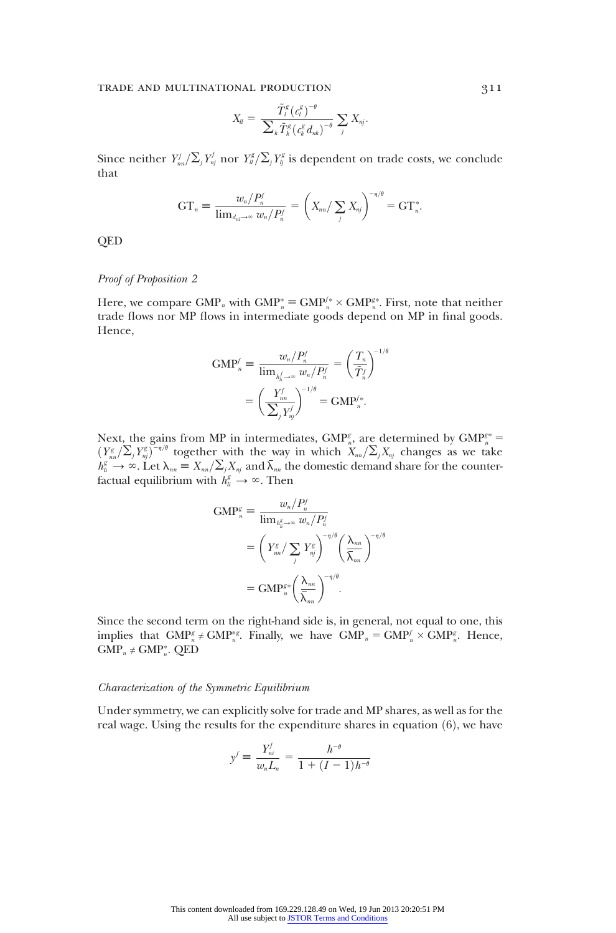$$
X_{ll} = \frac{\widetilde{T}_l^g (c_l^g)^{-\theta}}{\sum_k \widetilde{T}_k^g (c_k^g d_{nk})^{-\theta}} \sum_j X_{nj}.
$$

Since neither  $Y_{nn}^f/\sum_j Y_{nj}^f$  nor  $Y_{ll}^g/\sum_j Y_{ij}^g$  is dependent on trade costs, we conclude that

$$
GT_n \equiv \frac{w_n/P_n^f}{\lim_{d_{nl}\to\infty} w_n/P_n^f} = \left(X_{nn}/\sum_j X_{nj}\right)^{-\eta/\theta} = GT_n^*.
$$

QED

# Proof of Proposition 2

Here, we compare  $\text{GMP}_n$  with  $\text{GMP}_n^* \equiv \text{GMP}_n^{/*} \times \text{GMP}_n^{g*}$ . First, note that neither trade flows nor MP flows in intermediate goods depend on MP in final goods. Hence,

$$
GMP_n^f \equiv \frac{w_n/P_n^f}{\lim_{h_n^f \to \infty} w_n/P_n^f} = \left(\frac{T_n}{\tilde{T}_n}\right)^{-1/\theta}
$$

$$
= \left(\frac{Y_m^f}{\sum_j Y_m^f}\right)^{-1/\theta} = GMP_n^{f*}.
$$

Next, the gains from MP in intermediates,  $\text{GMP}_{n}^{g}$ , are determined by  $\text{GMP}_{n}^{g*}$  $(Y_{mn}^g/\Sigma_j Y_{nj}^g)^{-\eta/\theta}$  together with the way in which  $X_{mn}/\Sigma_j X_{nj}$  changes as we take  $h_{li}^g \to \infty$ . Let  $\lambda_{nn} \equiv X_{nn}/\sum_j X_{nj}$  and  $\overline{\lambda}_{nn}$  the domestic demand share for the counterfactual equilibrium with  $h^g_i \to \infty$ . Then

$$
GMP_n^g \equiv \frac{w_n/P_n^f}{\lim_{h_n^g \to \infty} w_n/P_n^f}
$$
  
=  $\left(Y_m^g / \sum_j Y_m^g\right)^{-\eta/\theta} \left(\frac{\lambda_{nn}}{\overline{\lambda}_{nn}}\right)^{-\eta/\theta}$   
=  $\text{GMP}_n^{g*} \left(\frac{\lambda_{nn}}{\overline{\lambda}_{nn}}\right)^{-\eta/\theta}$ .

Since the second term on the right-hand side is, in general, not equal to one, this implies that  $\text{GMP}_{n}^g \neq \text{GMP}_{n}^{*g}$ . Finally, we have  $\text{GMP}_{n} = \text{GMP}_{n}^f \times \text{GMP}_{n}^g$ . Hence,  $\text{GMP}_n \neq \text{GMP}_n^*$ . QED

# Characterization of the Symmetric Equilibrium

Under symmetry, we can explicitly solve for trade and MP shares, as well as for the real wage. Using the results for the expenditure shares in equation  $(6)$ , we have

$$
y^{f} \equiv \frac{Y_{ni}^{f}}{w_{n}L_{n}} = \frac{h^{-\theta}}{1 + (I - 1)h^{-\theta}}
$$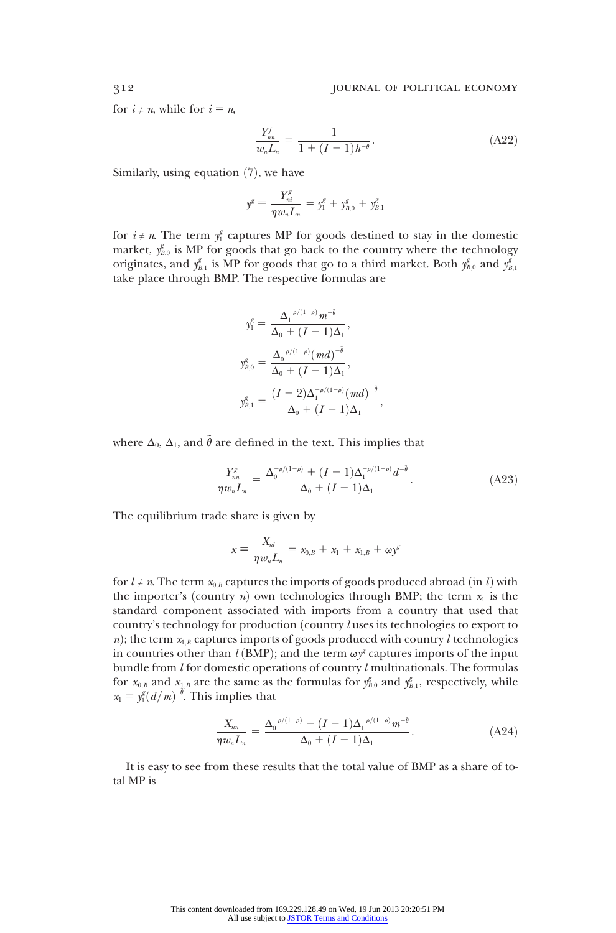# 312 **journal of political economy**

for  $i \neq n$ , while for  $i = n$ ,

$$
\frac{Y_{nn}'}{w_n L_n} = \frac{1}{1 + (I - 1)h^{-\theta}}.
$$
\n(A22)

Similarly, using equation  $(7)$ , we have

$$
y^g \equiv \frac{Y_{ni}^g}{\eta w_n L_n} = y_1^g + y_{B,0}^g + y_{B,1}^g
$$

for  $i \neq n$ . The term  $y_1^g$  captures MP for goods destined to stay in the domestic market,  $y_{B,0}^g$  is MP for goods that go back to the country where the technology originates, and  $y_{B,1}^g$  is MP for goods that go to a third market. Both  $y_{B,0}^g$  and  $y_{B,1}^g$ take place through BMP. The respective formulas are

$$
y_1^g = \frac{\Delta_1^{-\rho/(1-\rho)} m^{-\bar{\theta}}}{\Delta_0 + (I-1)\Delta_1},
$$
  

$$
y_{B,0}^g = \frac{\Delta_0^{-\rho/(1-\rho)} (md)^{-\bar{\theta}}}{\Delta_0 + (I-1)\Delta_1},
$$
  

$$
y_{B,1}^g = \frac{(I-2)\Delta_1^{-\rho/(1-\rho)} (md)^{-\bar{\theta}}}{\Delta_0 + (I-1)\Delta_1},
$$

where  $\Delta_0$ ,  $\Delta_1$ , and  $\tilde{\theta}$  are defined in the text. This implies that

$$
\frac{Y_{nn}^g}{\eta w_n L_n} = \frac{\Delta_0^{-\rho/(1-\rho)} + (I-1)\Delta_1^{-\rho/(1-\rho)} d^{-\tilde{\theta}}}{\Delta_0 + (I-1)\Delta_1}.
$$
 (A23)

The equilibrium trade share is given by

$$
x\equiv\frac{X_{nl}}{\eta\,w_nL_n}=x_{0,B}+x_1+x_{1,B}+\omega y^g
$$

for  $l \neq n$ . The term  $x_{0,B}$  captures the imports of goods produced abroad (in l) with the importer's (country *n*) own technologies through BMP; the term  $x_1$  is the standard component associated with imports from a country that used that country's technology for production (country luses its technologies to export to n); the term  $x_{1,B}$  captures imports of goods produced with country l technologies in countries other than  $l$  (BMP); and the term  $\omega y^g$  captures imports of the input bundle from  $l$  for domestic operations of country  $l$  multinationals. The formulas for  $x_{0,B}$  and  $x_{1,B}$  are the same as the formulas for  $y_{B,0}^g$  and  $y_{B,1}^g$ , respectively, while  $x_1 = y_1^g (d/m)^{-\tilde{\theta}}$ . This implies that

$$
\frac{X_{nn}}{\eta w_n L_n} = \frac{\Delta_0^{-\rho/(1-\rho)} + (I-1)\Delta_1^{-\rho/(1-\rho)}m^{-\bar{\theta}}}{\Delta_0 + (I-1)\Delta_1}.
$$
\n(A24)

It is easy to see from these results that the total value of BMP as a share of total MP is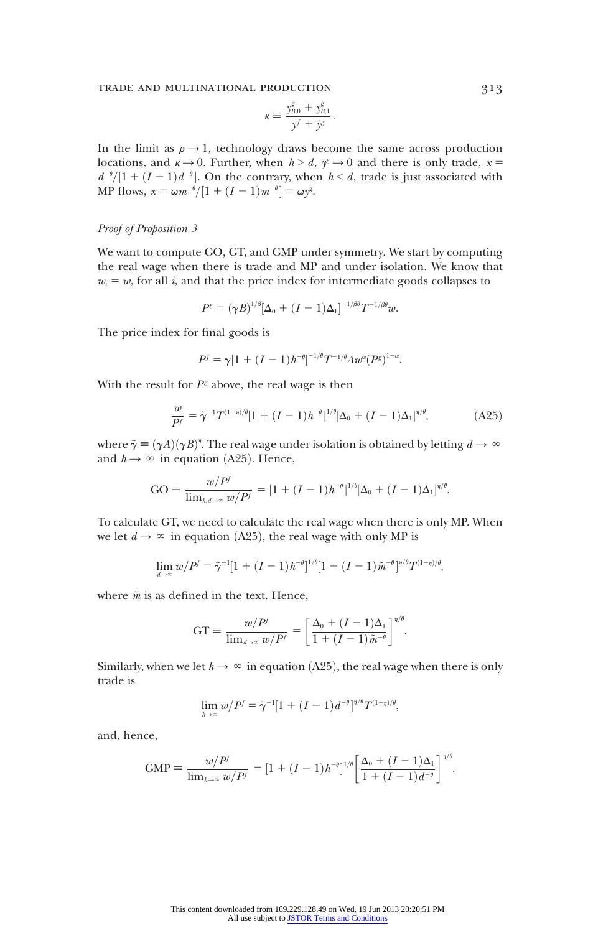$$
\kappa \equiv \frac{y_{B,0}^g + y_{B,1}^g}{y^f + y^g}.
$$

In the limit as  $\rho \rightarrow 1$ , technology draws become the same across production locations, and  $\kappa \rightarrow 0$ . Further, when  $h > d$ ,  $y^g \rightarrow 0$  and there is only trade,  $x =$  $\frac{d^{-\theta}}{1 + (I - 1)d^{-\theta}}$ . On the contrary, when  $h < d$ , trade is just associated with MP flows  $x = \omega m^{-\theta}/[1 + (I - 1) m^{-\theta}] = \omega m^{\theta}$ MP flows,  $x = \omega m^{-\theta}/[1 + (I - 1)m^{-\theta}] = \omega y^{\text{g}}$ .

# Proof of Proposition 3

We want to compute GO, GT, and GMP under symmetry. We start by computing the real wage when there is trade and MP and under isolation. We know that  $w_i = w$ , for all i, and that the price index for intermediate goods collapses to

$$
P^g = (\gamma B)^{1/\beta} [\Delta_0 + (I-1)\Delta_1]^{-1/\beta\theta} T^{-1/\beta\theta} w.
$$

The price index for final goods is

$$
P^f = \gamma [1 + (I - 1) h^{-\theta}]^{-1/\theta} T^{-1/\theta} A w^{\alpha} (P^g)^{1-\alpha}.
$$

With the result for  $P^g$  above, the real wage is then

$$
\frac{w}{P'} = \tilde{\gamma}^{-1} T^{(1+\eta)/\theta} [1 + (I-1)h^{-\theta}]^{1/\theta} [\Delta_0 + (I-1)\Delta_1]^{\eta/\theta}, \tag{A25}
$$

where  $\tilde{\gamma} \equiv (\gamma A)(\gamma B)^n$ . The real wage under isolation is obtained by letting  $d \to \infty$ <br>and  $h \to \infty$  in equation (A95). Hence and  $h \rightarrow \infty$  in equation (A25). Hence,

$$
GO = \frac{w/P^f}{\lim_{h,d\to\infty} w/P^f} = [1 + (I-1)h^{-\theta}]^{1/\theta}[\Delta_0 + (I-1)\Delta_1]^{\eta/\theta}.
$$

To calculate GT, we need to calculate the real wage when there is only MP. When we let  $d \rightarrow \infty$  in equation (A25), the real wage with only MP is

$$
\lim_{d\to\infty} w/P^f = \tilde{\gamma}^{-1} [1 + (I-1)h^{-\theta}]^{1/\theta} [1 + (I-1)\tilde{m}^{-\theta}]^{\eta/\theta} T^{(1+\eta)/\theta},
$$

where  $\tilde{m}$  is as defined in the text. Hence,

$$
GT \equiv \frac{w/P^f}{\lim_{d \to \infty} w/P^f} = \left[ \frac{\Delta_0 + (I-1)\Delta_1}{1 + (I-1)\tilde{m}^{-\theta}} \right]^{\eta/\theta}.
$$

Similarly, when we let  $h \rightarrow \infty$  in equation (A25), the real wage when there is only trade is

$$
\lim_{h\to\infty} w/P^f = \tilde{\gamma}^{-1} [1 + (I-1)d^{-\theta}]^{\eta/\theta} T^{(1+\eta)/\theta},
$$

and, hence,

$$
GMP = \frac{w/P^f}{\lim_{h \to \infty} w/P^f} = [1 + (I-1)h^{-\theta}]^{1/\theta} \left[ \frac{\Delta_0 + (I-1)\Delta_1}{1 + (I-1)d^{-\theta}} \right]^{1/\theta}.
$$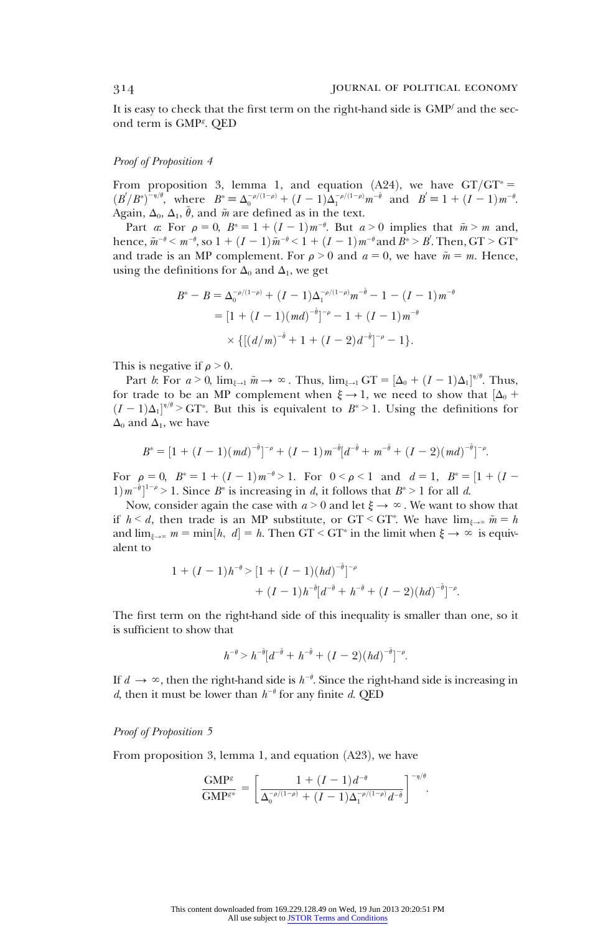It is easy to check that the first term on the right-hand side is  $\text{GMP}^f$  and the second term is GMP<sup>g</sup>. QED

#### Proof of Proposition 4

From proposition 3, lemma 1, and equation  $(A24)$ , we have  $GT/GT^* = (B/R^*)^{-\eta/\theta}$  where  $B^* = \Lambda^{-\rho/(1-\rho)} + (I-1)\Lambda^{-\rho/(1-\rho)}m^{-\theta}$  and  $B' = 1 + (I-1)m^{-\theta}$  $(B'/B^*)^{-\eta/\theta}$ , where  $B^* \equiv \Delta_0^{-\rho/(1-\rho)} + (I-1)\Delta_1^{-\rho/(1-\rho)}m^{-\theta}$  and  $B' \equiv 1 + (I-1)m^{-\theta}$ . Again,  $\Delta_0$ ,  $\Delta_1$ ,  $\tilde{\theta}$ , and  $\tilde{m}$  are defined as in the text.

Part a: For  $\rho = 0$ ,  $B^* = 1 + (I - 1)m^{-\theta}$ . But  $a > 0$  implies that  $\tilde{m} > m$  and,<br>nee  $\tilde{m}^{-\theta} \le m^{-\theta}$  so  $1 + (I - 1)\tilde{m}^{-\theta} \le 1 + (I - 1)m^{-\theta}$  and  $B^* > B'$ . Then  $CT \ge CT^*$ hence,  $\tilde{m}^{-\theta} \leq m^{-\theta}$ , so  $1 + (I - 1)\tilde{m}^{-\theta} \leq 1 + (I - 1)m^{-\theta}$  and  $B^* \geq B$ . Then,  $GT \geq GT^*$ <br>and trade is an MP complement. For  $\alpha \geq 0$  and  $a = 0$ , we have  $\tilde{m} = m$ . Hence and trade is an MP complement. For  $\rho > 0$  and  $a = 0$ , we have  $\tilde{m} = m$ . Hence, using the definitions for  $\Delta_0$  and  $\Delta_1$ , we get

$$
B^* - B = \Delta_0^{-\rho/(1-\rho)} + (I-1)\Delta_1^{-\rho/(1-\rho)}m^{-\tilde{\theta}} - 1 - (I-1)m^{-\theta}
$$
  
= 
$$
[1 + (I-1)(md)^{-\tilde{\theta}}]^{-\rho} - 1 + (I-1)m^{-\theta}
$$
  

$$
\times \{[(d/m)^{-\tilde{\theta}} + 1 + (I-2)d^{-\tilde{\theta}}]^{-\rho} - 1\}.
$$

This is negative if  $\rho > 0$ .

Part b: For  $a > 0$ ,  $\lim_{\xi \to 1} \tilde{m} \to \infty$ . Thus,  $\lim_{\xi \to 1} GT = [\Delta_0 + (I - 1)\Delta_1]^{\eta/\theta}$ . Thus, for trade to be an MP complement when  $\xi \rightarrow 1$ , we need to show that  $[\Delta_0 +$  $(I - 1)\Delta_1]^{1/\theta} > GT^*$ . But this is equivalent to  $B^* > 1$ . Using the definitions for  $\Delta_0$  and  $\Delta_1$ , we have

$$
B^* = [1 + (I - 1)(md)^{-\tilde{\theta}}]^{-\rho} + (I - 1)m^{-\tilde{\theta}}[d^{-\tilde{\theta}} + m^{-\tilde{\theta}} + (I - 2)(md)^{-\tilde{\theta}}]^{-\rho}.
$$

For  $\rho = 0$ ,  $B^* = 1 + (I - 1)m^{-\theta} > 1$ . For  $0 \le \rho \le 1$  and  $d = 1$ ,  $B^* = [1 + (I \frac{1}{N}$  $\frac{m^{-\tilde{\theta}}}{N}$  $1^{1-\rho} > 1$ . Since  $B^*$  is increasing in d, it follows that  $B^* > 1$  for all d.

Now, consider again the case with  $a > 0$  and let  $\xi \to \infty$ . We want to show that if  $h \leq d$ , then trade is an MP substitute, or GT  $\leq$  GT\*. We have  $\lim_{\epsilon \to \infty} \tilde{m} = h$ and  $\lim_{\xi \to \infty} m = \min[h, d] = h$ . Then GT < GT\* in the limit when  $\xi \to \infty$  is equivalent to

$$
1 + (I-1)h^{-\theta} > [1 + (I-1)(hd)^{-\tilde{\theta}}]^{-\rho}
$$
  
+  $(I-1)h^{-\tilde{\theta}}[d^{-\tilde{\theta}} + h^{-\tilde{\theta}} + (I-2)(hd)^{-\tilde{\theta}}]^{-\rho}$ .

The first term on the right-hand side of this inequality is smaller than one, so it is sufficient to show that

$$
h^{-\theta} > h^{-\tilde{\theta}} \big[ d^{-\tilde{\theta}} + h^{-\tilde{\theta}} + (I-2)(h d)^{-\tilde{\theta}} \big]^{-\rho}.
$$

If  $d \to \infty$ , then the right-hand side is  $h^{-\theta}$ . Since the right-hand side is increasing in d, then it must be lower than  $h^{-\theta}$  for any finite d. QED

#### Proof of Proposition 5

From proposition 3, lemma 1, and equation  $(A23)$ , we have

$$
\frac{\text{GMP}^g}{\text{GMP}^{g*}} = \left[ \frac{1 + (I - 1)d^{-\theta}}{\Delta_0^{-\rho/(1-\rho)} + (I - 1)\Delta_1^{-\rho/(1-\rho)}d^{-\tilde{\theta}}} \right]^{-\eta/\theta}.
$$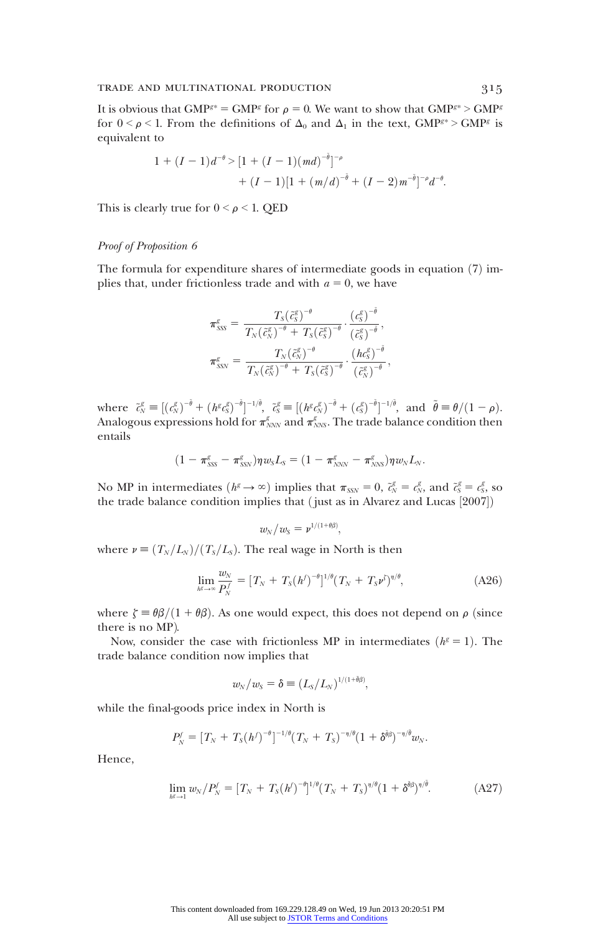It is obvious that  $\text{GMP}^{g*} = \text{GMP}^g$  for  $\rho = 0$ . We want to show that  $\text{GMP}^{g*} > \text{GMP}^g$ for  $0 \leq \rho \leq 1$ . From the definitions of  $\Delta_0$  and  $\Delta_1$  in the text,  $\text{GMP}^{g*} > \text{GMP}^g$  is equivalent to

$$
1 + (I - 1)d^{-\theta} > [1 + (I - 1)(md)^{-\tilde{\theta}}]^{-\rho}
$$
  
+  $(I - 1)[1 + (m/d)^{-\tilde{\theta}} + (I - 2)m^{-\tilde{\theta}}]^{-\rho}d^{-\theta}$ .

This is clearly true for  $0 < \rho < 1$ . QED

# Proof of Proposition 6

The formula for expenditure shares of intermediate goods in equation  $(7)$  implies that, under frictionless trade and with  $a = 0$ , we have

$$
\pi_{SSS}^g = \frac{T_S(\tilde{c}_S^g)^{-\theta}}{T_N(\tilde{c}_N^g)^{-\theta} + T_S(\tilde{c}_S^g)^{-\theta}} \cdot \frac{(c_S^g)^{-\tilde{\theta}}}{(\tilde{c}_S^g)^{-\tilde{\theta}}},
$$

$$
\pi_{SSN}^g = \frac{T_N(\tilde{c}_N^g)^{-\theta}}{T_N(\tilde{c}_N^g)^{-\theta} + T_S(\tilde{c}_S^g)^{-\theta}} \cdot \frac{(hc_S^g)^{-\tilde{\theta}}}{(\tilde{c}_N^g)^{-\tilde{\theta}}},
$$

where  $\tilde{c}_N^g \equiv [(\epsilon_0^g)^{-\hat{\theta}} + (h^g \epsilon_0^g)^{-\hat{\theta}}]^{-1/\hat{\theta}}$ ,  $\tilde{c}_S^g \equiv [(\hbar^g \epsilon_N^g)^{-\hat{\theta}} + (\epsilon_S^g)^{-\hat{\theta}}]^{-1/\hat{\theta}}$ , and  $\tilde{\theta} \equiv \theta/(1-\rho)$ .<br>Analogous expressions hold for  $\pi^g$  and  $\pi^g$ . The trade balance condition then Analogous expressions hold for  $\pi_{NNN}^g$  and  $\pi_{NNN}^g$ . The trade balance condition then entails

$$
(1-\pi_{SSS}^g-\pi_{SSN}^g)\eta w_S L_S = (1-\pi_{NNN}^g-\pi_{NNS}^g)\eta w_N L_N.
$$

No MP in intermediates  $(h^g \to \infty)$  implies that  $\pi_{SSN} = 0$ ,  $\tilde{c}_N^g = c_N^g$ , and  $\tilde{c}_S^g = c_S^g$ , so the trade balance condition implies that (just as in Alvarez and Lucas [9007]) the trade balance condition implies that (just as in Alvarez and Lucas  $[2007]$ )

$$
w_N/w_S = \nu^{1/(1+\theta\beta)},
$$

where  $\nu \equiv (T_N/L_N)/(T_S/L_s)$ . The real wage in North is then

$$
\lim_{h\to\infty}\frac{w_N}{P_N^f}=[T_N+T_S(h^f)^{-\theta}]^{1/\theta}(T_N+T_S\nu^{\xi})^{\eta/\theta},\tag{A26}
$$

where  $\zeta = \frac{\theta \beta}{1 + \theta \beta}$ . As one would expect, this does not depend on  $\rho$  (since there is no MP).

Now, consider the case with frictionless MP in intermediates  $(h^g = 1)$ . The trade balance condition now implies that

$$
w_N/w_S=\delta\equiv (L_S/L_N)^{1/(1+\tilde{\theta}\beta)},
$$

while the final-goods price index in North is

$$
P_N^f = [T_N + T_S(h^f)^{-\theta}]^{-1/\theta} (T_N + T_S)^{-\eta/\theta} (1 + \delta^{\bar{\theta}\beta})^{-\eta/\bar{\theta}} w_N.
$$

Hence,

$$
\lim_{h \to -1} w_N / P_N^f = [T_N + T_S(h)^{-\theta}]^{1/\theta} (T_N + T_S)^{\eta/\theta} (1 + \delta^{\tilde{\theta}\beta})^{\eta/\tilde{\theta}}.
$$
 (A27)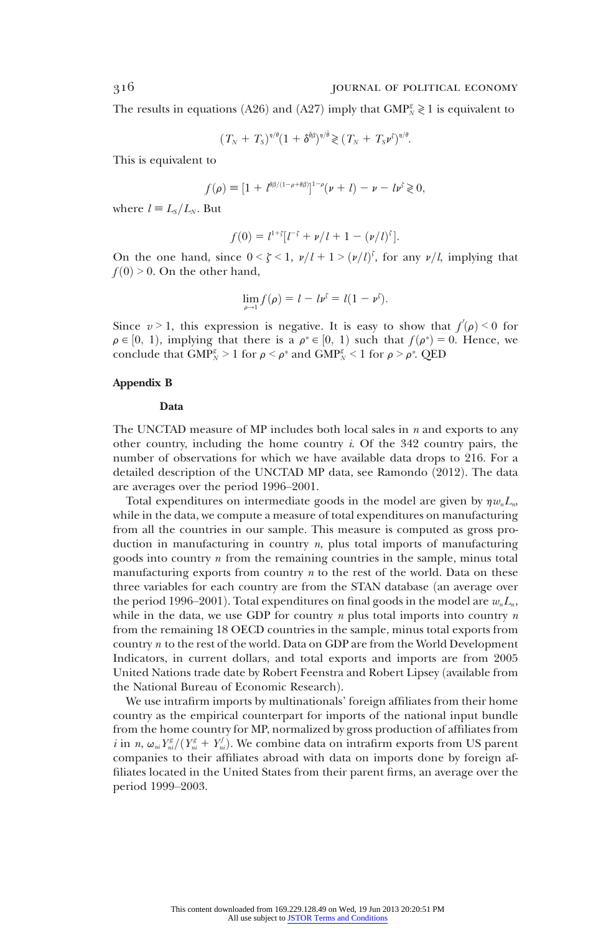The results in equations (A26) and (A27) imply that  $GMP_N^g \ge 1$  is equivalent to

$$
(T_N+T_S)^{\eta/\theta}(1+\delta^{\tilde{\theta}\beta})^{\eta/\tilde{\theta}}\gtrless (T_N+T_S\nu^{\zeta})^{\eta/\theta}.
$$

This is equivalent to

$$
f(\rho) \equiv [1 + l^{\theta\beta/(1-\rho+\theta\beta)}]^{1-\rho}(\nu + l) - \nu - l\nu^{\xi} \geq 0,
$$

where  $l = L_s/L_s$ . But

$$
f(0) = l^{1+\xi} [l^{-\zeta} + \nu/l + 1 - (\nu/l)^{\zeta}].
$$

On the one hand, since  $0 \le \zeta \le 1$ ,  $\nu/l + 1 \ge (\nu/l)^{\zeta}$ , for any  $\nu/l$ , implying that  $f(0) > 0$ . On the other hand  $f(0) > 0$ . On the other hand,

$$
\lim_{\rho \to 1} f(\rho) = l - l \nu^{\zeta} = l(1 - \nu^{\zeta}).
$$

Since  $v > 1$ , this expression is negative. It is easy to show that  $f(\rho) < 0$  for  $\rho \in [0, 1)$  implying that there is  $\partial_{\rho} e^* = [0, 1]$  such that  $f(\rho^*) = 0$ . Hence we  $\rho \in [0, 1)$ , implying that there is a  $\rho^* \in [0, 1)$  such that  $f(\rho^*) = 0$ . Hence, we conclude that  $\text{GMP}_N^g > 1$  for  $\rho \leq \rho^*$  and  $\text{GMP}_N^g \leq 1$  for  $\rho \geq \rho^*$ . QED

# Appendix B

# Data

The UNCTAD measure of MP includes both local sales in  $n$  and exports to any other country, including the home country  $i$ . Of the 342 country pairs, the number of observations for which we have available data drops to 216. For a detailed description of the UNCTAD MP data, see Ramondo  $(2012)$ . The data are averages over the period 1996–2001.

Total expenditures on intermediate goods in the model are given by  $\eta w_n L_n$ , while in the data, we compute a measure of total expenditures on manufacturing from all the countries in our sample. This measure is computed as gross production in manufacturing in country  $n$ , plus total imports of manufacturing goods into country  $n$  from the remaining countries in the sample, minus total manufacturing exports from country  $n$  to the rest of the world. Data on these three variables for each country are from the STAN database (an average over the period 1996–2001). Total expenditures on final goods in the model are  $w_nL_n$ , while in the data, we use GDP for country  $n$  plus total imports into country  $n$ from the remaining 18 OECD countries in the sample, minus total exports from country n to the rest of the world. Data on GDP are from the World Development Indicators, in current dollars, and total exports and imports are from 2005 United Nations trade date by Robert Feenstra and Robert Lipsey (available from the National Bureau of Economic Research).

We use intrafirm imports by multinationals' foreign affiliates from their home country as the empirical counterpart for imports of the national input bundle from the home country for MP, normalized by gross production of affiliates from i in n,  $\omega_{ni} Y_{ni}^g/(Y_{ni}^g + Y_{ni}^f)$ . We combine data on intrafirm exports from US parent<br>companies to their affiliates abroad with data on imports done by foreign afcompanies to their affiliates abroad with data on imports done by foreign affiliates located in the United States from their parent firms, an average over the period 1999–2003.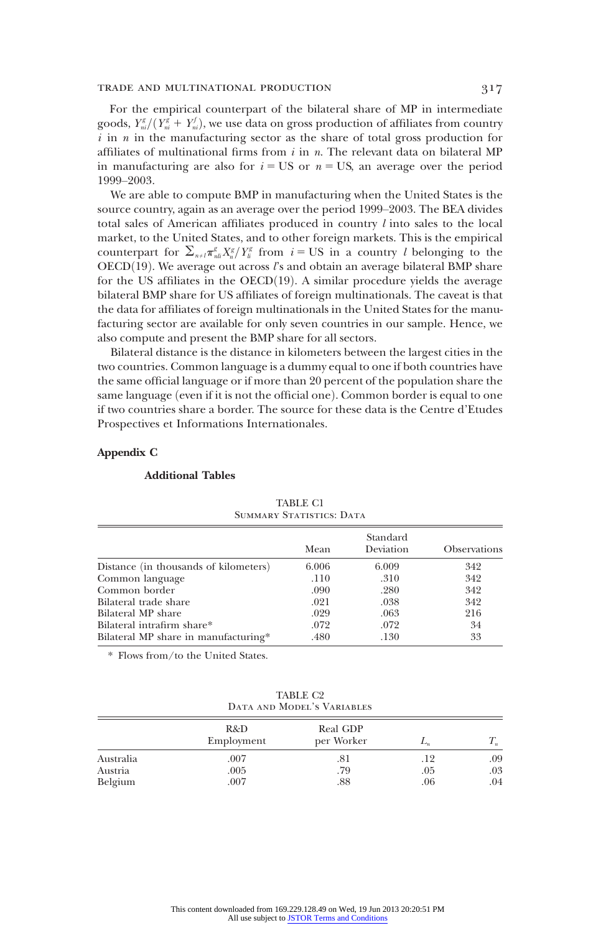For the empirical counterpart of the bilateral share of MP in intermediate goods,  $Y_{ni}^{g}/(Y_{ni}^{g} + Y_{ni}^{f})$ , we use data on gross production of affiliates from country<br>i in n in the manufacturing sector as the share of total gross production for  $i$  in n in the manufacturing sector as the share of total gross production for affiliates of multinational firms from  $i$  in  $n$ . The relevant data on bilateral MP in manufacturing are also for  $i = US$  or  $n = US$ , an average over the period 1999–2003.

We are able to compute BMP in manufacturing when the United States is the source country, again as an average over the period 1999–2003. The BEA divides total sales of American affiliates produced in country l into sales to the local market, to the United States, and to other foreign markets. This is the empirical counterpart for  $\sum_{n\neq l}\pi_{nl}^g X_n^g/Y_n^g$  from  $i = US$  in a country l belonging to the  $OECD(19)$ . We average out across l's and obtain an average bilateral BMP share for the US affiliates in the  $OECD(19)$ . A similar procedure yields the average bilateral BMP share for US affiliates of foreign multinationals. The caveat is that the data for affiliates of foreign multinationals in the United States for the manufacturing sector are available for only seven countries in our sample. Hence, we also compute and present the BMP share for all sectors.

Bilateral distance is the distance in kilometers between the largest cities in the two countries. Common language is a dummy equal to one if both countries have the same official language or if more than 20 percent of the population share the same language (even if it is not the official one). Common border is equal to one if two countries share a border. The source for these data is the Centre d'Etudes Prospectives et Informations Internationales.

# Appendix C

#### Additional Tables

SUMMARY STATISTICS: DATA Mean Standard Deviation Observations Distance (in thousands of kilometers)  $6.006$   $6.009$   $342$ <br>Common language  $.110$   $.310$   $342$ Common language **.110** .310 .342<br>
Common border .090 .280 .342 Common border .090 .280 342 Bilateral trade share .021 .038 342 Bilateral MP share ...  $0.029$  ...  $0.063$  ...  $0.063$  ...  $0.072$  ...  $0.072$  ...  $0.072$  ...  $0.072$  ...  $0.072$ Bilateral intrafirm share\* .072 .072 34 Bilateral MP share in manufacturing\*

TABLE C1

\* Flows from/to the United States.

| <b>TABLE C2</b> |                            |
|-----------------|----------------------------|
|                 | DATA AND MODEL'S VARIABLES |

|           | R&D<br>Employment | Real GDP<br>per Worker |     | $n_{n}$ |
|-----------|-------------------|------------------------|-----|---------|
| Australia | .007              | .81                    | .12 | .09     |
| Austria   | .005              | .79                    | .05 | .03     |
| Belgium   | .007              | .88                    | .06 | .04     |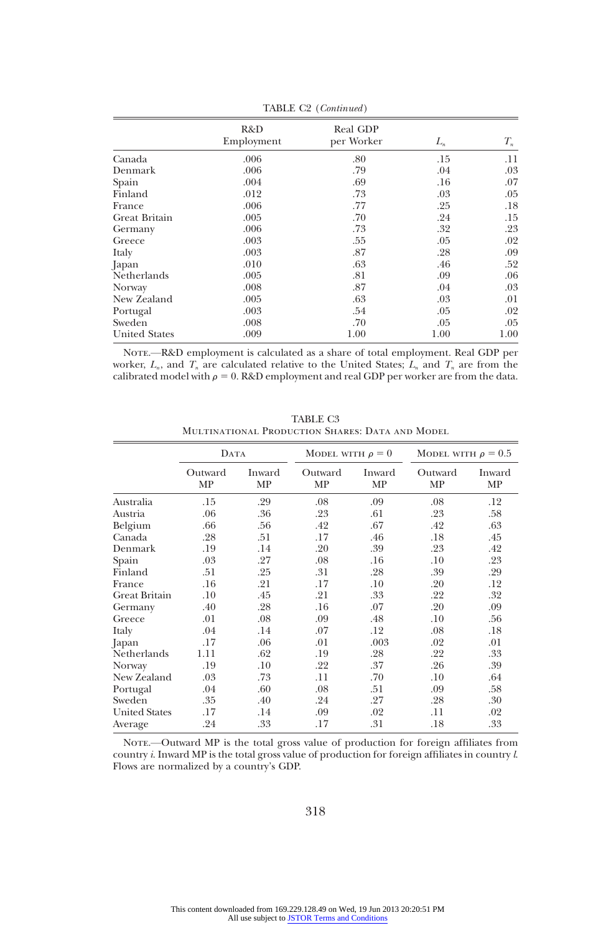|                      | R&D        | Real GDP<br>per Worker |       |       |
|----------------------|------------|------------------------|-------|-------|
|                      | Employment |                        | $L_n$ | $T_n$ |
| Canada               | .006       | .80                    | .15   | .11   |
| Denmark              | .006       | .79                    | .04   | .03   |
| Spain                | .004       | .69                    | .16   | .07   |
| Finland              | .012       | .73                    | .03   | .05   |
| France               | .006       | .77                    | .25   | .18   |
| Great Britain        | .005       | .70                    | .24   | .15   |
| Germany              | .006       | .73                    | .32   | .23   |
| Greece               | .003       | .55                    | .05   | .02   |
| Italy                | .003       | .87                    | .28   | .09   |
| Japan                | .010       | .63                    | .46   | .52   |
| Netherlands          | .005       | .81                    | .09   | .06   |
| Norway               | .008       | .87                    | .04   | .03   |
| New Zealand          | .005       | .63                    | .03   | .01   |
| Portugal             | .003       | .54                    | .05   | .02   |
| Sweden               | .008       | .70                    | .05   | .05   |
| <b>United States</b> | .009       | 1.00                   | 1.00  | 1.00  |

TABLE C2 (Continued)

NOTE.—R&D employment is calculated as a share of total employment. Real GDP per worker,  $L_n$ , and  $T_n$  are calculated relative to the United States;  $L_n$  and  $T_n$  are from the calibrated model with  $\rho = 0$ . R&D employment and real GDP per worker are from the data.

|                      |               | MODEL WITH $\rho = 0$<br>MODEL WITH $\rho = 0.5$<br>DATA |               |              |               |              |
|----------------------|---------------|----------------------------------------------------------|---------------|--------------|---------------|--------------|
|                      | Outward<br>MP | Inward<br>MP                                             | Outward<br>MP | Inward<br>MP | Outward<br>MP | Inward<br>MP |
| Australia            | .15           | .29                                                      | .08           | .09          | .08           | .12          |
| Austria              | .06           | .36                                                      | .23           | .61          | .23           | .58          |
| Belgium              | .66           | .56                                                      | .42           | .67          | .42           | .63          |
| Canada               | .28           | .51                                                      | .17           | .46          | .18           | .45          |
| Denmark              | .19           | .14                                                      | .20           | .39          | .23           | .42          |
| Spain                | .03           | .27                                                      | .08           | .16          | $.10\,$       | .23          |
| Finland              | .51           | .25                                                      | .31           | .28          | .39           | .29          |
| France               | .16           | .21                                                      | .17           | $.10\,$      | .20           | .12          |
| Great Britain        | .10           | .45                                                      | .21           | .33          | .22           | .32          |
| Germany              | .40           | .28                                                      | .16           | .07          | .20           | .09          |
| Greece               | .01           | .08                                                      | .09           | .48          | .10           | .56          |
| Italy                | .04           | .14                                                      | .07           | .12          | .08           | .18          |
| Japan                | .17           | .06                                                      | .01           | .003         | .02           | .01          |
| Netherlands          | 1.11          | .62                                                      | .19           | .28          | .22           | .33          |
| Norway               | .19           | .10                                                      | .22           | .37          | .26           | .39          |
| New Zealand          | .03           | .73                                                      | .11           | .70          | $.10\,$       | .64          |
| Portugal             | .04           | .60                                                      | .08           | .51          | .09           | .58          |
| Sweden               | .35           | .40                                                      | .24           | .27          | .28           | .30          |
| <b>United States</b> | .17           | .14                                                      | .09           | .02          | .11           | .02          |
| Average              | .24           | .33                                                      | .17           | .31          | .18           | .33          |

TABLE C3 Multinational Production Shares: Data and Model

NOTE.--Outward MP is the total gross value of production for foreign affiliates from country i. Inward MP is the total gross value of production for foreign affiliates in country l. Flows are normalized by a country's GDP.

318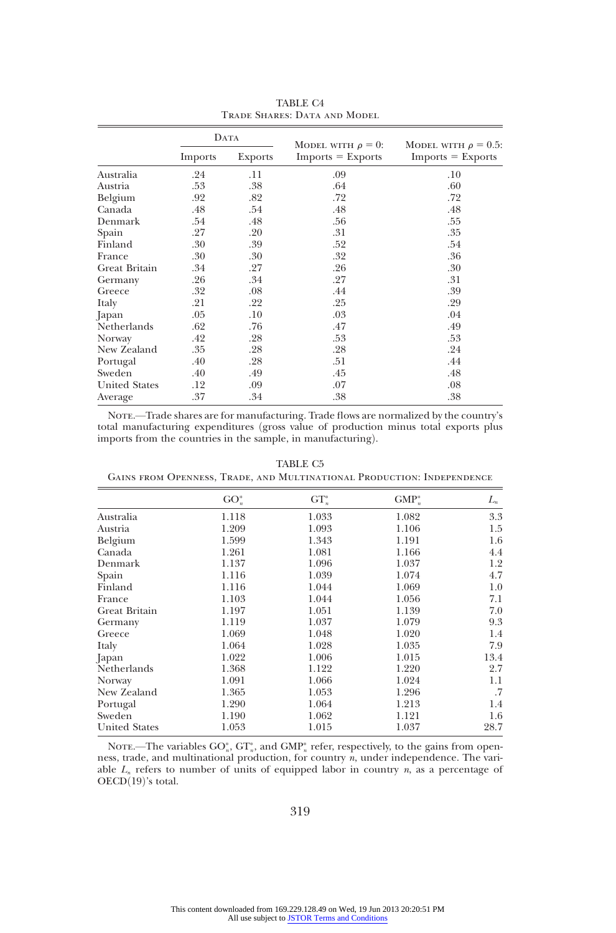|                      | DATA    |                |                                                |                                                  |  |  |
|----------------------|---------|----------------|------------------------------------------------|--------------------------------------------------|--|--|
|                      | Imports | <b>Exports</b> | MODEL WITH $\rho = 0$ :<br>$Imports = Exports$ | MODEL WITH $\rho = 0.5$ :<br>$Imports = Exports$ |  |  |
| Australia            | .24     | .11            | .09                                            | .10                                              |  |  |
| Austria              | .53     | .38            | .64                                            | .60                                              |  |  |
| Belgium              | .92     | .82            | .72                                            | .72                                              |  |  |
| Canada               | .48     | .54            | .48                                            | .48                                              |  |  |
| Denmark              | .54     | .48            | .56                                            | .55                                              |  |  |
| Spain                | .27     | .20            | .31                                            | .35                                              |  |  |
| Finland              | .30     | .39            | .52                                            | .54                                              |  |  |
| France               | .30     | .30            | .32                                            | .36                                              |  |  |
| Great Britain        | .34     | .27            | .26                                            | .30                                              |  |  |
| Germany              | .26     | .34            | .27                                            | .31                                              |  |  |
| Greece               | .32     | .08            | .44                                            | .39                                              |  |  |
| Italy                | .21     | .22            | .25                                            | .29                                              |  |  |
| Japan                | .05     | .10            | .03                                            | .04                                              |  |  |
| Netherlands          | .62     | .76            | .47                                            | .49                                              |  |  |
| Norway               | .42     | .28            | .53                                            | .53                                              |  |  |
| New Zealand          | .35     | .28            | .28                                            | .24                                              |  |  |
| Portugal             | .40     | .28            | .51                                            | .44                                              |  |  |
| Sweden               | .40     | .49            | .45                                            | .48                                              |  |  |
| <b>United States</b> | .12     | .09            | .07                                            | .08                                              |  |  |
| Average              | .37     | .34            | .38                                            | .38                                              |  |  |

TABLE C4 Trade Shares: Data and Model

NOTE.—Trade shares are for manufacturing. Trade flows are normalized by the country's total manufacturing expenditures (gross value of production minus total exports plus imports from the countries in the sample, in manufacturing).

|                      | $GO_n^*$ | $GT_n^*$ | $GMP_n^*$ | $L_n$ |
|----------------------|----------|----------|-----------|-------|
| Australia            | 1.118    | 1.033    | 1.082     | 3.3   |
| Austria              | 1.209    | 1.093    | 1.106     | 1.5   |
| Belgium              | 1.599    | 1.343    | 1.191     | 1.6   |
| Canada               | 1.261    | 1.081    | 1.166     | 4.4   |
| Denmark              | 1.137    | 1.096    | 1.037     | 1.2   |
| Spain                | 1.116    | 1.039    | 1.074     | 4.7   |
| Finland              | 1.116    | 1.044    | 1.069     | 1.0   |
| France               | 1.103    | 1.044    | 1.056     | 7.1   |
| Great Britain        | 1.197    | 1.051    | 1.139     | 7.0   |
| Germany              | 1.119    | 1.037    | 1.079     | 9.3   |
| Greece               | 1.069    | 1.048    | 1.020     | 1.4   |
| Italy                | 1.064    | 1.028    | 1.035     | 7.9   |
| Japan                | 1.022    | 1.006    | 1.015     | 13.4  |
| Netherlands          | 1.368    | 1.122    | 1.220     | 2.7   |
| Norway               | 1.091    | 1.066    | 1.024     | 1.1   |
| New Zealand          | 1.365    | 1.053    | 1.296     | .7    |
| Portugal             | 1.290    | 1.064    | 1.213     | 1.4   |
| Sweden               | 1.190    | 1.062    | 1.121     | 1.6   |
| <b>United States</b> | 1.053    | 1.015    | 1.037     | 28.7  |

TABLE C5 Gains from Openness, Trade, and Multinational Production: Independence

NOTE.—The variables  $GO^*_{n}$ ,  $GT^*_{n}$ , and  $GMP^*_{n}$  refer, respectively, to the gains from open-<br>ness, trade, and multinational production, for country *n*, under independence. The variable  $L_n$  refers to number of units of equipped labor in country n, as a percentage of  $OECD(19)$ 's total.

319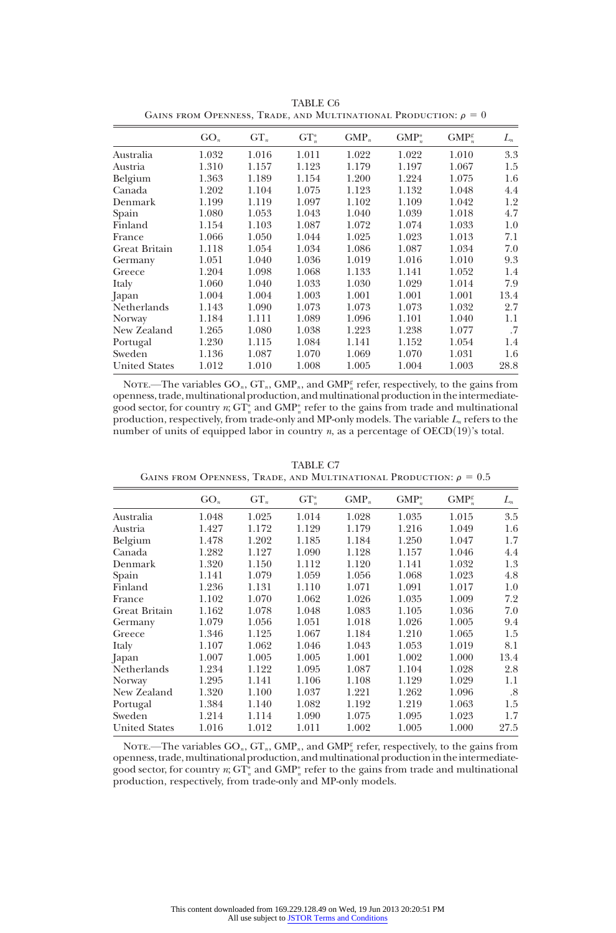|                      | $GO_n$ | $GT_n$ | $GT_n^*$ | $GMP_n$ | $\text{GMP}_n^*$ | $\text{GMP}_n^g$ | $L_n$   |
|----------------------|--------|--------|----------|---------|------------------|------------------|---------|
| Australia            | 1.032  | 1.016  | 1.011    | 1.022   | 1.022            | 1.010            | 3.3     |
| Austria              | 1.310  | 1.157  | 1.123    | 1.179   | 1.197            | 1.067            | 1.5     |
| Belgium              | 1.363  | 1.189  | 1.154    | 1.200   | 1.224            | 1.075            | 1.6     |
| Canada               | 1.202  | 1.104  | 1.075    | 1.123   | 1.132            | 1.048            | 4.4     |
| Denmark              | 1.199  | 1.119  | 1.097    | 1.102   | 1.109            | 1.042            | 1.2     |
| Spain                | 1.080  | 1.053  | 1.043    | 1.040   | 1.039            | 1.018            | 4.7     |
| Finland              | 1.154  | 1.103  | 1.087    | 1.072   | 1.074            | 1.033            | 1.0     |
| France               | 1.066  | 1.050  | 1.044    | 1.025   | 1.023            | 1.013            | 7.1     |
| Great Britain        | 1.118  | 1.054  | 1.034    | 1.086   | 1.087            | 1.034            | 7.0     |
| Germany              | 1.051  | 1.040  | 1.036    | 1.019   | 1.016            | 1.010            | 9.3     |
| Greece               | 1.204  | 1.098  | 1.068    | 1.133   | 1.141            | 1.052            | 1.4     |
| Italy                | 1.060  | 1.040  | 1.033    | 1.030   | 1.029            | 1.014            | 7.9     |
| Japan                | 1.004  | 1.004  | 1.003    | 1.001   | 1.001            | 1.001            | 13.4    |
| Netherlands          | 1.143  | 1.090  | 1.073    | 1.073   | 1.073            | 1.032            | 2.7     |
| Norway               | 1.184  | 1.111  | 1.089    | 1.096   | 1.101            | 1.040            | $1.1\,$ |
| New Zealand          | 1.265  | 1.080  | 1.038    | 1.223   | 1.238            | 1.077            | .7      |
| Portugal             | 1.230  | 1.115  | 1.084    | 1.141   | 1.152            | 1.054            | 1.4     |
| Sweden               | 1.136  | 1.087  | 1.070    | 1.069   | 1.070            | 1.031            | 1.6     |
| <b>United States</b> | 1.012  | 1.010  | 1.008    | 1.005   | 1.004            | 1.003            | 28.8    |

TABLE C6 GAINS FROM OPENNESS, TRADE, AND MULTINATIONAL PRODUCTION:  $\rho = 0$ 

NOTE.—The variables  $\text{GO}_n$ ,  $\text{GT}_n$ ,  $\text{GMP}_n$ , and  $\text{GMP}_n^g$  refer, respectively, to the gains from openness, trade, multinational production, and multinational production in the intermediategood sector, for country  $n$ ;  $\mathrm{GT}_n^*$  and  $\mathrm{GMP}_n^*$  refer to the gains from trade and multinational production, respectively, from trade-only and MP-only models. The variable  $L_n$  refers to the number of units of equipped labor in country n, as a percentage of  $OECD(19)$ 's total.

|                      | $GO_n$ | $GT_n$ | $GT_n^*$ | $GMP_n$ | $GMP_n^*$ | $\mbox{GMP}_n^g$ | $L_n$ |
|----------------------|--------|--------|----------|---------|-----------|------------------|-------|
| Australia            | 1.048  | 1.025  | 1.014    | 1.028   | 1.035     | 1.015            | 3.5   |
| Austria              | 1.427  | 1.172  | 1.129    | 1.179   | 1.216     | 1.049            | 1.6   |
| Belgium              | 1.478  | 1.202  | 1.185    | 1.184   | 1.250     | 1.047            | 1.7   |
| Canada               | 1.282  | 1.127  | 1.090    | 1.128   | 1.157     | 1.046            | 4.4   |
| Denmark              | 1.320  | 1.150  | 1.112    | 1.120   | 1.141     | 1.032            | 1.3   |
| Spain                | 1.141  | 1.079  | 1.059    | 1.056   | 1.068     | 1.023            | 4.8   |
| Finland              | 1.236  | 1.131  | 1.110    | 1.071   | 1.091     | 1.017            | 1.0   |
| France               | 1.102  | 1.070  | 1.062    | 1.026   | 1.035     | 1.009            | 7.2   |
| Great Britain        | 1.162  | 1.078  | 1.048    | 1.083   | 1.105     | 1.036            | 7.0   |
| Germany              | 1.079  | 1.056  | 1.051    | 1.018   | 1.026     | 1.005            | 9.4   |
| Greece               | 1.346  | 1.125  | 1.067    | 1.184   | 1.210     | 1.065            | 1.5   |
| Italy                | 1.107  | 1.062  | 1.046    | 1.043   | 1.053     | 1.019            | 8.1   |
| Japan                | 1.007  | 1.005  | 1.005    | 1.001   | 1.002     | 1.000            | 13.4  |
| Netherlands          | 1.234  | 1.122  | 1.095    | 1.087   | 1.104     | 1.028            | 2.8   |
| Norway               | 1.295  | 1.141  | 1.106    | 1.108   | 1.129     | 1.029            | 1.1   |
| New Zealand          | 1.320  | 1.100  | 1.037    | 1.221   | 1.262     | 1.096            | .8    |
| Portugal             | 1.384  | 1.140  | 1.082    | 1.192   | 1.219     | 1.063            | 1.5   |
| Sweden               | 1.214  | 1.114  | 1.090    | 1.075   | 1.095     | 1.023            | 1.7   |
| <b>United States</b> | 1.016  | 1.012  | 1.011    | 1.002   | 1.005     | 1.000            | 27.5  |

TABLE C7 GAINS FROM OPENNESS, TRADE, AND MULTINATIONAL PRODUCTION:  $\rho = 0.5$ 

NOTE.—The variables  $GO_n$ ,  $GT_n$ ,  $GMP_n$ , and  $GMP_n^g$  refer, respectively, to the gains from openness, trade, multinational production, and multinational production in the intermediategood sector, for country  $n$ ;  $GT^\ast_n$  and  $GMP^\ast_n$  refer to the gains from trade and multinational production, respectively, from trade-only and MP-only models.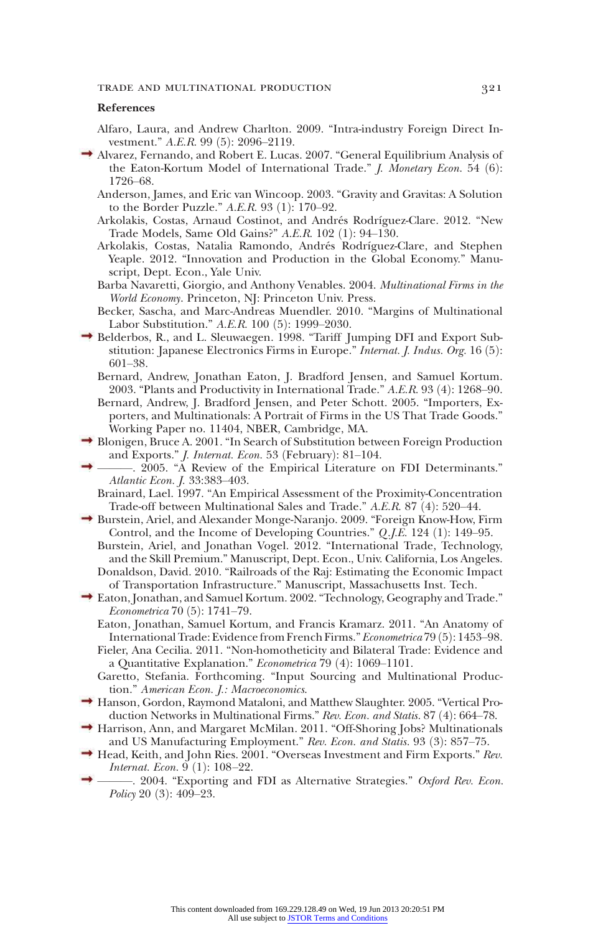#### References

- Alfaro, Laura, and Andrew Charlton. 2009. "Intra-industry Foreign Direct Investment." A.E.R. 99 (5): 2096–2119.
- vestment." A.E.R. 99 (5): 2096–2119.<br>Alvarez, Fernando, and Robert E. Lucas. 2007. "General Equilibrium Analysis of the Eaton-Kortum Model of International Trade." *J. Monetary Econ.* 54 (6): 1726–68.
	- Anderson, James, and Eric van Wincoop. 2003. "Gravity and Gravitas: A Solution to the Border Puzzle."  $A.E.R. 93 (1): 170-92$ .
	- Arkolakis, Costas, Arnaud Costinot, and Andrés Rodríguez-Clare. 2012. "New Trade Models, Same Old Gains?"  $A.E.R.$  102 (1): 94–130.
	- Arkolakis, Costas, Natalia Ramondo, Andrés Rodríguez-Clare, and Stephen Yeaple. 2012. "Innovation and Production in the Global Economy." Manuscript, Dept. Econ., Yale Univ.
	- Barba Navaretti, Giorgio, and Anthony Venables. 2004. Multinational Firms in the World Economy. Princeton, NJ: Princeton Univ. Press.
	- Becker, Sascha, and Marc-Andreas Muendler. 2010. "Margins of Multinational Labor Substitution." A.E.R. 100 (5): 1999–2030.
- Belderbos, R., and L. Sleuwaegen. 1998. "Tariff Jumping DFI and Export Substitution: Japanese Electronics Firms in Europe." *Internat. J. Indus. Org.* 16 $(5)$ : 601–38.
	- Bernard, Andrew, Jonathan Eaton, J. Bradford Jensen, and Samuel Kortum. 2003. "Plants and Productivity in International Trade." A.E.R. 93 (4): 1268-90.
	- Bernard, Andrew, J. Bradford Jensen, and Peter Schott. 2005. "Importers, Exporters, and Multinationals: A Portrait of Firms in the US That Trade Goods." Working Paper no. 11404, NBER, Cambridge, MA.
- Blonigen, Bruce A. 2001. "In Search of Substitution between Foreign Production and Exports." *J. Internat. Econ.* 53 (February): 81-104.
	- -. 2005. "A Review of the Empirical Literature on FDI Determinants." Atlantic Econ. J. 33:383–403.
	- Brainard, Lael. 1997. "An Empirical Assessment of the Proximity-Concentration Trade-off between Multinational Sales and Trade." A.E.R. 87 (4): 520–44.
- Burstein, Ariel, and Alexander Monge-Naranjo. 2009. "Foreign Know-How, Firm Control, and the Income of Developing Countries."  $Q.E.$  124 (1): 149–95.
	- Burstein, Ariel, and Jonathan Vogel. 2012. "International Trade, Technology, and the Skill Premium." Manuscript, Dept. Econ., Univ. California, Los Angeles. Donaldson, David. 2010. "Railroads of the Raj: Estimating the Economic Impact of Transportation Infrastructure." Manuscript, Massachusetts Inst. Tech.
- Eaton, Jonathan, and Samuel Kortum. 2002. "Technology, Geography and Trade." Econometrica 70 (5): 1741-79.
	- Eaton, Jonathan, Samuel Kortum, and Francis Kramarz. 2011. "An Anatomy of International Trade: Evidence from French Firms." Econometrica 79 (5): 1453–98. Fieler, Ana Cecilia. 2011. "Non-homotheticity and Bilateral Trade: Evidence and a Quantitative Explanation." Econometrica 79 (4): 1069-1101.
	- Garetto, Stefania. Forthcoming. "Input Sourcing and Multinational Production." American Econ. J.: Macroeconomics.
- Hanson, Gordon, Raymond Mataloni, and Matthew Slaughter. 2005. "Vertical Production Networks in Multinational Firms." Rev. Econ. and Statis. 87 (4): 664–78.
- → Harrison, Ann, and Margaret McMilan. 2011. "Off-Shoring Jobs? Multinationals and US Manufacturing Employment." Rev. Econ. and Statis. 93 (3): 857-75.
- $\rightarrow$  Head, Keith, and John Ries. 2001. "Overseas Investment and Firm Exports." Rev. *Internat. Econ.*  $9(1)$ :  $108-22$ .
- -. 2004. "Exporting and FDI as Alternative Strategies." Oxford Rev. Econ. Policy 20 $(3)$ : 409–23.